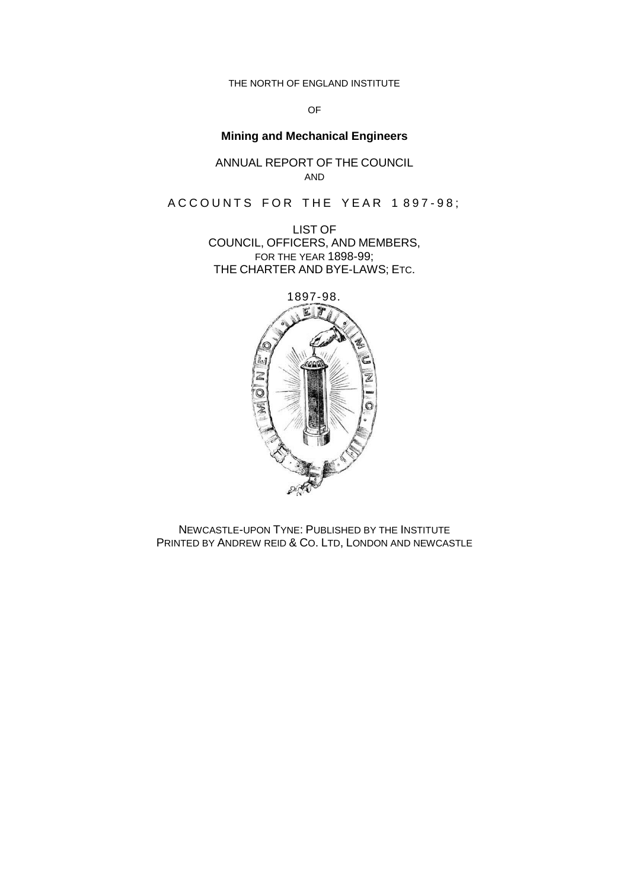THE NORTH OF ENGLAND INSTITUTE

OF

# **Mining and Mechanical Engineers**

ANNUAL REPORT OF THE COUNCIL AND

ACCOUNTS FOR THE YEAR 1897-98;

LIST OF COUNCIL, OFFICERS, AND MEMBERS, FOR THE YEAR 1898-99; THE CHARTER AND BYE-LAWS; ETC.



NEWCASTLE-UPON TYNE: PUBLISHED BY THE INSTITUTE PRINTED BY ANDREW REID & CO. LTD, LONDON AND NEWCASTLE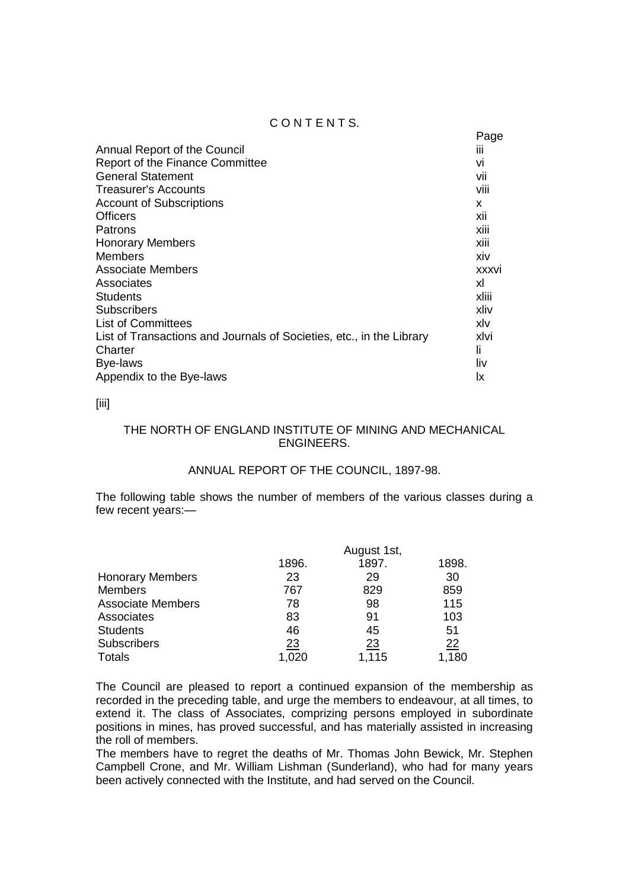## CONTENTS.

|                                                                      | Page           |
|----------------------------------------------------------------------|----------------|
| Annual Report of the Council                                         | $\mathbf{III}$ |
| <b>Report of the Finance Committee</b>                               | VI             |
| <b>General Statement</b>                                             | Vii            |
| Treasurer's Accounts                                                 | viii           |
| <b>Account of Subscriptions</b>                                      | x              |
| <b>Officers</b>                                                      | xii            |
| Patrons                                                              | XIII           |
| <b>Honorary Members</b>                                              | xiii           |
| <b>Members</b>                                                       | xiv            |
| <b>Associate Members</b>                                             | <b>XXXVI</b>   |
| Associates                                                           | xl             |
| <b>Students</b>                                                      | xliii          |
| <b>Subscribers</b>                                                   | xliv           |
| <b>List of Committees</b>                                            | xlv            |
| List of Transactions and Journals of Societies, etc., in the Library | xlvi           |
| Charter                                                              | li.            |
| Bye-laws                                                             | liv            |
| Appendix to the Bye-laws                                             | Ιx             |

## [iii]

## THE NORTH OF ENGLAND INSTITUTE OF MINING AND MECHANICAL ENGINEERS.

## ANNUAL REPORT OF THE COUNCIL, 1897-98.

The following table shows the number of members of the various classes during a few recent years:—

|                          |       | August 1st, |           |
|--------------------------|-------|-------------|-----------|
|                          | 1896. | 1897.       | 1898.     |
| <b>Honorary Members</b>  | 23    | 29          | 30        |
| <b>Members</b>           | 767   | 829         | 859       |
| <b>Associate Members</b> | 78    | 98          | 115       |
| Associates               | 83    | 91          | 103       |
| <b>Students</b>          | 46    | 45          | 51        |
| <b>Subscribers</b>       | 23    | 23          | <u>22</u> |
| <b>Totals</b>            | 1,020 | 1,115       | 1,180     |

The Council are pleased to report a continued expansion of the membership as recorded in the preceding table, and urge the members to endeavour, at all times, to extend it. The class of Associates, comprizing persons employed in subordinate positions in mines, has proved successful, and has materially assisted in increasing the roll of members.

The members have to regret the deaths of Mr. Thomas John Bewick, Mr. Stephen Campbell Crone, and Mr. William Lishman (Sunderland), who had for many years been actively connected with the Institute, and had served on the Council.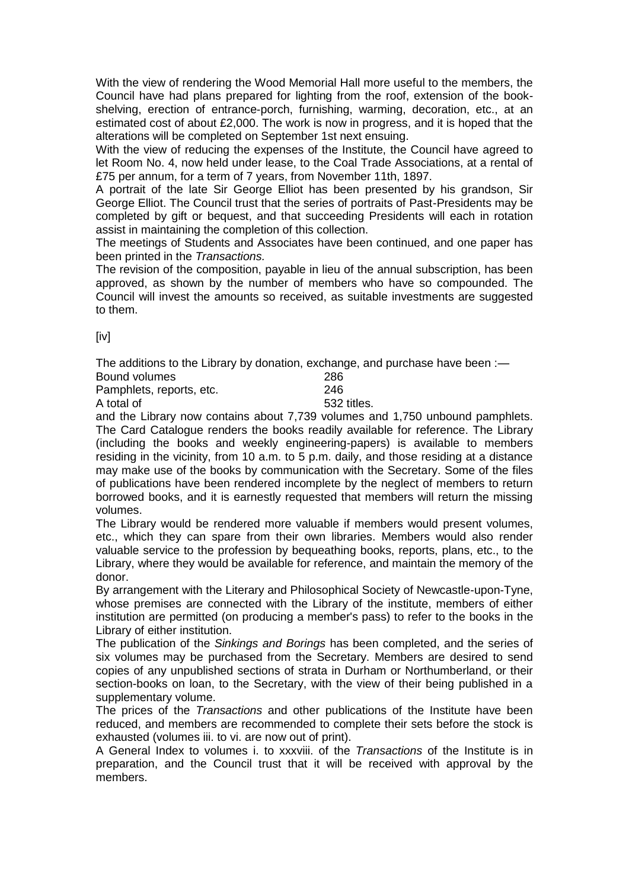With the view of rendering the Wood Memorial Hall more useful to the members, the Council have had plans prepared for lighting from the roof, extension of the bookshelving, erection of entrance-porch, furnishing, warming, decoration, etc., at an estimated cost of about £2,000. The work is now in progress, and it is hoped that the alterations will be completed on September 1st next ensuing.

With the view of reducing the expenses of the Institute, the Council have agreed to let Room No. 4, now held under lease, to the Coal Trade Associations, at a rental of £75 per annum, for a term of 7 years, from November 11th, 1897.

A portrait of the late Sir George Elliot has been presented by his grandson, Sir George Elliot. The Council trust that the series of portraits of Past-Presidents may be completed by gift or bequest, and that succeeding Presidents will each in rotation assist in maintaining the completion of this collection.

The meetings of Students and Associates have been continued, and one paper has been printed in the *Transactions.*

The revision of the composition, payable in lieu of the annual subscription, has been approved, as shown by the number of members who have so compounded. The Council will invest the amounts so received, as suitable investments are suggested to them.

[iv]

The additions to the Library by donation, exchange, and purchase have been :-

| Bound volumes            | 286         |
|--------------------------|-------------|
| Pamphlets, reports, etc. | 246         |
| A total of               | 532 titles. |

and the Library now contains about 7,739 volumes and 1,750 unbound pamphlets. The Card Catalogue renders the books readily available for reference. The Library (including the books and weekly engineering-papers) is available to members residing in the vicinity, from 10 a.m. to 5 p.m. daily, and those residing at a distance may make use of the books by communication with the Secretary. Some of the files of publications have been rendered incomplete by the neglect of members to return borrowed books, and it is earnestly requested that members will return the missing volumes.

The Library would be rendered more valuable if members would present volumes, etc., which they can spare from their own libraries. Members would also render valuable service to the profession by bequeathing books, reports, plans, etc., to the Library, where they would be available for reference, and maintain the memory of the donor.

By arrangement with the Literary and Philosophical Society of Newcastle-upon-Tyne, whose premises are connected with the Library of the institute, members of either institution are permitted (on producing a member's pass) to refer to the books in the Library of either institution.

The publication of the *Sinkings and Borings* has been completed, and the series of six volumes may be purchased from the Secretary. Members are desired to send copies of any unpublished sections of strata in Durham or Northumberland, or their section-books on loan, to the Secretary, with the view of their being published in a supplementary volume.

The prices of the *Transactions* and other publications of the Institute have been reduced, and members are recommended to complete their sets before the stock is exhausted (volumes iii. to vi. are now out of print).

A General Index to volumes i. to xxxviii. of the *Transactions* of the Institute is in preparation, and the Council trust that it will be received with approval by the members.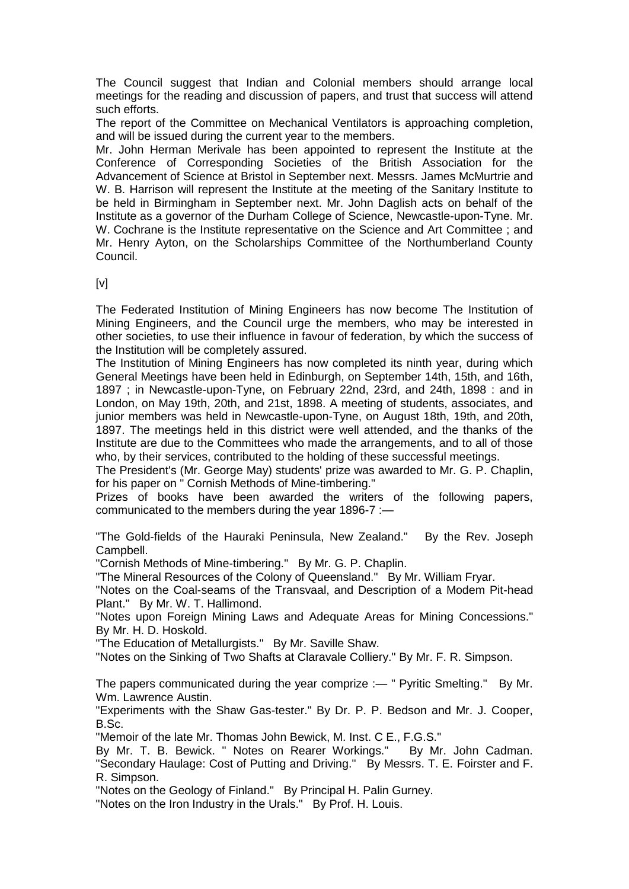The Council suggest that Indian and Colonial members should arrange local meetings for the reading and discussion of papers, and trust that success will attend such efforts.

The report of the Committee on Mechanical Ventilators is approaching completion, and will be issued during the current year to the members.

Mr. John Herman Merivale has been appointed to represent the Institute at the Conference of Corresponding Societies of the British Association for the Advancement of Science at Bristol in September next. Messrs. James McMurtrie and W. B. Harrison will represent the Institute at the meeting of the Sanitary Institute to be held in Birmingham in September next. Mr. John Daglish acts on behalf of the Institute as a governor of the Durham College of Science, Newcastle-upon-Tyne. Mr. W. Cochrane is the Institute representative on the Science and Art Committee ; and Mr. Henry Ayton, on the Scholarships Committee of the Northumberland County Council.

 $[V]$ 

The Federated Institution of Mining Engineers has now become The Institution of Mining Engineers, and the Council urge the members, who may be interested in other societies, to use their influence in favour of federation, by which the success of the Institution will be completely assured.

The Institution of Mining Engineers has now completed its ninth year, during which General Meetings have been held in Edinburgh, on September 14th, 15th, and 16th, 1897 ; in Newcastle-upon-Tyne, on February 22nd, 23rd, and 24th, 1898 : and in London, on May 19th, 20th, and 21st, 1898. A meeting of students, associates, and junior members was held in Newcastle-upon-Tyne, on August 18th, 19th, and 20th, 1897. The meetings held in this district were well attended, and the thanks of the Institute are due to the Committees who made the arrangements, and to all of those who, by their services, contributed to the holding of these successful meetings.

The President's (Mr. George May) students' prize was awarded to Mr. G. P. Chaplin, for his paper on " Cornish Methods of Mine-timbering."

Prizes of books have been awarded the writers of the following papers, communicated to the members during the year 1896-7 :—

"The Gold-fields of the Hauraki Peninsula, New Zealand." By the Rev. Joseph Campbell.

"Cornish Methods of Mine-timbering." By Mr. G. P. Chaplin.

"The Mineral Resources of the Colony of Queensland." By Mr. William Fryar.

"Notes on the Coal-seams of the Transvaal, and Description of a Modem Pit-head Plant." By Mr. W. T. Hallimond.

"Notes upon Foreign Mining Laws and Adequate Areas for Mining Concessions." By Mr. H. D. Hoskold.

"The Education of Metallurgists." By Mr. Saville Shaw.

"Notes on the Sinking of Two Shafts at Claravale Colliery." By Mr. F. R. Simpson.

The papers communicated during the year comprize :— " Pyritic Smelting." By Mr. Wm. Lawrence Austin.

"Experiments with the Shaw Gas-tester." By Dr. P. P. Bedson and Mr. J. Cooper, B.Sc.

"Memoir of the late Mr. Thomas John Bewick, M. Inst. C E., F.G.S."

By Mr. T. B. Bewick. " Notes on Rearer Workings." By Mr. John Cadman. "Secondary Haulage: Cost of Putting and Driving." By Messrs. T. E. Foirster and F. R. Simpson.

"Notes on the Geology of Finland." By Principal H. Palin Gurney.

"Notes on the Iron Industry in the Urals." By Prof. H. Louis.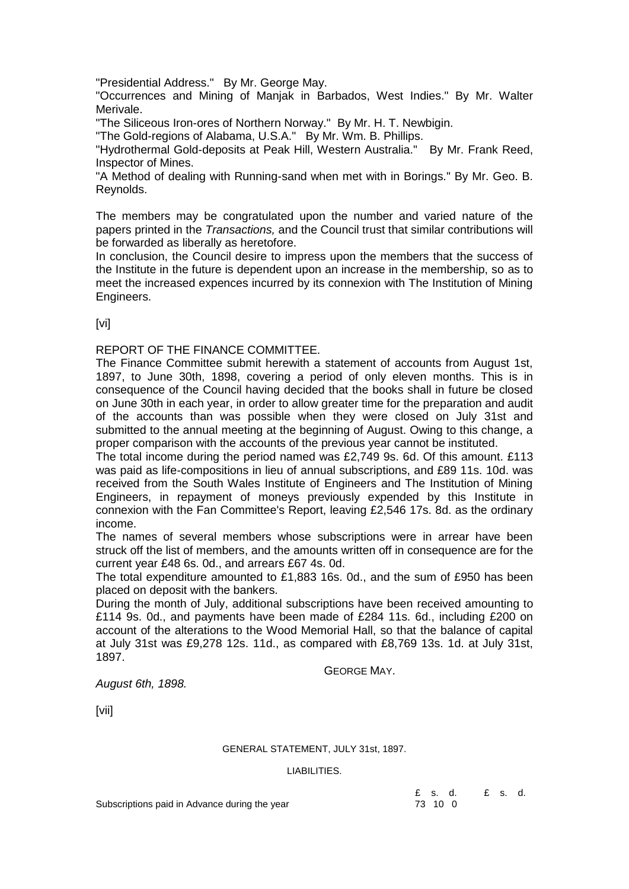"Presidential Address." By Mr. George May.

"Occurrences and Mining of Manjak in Barbados, West Indies." By Mr. Walter Merivale.

"The Siliceous Iron-ores of Northern Norway." By Mr. H. T. Newbigin.

"The Gold-regions of Alabama, U.S.A." By Mr. Wm. B. Phillips.

"Hydrothermal Gold-deposits at Peak Hill, Western Australia." By Mr. Frank Reed, Inspector of Mines.

"A Method of dealing with Running-sand when met with in Borings." By Mr. Geo. B. Reynolds.

The members may be congratulated upon the number and varied nature of the papers printed in the *Transactions,* and the Council trust that similar contributions will be forwarded as liberally as heretofore.

In conclusion, the Council desire to impress upon the members that the success of the Institute in the future is dependent upon an increase in the membership, so as to meet the increased expences incurred by its connexion with The Institution of Mining Engineers.

[vi]

## REPORT OF THE FINANCE COMMITTEE.

The Finance Committee submit herewith a statement of accounts from August 1st, 1897, to June 30th, 1898, covering a period of only eleven months. This is in consequence of the Council having decided that the books shall in future be closed on June 30th in each year, in order to allow greater time for the preparation and audit of the accounts than was possible when they were closed on July 31st and submitted to the annual meeting at the beginning of August. Owing to this change, a proper comparison with the accounts of the previous year cannot be instituted.

The total income during the period named was £2,749 9s. 6d. Of this amount. £113 was paid as life-compositions in lieu of annual subscriptions, and £89 11s. 10d. was received from the South Wales Institute of Engineers and The Institution of Mining Engineers, in repayment of moneys previously expended by this Institute in connexion with the Fan Committee's Report, leaving £2,546 17s. 8d. as the ordinary income.

The names of several members whose subscriptions were in arrear have been struck off the list of members, and the amounts written off in consequence are for the current year £48 6s. 0d., and arrears £67 4s. 0d.

The total expenditure amounted to £1,883 16s. 0d., and the sum of £950 has been placed on deposit with the bankers.

During the month of July, additional subscriptions have been received amounting to £114 9s. 0d., and payments have been made of £284 11s. 6d., including £200 on account of the alterations to the Wood Memorial Hall, so that the balance of capital at July 31st was £9,278 12s. 11d., as compared with £8,769 13s. 1d. at July 31st, 1897.

GEORGE MAY.

*August 6th, 1898.*

[vii]

GENERAL STATEMENT, JULY 31st, 1897.

#### LIABILITIES.

£ s. d. £ s. d.

Subscriptions paid in Advance during the year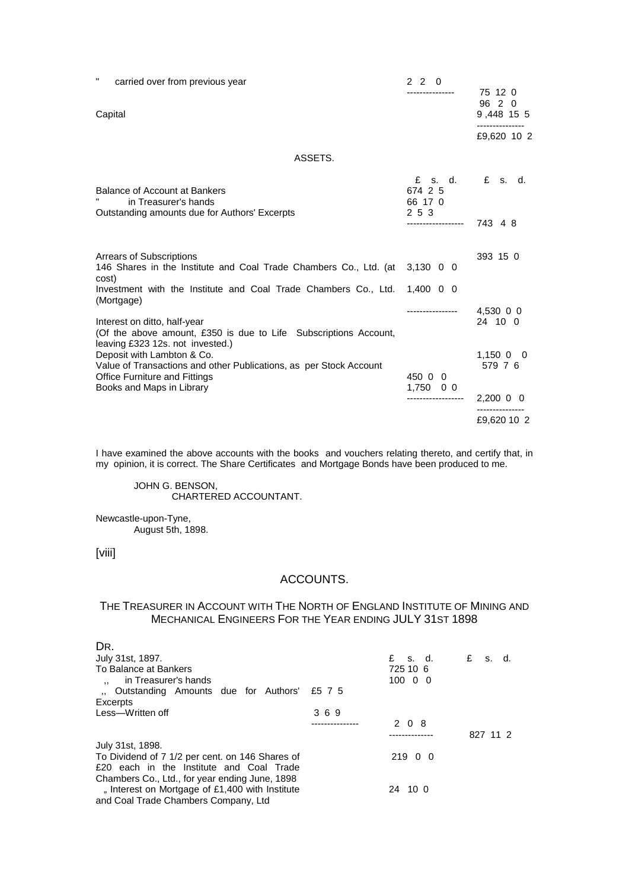| $\pmb{\mathsf{H}}$<br>carried over from previous year                                                                                    | 220<br>---------------           | 75 12 0              |
|------------------------------------------------------------------------------------------------------------------------------------------|----------------------------------|----------------------|
| Capital                                                                                                                                  |                                  | 96 2 0<br>9,448 15 5 |
|                                                                                                                                          |                                  | £9,620 10 2          |
| ASSETS.                                                                                                                                  |                                  |                      |
| Balance of Account at Bankers<br>in Treasurer's hands                                                                                    | £<br>s. d.<br>674 2 5<br>66 17 0 | £ s. d.              |
| Outstanding amounts due for Authors' Excerpts                                                                                            | 2 5 3<br>------------------      | 743 4 8              |
| <b>Arrears of Subscriptions</b><br>146 Shares in the Institute and Coal Trade Chambers Co., Ltd. (at<br>cost)                            | $3,130$ 0 0                      | 393 15 0             |
| Investment with the Institute and Coal Trade Chambers Co., Ltd.<br>(Mortgage)                                                            | $1,400$ 0 0                      |                      |
| Interest on ditto, half-year<br>(Of the above amount, £350 is due to Life Subscriptions Account,<br>leaving £323 12s. not invested.)     | ----------------                 | 4,530 0 0<br>24 10 0 |
| Deposit with Lambton & Co.<br>Value of Transactions and other Publications, as per Stock Account<br><b>Office Furniture and Fittings</b> | 450 0 0                          | 1,15000<br>579 7 6   |
| Books and Maps in Library                                                                                                                | $1,750$ 0 0                      | $2,200$ 0 0          |
|                                                                                                                                          |                                  | £9,620 10 2          |

I have examined the above accounts with the books and vouchers relating thereto, and certify that, in my opinion, it is correct. The Share Certificates and Mortgage Bonds have been produced to me.

JOHN G. BENSON, CHARTERED ACCOUNTANT.

Newcastle-upon-Tyne, August 5th, 1898.

[viii]

## ACCOUNTS.

#### THE TREASURER IN ACCOUNT WITH THE NORTH OF ENGLAND INSTITUTE OF MINING AND MECHANICAL ENGINEERS FOR THE YEAR ENDING JULY 31ST 1898

| DR.                                             |     |                   |          |
|-------------------------------------------------|-----|-------------------|----------|
| July 31st, 1897.                                |     | $f$ s.d. $f$ s.d. |          |
| To Balance at Bankers                           |     | 725 10 6          |          |
| in Treasurer's hands<br>$\ddot{\phantom{a}}$    |     | 10000             |          |
| Outstanding Amounts due for Authors' £5 7 5     |     |                   |          |
| Excerpts                                        |     |                   |          |
| Less-Written off                                | 369 |                   |          |
|                                                 |     | 2 0 8             |          |
|                                                 |     |                   | 827 11 2 |
| July 31st, 1898.                                |     |                   |          |
| To Dividend of 7 1/2 per cent. on 146 Shares of |     | 219 0 0           |          |
| £20 each in the Institute and Coal Trade        |     |                   |          |
| Chambers Co., Ltd., for year ending June, 1898  |     |                   |          |
| " Interest on Mortgage of £1,400 with Institute |     | 24 10 0           |          |
| and Coal Trade Chambers Company, Ltd            |     |                   |          |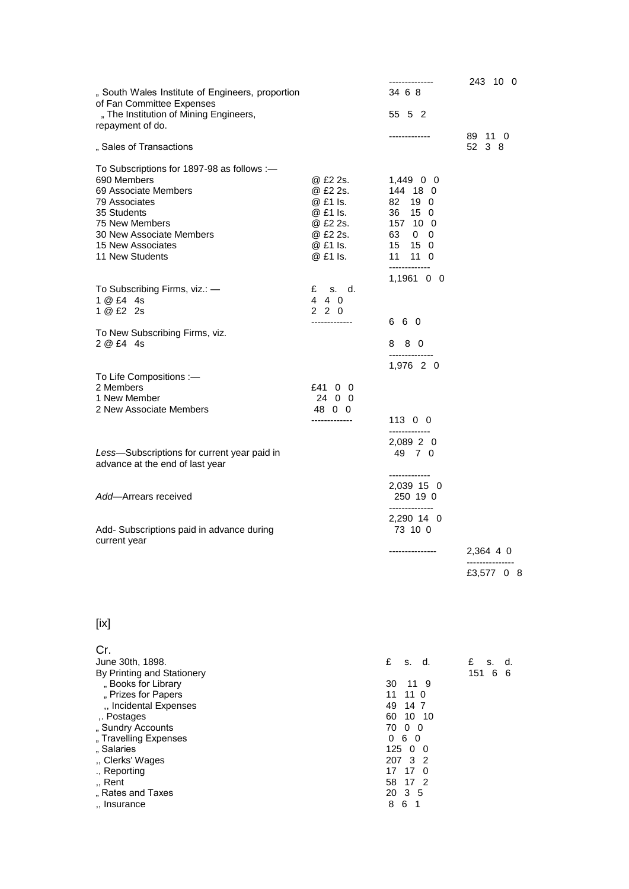| " South Wales Institute of Engineers, proportion                                                                                                                                                                                                                                   |                                                                                              | --------------<br>34 6 8                                                                                                                                                              | 243 10 0                    |
|------------------------------------------------------------------------------------------------------------------------------------------------------------------------------------------------------------------------------------------------------------------------------------|----------------------------------------------------------------------------------------------|---------------------------------------------------------------------------------------------------------------------------------------------------------------------------------------|-----------------------------|
| of Fan Committee Expenses<br>" The Institution of Mining Engineers,<br>repayment of do.                                                                                                                                                                                            |                                                                                              | 55 5 2                                                                                                                                                                                |                             |
| " Sales of Transactions                                                                                                                                                                                                                                                            |                                                                                              | -------------                                                                                                                                                                         | 89 11 0<br>52 3 8           |
| To Subscriptions for 1897-98 as follows :-<br>690 Members<br>69 Associate Members<br>79 Associates<br>35 Students<br>75 New Members<br>30 New Associate Members<br>15 New Associates<br>11 New Students                                                                            | @ £2 2s.<br>@ £2 2s.<br>@ £1 ls.<br>@ £1 ls.<br>@ £2 2s.<br>@ £2 2s.<br>@ £1 ls.<br>@ £1 ls. | $1,449$ 0 0<br>144 18 0<br>$82 \t19 \t0$<br>36 15 0<br>157 10 0<br>63 0 0<br>15 15 0<br>11 11 0<br>-------------                                                                      |                             |
| To Subscribing Firms, viz.: -<br>1 @ £4 4s<br>1 @ £2 2s                                                                                                                                                                                                                            | £ s. d.<br>4 4 0<br>220<br>-------------                                                     | $1,1961$ 0 0<br>660                                                                                                                                                                   |                             |
| To New Subscribing Firms, viz.<br>2 @ £4 4s                                                                                                                                                                                                                                        |                                                                                              | 8 8 0<br>1,976 2 0                                                                                                                                                                    |                             |
| To Life Compositions :-<br>2 Members<br>1 New Member<br>2 New Associate Members                                                                                                                                                                                                    | £41 0 0<br>24 0 0<br>48 0 0<br>-------------                                                 | 11300<br>-------------                                                                                                                                                                |                             |
| Less-Subscriptions for current year paid in<br>advance at the end of last year                                                                                                                                                                                                     |                                                                                              | 2,089 2 0<br>49 7 0<br>-------------                                                                                                                                                  |                             |
| Add-Arrears received<br>Add- Subscriptions paid in advance during                                                                                                                                                                                                                  |                                                                                              | 2,039 15 0<br>250 19 0<br>--------------<br>2,290 14 0<br>73 10 0                                                                                                                     |                             |
| current year                                                                                                                                                                                                                                                                       |                                                                                              |                                                                                                                                                                                       | 2,364 4 0<br>£3,577 0 8     |
| [ix]                                                                                                                                                                                                                                                                               |                                                                                              |                                                                                                                                                                                       |                             |
| Cr.<br>June 30th, 1898.<br>By Printing and Stationery<br>"Books for Library<br>" Prizes for Papers<br>", Incidental Expenses<br>Postages<br>" Sundry Accounts<br>"Travelling Expenses<br>"Salaries<br>" Clerks' Wages<br>., Reporting<br>"Rent<br>"Rates and Taxes<br>,, Insurance |                                                                                              | £<br>s. d.<br>30<br>11 9<br>11<br>11 0<br>49<br>14 7<br>10 10<br>60<br>70<br>$0\quad 0$<br>060<br>12500<br>207 3<br>2<br>17 17<br>0<br>58<br>17 2<br>20<br>3 <sub>5</sub><br>8<br>6 1 | £<br>s.<br>d.<br>151 6<br>6 |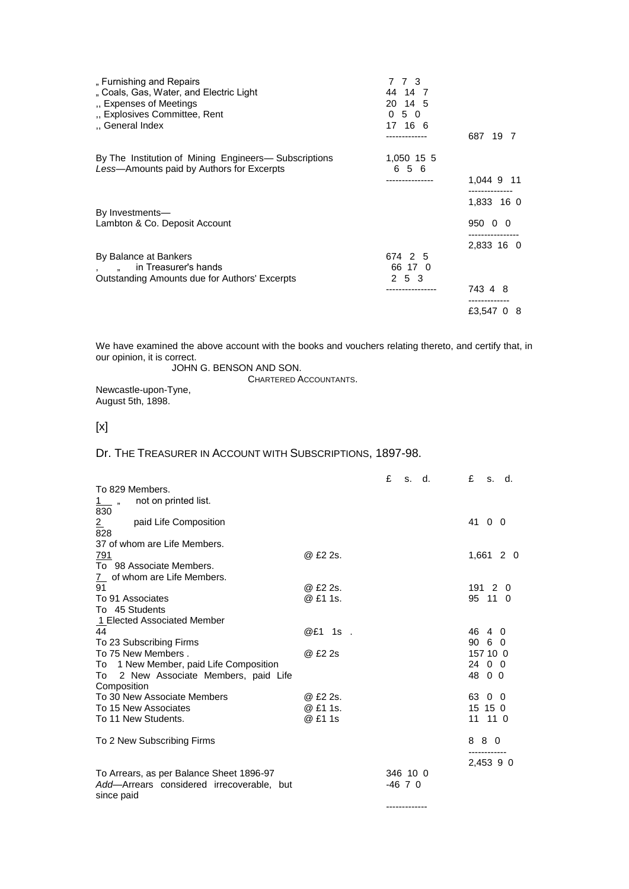| " Furnishing and Repairs<br>" Coals, Gas, Water, and Electric Light<br>., Expenses of Meetings<br>" Explosives Committee, Rent<br>"General Index | 773<br>44 14 7<br>20 14 5<br>050<br>17 16 6 | 687 19 7                            |
|--------------------------------------------------------------------------------------------------------------------------------------------------|---------------------------------------------|-------------------------------------|
| By The Institution of Mining Engineers— Subscriptions<br>Less-Amounts paid by Authors for Excerpts                                               | 1,050 15 5<br>656<br>                       | 1,044 9 11                          |
|                                                                                                                                                  |                                             | 1,833 16 0                          |
| By Investments-<br>Lambton & Co. Deposit Account                                                                                                 |                                             | 950 0 0                             |
| By Balance at Bankers<br>in Treasurer's hands<br>Outstanding Amounts due for Authors' Excerpts                                                   | 674 2 5<br>66 17 0<br>2 5 3                 | 2,833 16 0<br>743 4 8<br>£3,547 0 8 |

We have examined the above account with the books and vouchers relating thereto, and certify that, in our opinion, it is correct.

JOHN G. BENSON AND SON.

CHARTERED ACCOUNTANTS.

Newcastle-upon-Tyne, August 5th, 1898.

# [x]

## Dr. THE TREASURER IN ACCOUNT WITH SUBSCRIPTIONS, 1897-98.

|                                                         |           | £<br>d.<br>S. | £<br>s. d.             |
|---------------------------------------------------------|-----------|---------------|------------------------|
| To 829 Members.                                         |           |               |                        |
| not on printed list.<br>1 "<br>830                      |           |               |                        |
| $\overline{2}$<br>paid Life Composition<br>828          |           |               | 41 0 0                 |
| 37 of whom are Life Members.                            |           |               |                        |
| <u>791</u>                                              | @ £2 2s.  |               | 1,661 2 0              |
| To 98 Associate Members.                                |           |               |                        |
| of whom are Life Members.<br>$\frac{7}{2}$              |           |               |                        |
| 91                                                      | @ £2 2s.  |               | 19120                  |
| To 91 Associates                                        | @ £1 1s.  |               | 95 11 0                |
| To 45 Students                                          |           |               |                        |
| 1 Elected Associated Member                             |           |               |                        |
| 44                                                      | $@E1$ 1s. |               | 46 4 0                 |
| To 23 Subscribing Firms                                 |           |               | 90 <sub>6</sub><br>- 0 |
| To 75 New Members.                                      | @ £2 2s   |               | 157 10 0               |
| To 1 New Member, paid Life Composition                  |           |               | 24 0 0                 |
| 2 New Associate Members, paid Life<br>To<br>Composition |           |               | 48 0 0                 |
| To 30 New Associate Members                             | @ £2 2s.  |               | 63<br>0<br>- 0         |
| To 15 New Associates                                    | @ £1 1s.  |               | 15 15 0                |
| To 11 New Students.                                     | @ £1 1s   |               | 11 11 0                |
| To 2 New Subscribing Firms                              |           |               | 880                    |
|                                                         |           |               | 2,453 9 0              |
| To Arrears, as per Balance Sheet 1896-97                |           | 346 10 0      |                        |
| Add-Arrears considered irrecoverable, but               |           | $-46$ 7 0     |                        |
| since paid                                              |           |               |                        |
|                                                         |           |               |                        |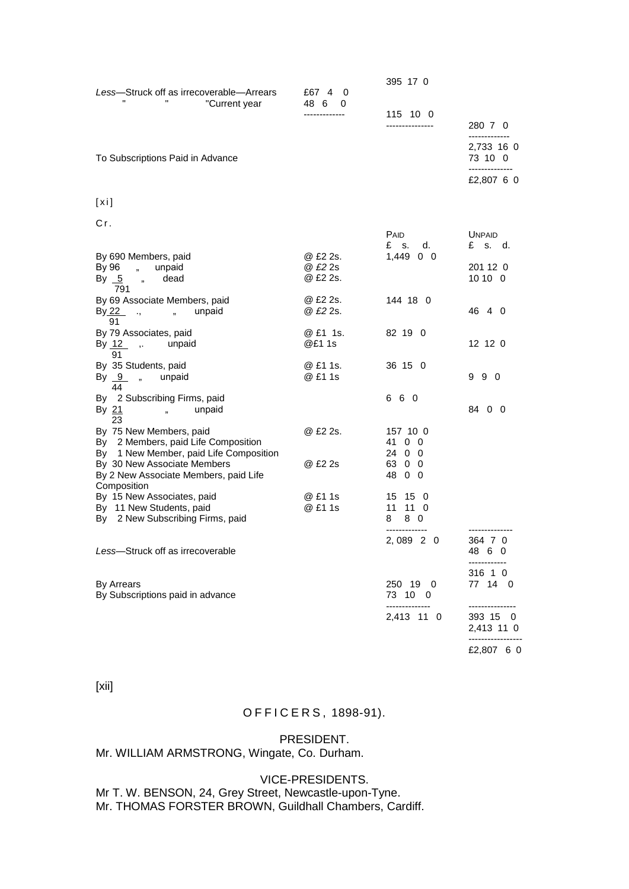| Less-Struck off as irrecoverable-Arrears<br>"Current year                                                 | £67 4<br>0<br>48 6<br>0 | 395 17 0<br>115 10 0           |                                            |
|-----------------------------------------------------------------------------------------------------------|-------------------------|--------------------------------|--------------------------------------------|
|                                                                                                           |                         | ---------------                | 280 7 0                                    |
| To Subscriptions Paid in Advance                                                                          |                         |                                | 2,733 16 0<br>73 10 0<br>--------------    |
|                                                                                                           |                         |                                | £2,807 6 0                                 |
| [xi]                                                                                                      |                         |                                |                                            |
| Сr.                                                                                                       |                         |                                |                                            |
|                                                                                                           |                         | <b>PAID</b><br>£ s.<br>d.      | <b>UNPAID</b><br>£ s. d.                   |
| By 690 Members, paid                                                                                      | @ £2 2s.                | $1,449$ 0 0                    |                                            |
| By 96 "<br>unpaid<br>By <u>5</u> "<br>dead<br>791                                                         | @ £2 2s<br>@ £2 2s.     |                                | 201 12 0<br>10100                          |
| By 69 Associate Members, paid<br>By 22 ,<br>unpaid<br>, 1<br>91                                           | @ £2 2s.<br>@ £2 2s.    | 144 18 0                       | 46 4 0                                     |
| By 79 Associates, paid<br>By 12 , unpaid<br>91                                                            | @ £1 1s.<br>@£1 1s      | 82 19 0                        | 12 12 0                                    |
| By 35 Students, paid<br>By 9, unpaid<br>44                                                                | @ £1 1s.<br>@ £1 1s     | 36 15 0                        | 990                                        |
| By 2 Subscribing Firms, paid<br>By 21<br>unpaid<br>$\mathbf{r}$<br>23                                     |                         | 6 6 0                          | 84 0 0                                     |
| By 75 New Members, paid<br>By 2 Members, paid Life Composition<br>By 1 New Member, paid Life Composition  | @ £2 2s.                | 157 10 0<br>41 0 0<br>24 0 0   |                                            |
| By 30 New Associate Members<br>By 2 New Associate Members, paid Life                                      | @ £2 2s                 | 63 0 0<br>4800                 |                                            |
| Composition<br>By 15 New Associates, paid<br>By 11 New Students, paid<br>By 2 New Subscribing Firms, paid | @ £1 1s<br>@ £1 1s      | 15 15 0<br>11 11 0<br>8.<br>80 |                                            |
| Less-Struck off as irrecoverable                                                                          |                         | 2,089 2 0                      | 364 7 0<br>48 6 0                          |
| <b>By Arrears</b><br>By Subscriptions paid in advance                                                     |                         | 250 19 0<br>73 10 0            | 316 1 0<br>77 14 0                         |
|                                                                                                           |                         | --------------<br>2,413 11 0   | 393 15 0<br>2,413 11 0<br>---------------- |
|                                                                                                           |                         |                                | £2,807 6 0                                 |

[xii]

# O F F I C E R S , 1898-91).

#### PRESIDENT.

# Mr. WILLIAM ARMSTRONG, Wingate, Co. Durham.

#### VICE-PRESIDENTS.

Mr T. W. BENSON, 24, Grey Street, Newcastle-upon-Tyne. Mr. THOMAS FORSTER BROWN, Guildhall Chambers, Cardiff.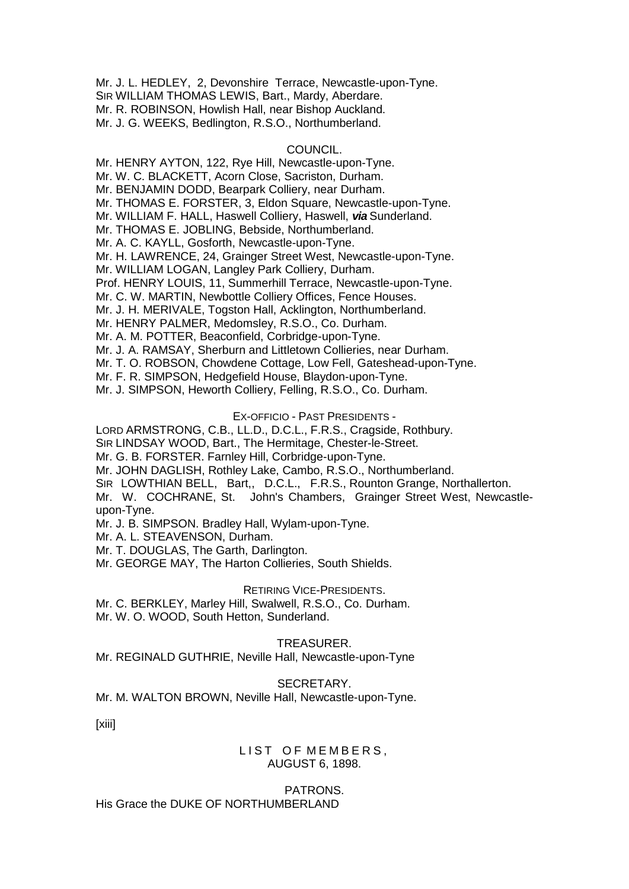Mr. J. L. HEDLEY, 2, Devonshire Terrace, Newcastle-upon-Tyne. SIR WILLIAM THOMAS LEWIS, Bart., Mardy, Aberdare. Mr. R. ROBINSON, Howlish Hall, near Bishop Auckland. Mr. J. G. WEEKS, Bedlington, R.S.O., Northumberland.

## COUNCIL.

Mr. HENRY AYTON, 122, Rye Hill, Newcastle-upon-Tyne. Mr. W. C. BLACKETT, Acorn Close, Sacriston, Durham. Mr. BENJAMIN DODD, Bearpark Colliery, near Durham. Mr. THOMAS E. FORSTER, 3, Eldon Square, Newcastle-upon-Tyne. Mr. WILLIAM F. HALL, Haswell Colliery, Haswell, *via* Sunderland. Mr. THOMAS E. JOBLING, Bebside, Northumberland. Mr. A. C. KAYLL, Gosforth, Newcastle-upon-Tyne. Mr. H. LAWRENCE, 24, Grainger Street West, Newcastle-upon-Tyne. Mr. WILLIAM LOGAN, Langley Park Colliery, Durham. Prof. HENRY LOUIS, 11, Summerhill Terrace, Newcastle-upon-Tyne. Mr. C. W. MARTIN, Newbottle Colliery Offices, Fence Houses. Mr. J. H. MERIVALE, Togston Hall, Acklington, Northumberland. Mr. HENRY PALMER, Medomsley, R.S.O., Co. Durham. Mr. A. M. POTTER, Beaconfield, Corbridge-upon-Tyne. Mr. J. A. RAMSAY, Sherburn and Littletown Collieries, near Durham. Mr. T. O. ROBSON, Chowdene Cottage, Low Fell, Gateshead-upon-Tyne. Mr. F. R. SIMPSON, Hedgefield House, Blaydon-upon-Tyne. Mr. J. SIMPSON, Heworth Colliery, Felling, R.S.O., Co. Durham.

## EX-OFFICIO - PAST PRESIDENTS -

LORD ARMSTRONG, C.B., LL.D., D.C.L., F.R.S., Cragside, Rothbury.

SIR LINDSAY WOOD, Bart., The Hermitage, Chester-le-Street.

Mr. G. B. FORSTER. Farnley Hill, Corbridge-upon-Tyne.

Mr. JOHN DAGLISH, Rothley Lake, Cambo, R.S.O., Northumberland.

SIR LOWTHIAN BELL, Bart,, D.C.L., F.R.S., Rounton Grange, Northallerton.

Mr. W. COCHRANE, St. John's Chambers, Grainger Street West, Newcastleupon-Tyne.

Mr. J. B. SIMPSON. Bradley Hall, Wylam-upon-Tyne.

Mr. A. L. STEAVENSON, Durham.

Mr. T. DOUGLAS, The Garth, Darlington.

Mr. GEORGE MAY, The Harton Collieries, South Shields.

#### RETIRING VICE-PRESIDENTS.

Mr. C. BERKLEY, Marley Hill, Swalwell, R.S.O., Co. Durham. Mr. W. O. WOOD, South Hetton, Sunderland.

## TREASURER.

Mr. REGINALD GUTHRIE, Neville Hall, Newcastle-upon-Tyne

#### SECRETARY.

Mr. M. WALTON BROWN, Neville Hall, Newcastle-upon-Tyne.

[xiii]

## LIST OF MEMBERS, AUGUST 6, 1898.

PATRONS. His Grace the DUKE OF NORTHUMBERLAND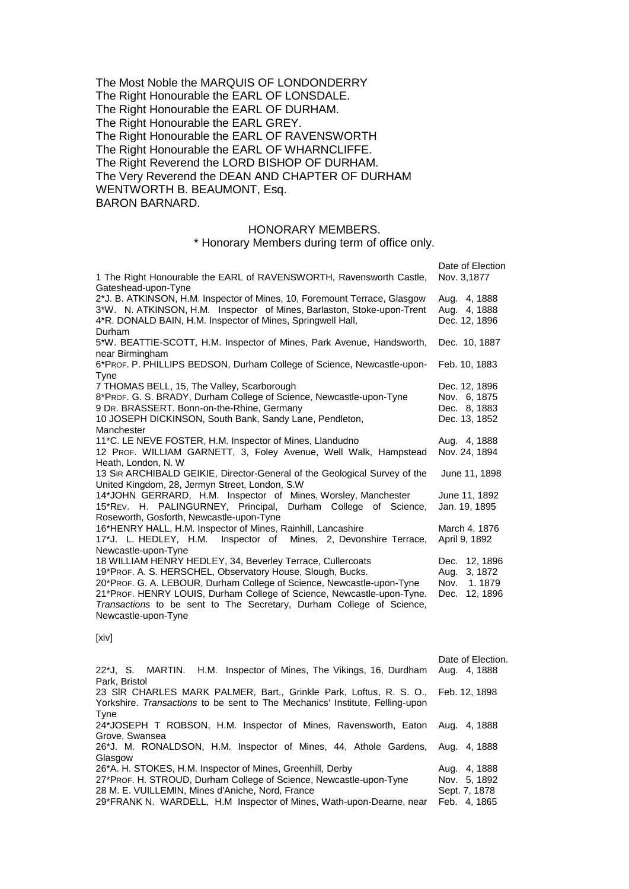The Most Noble the MARQUIS OF LONDONDERRY The Right Honourable the EARL OF LONSDALE. The Right Honourable the EARL OF DURHAM. The Right Honourable the EARL GREY. The Right Honourable the EARL OF RAVENSWORTH The Right Honourable the EARL OF WHARNCLIFFE. The Right Reverend the LORD BISHOP OF DURHAM. The Very Reverend the DEAN AND CHAPTER OF DURHAM WENTWORTH B. BEAUMONT, Esq. BARON BARNARD.

#### HONORARY MEMBERS.

\* Honorary Members during term of office only.

| 1 The Right Honourable the EARL of RAVENSWORTH, Ravensworth Castle,                                                                                                                                                                                                                                                                                                       | Date of Election<br>Nov. 3,1877                                        |
|---------------------------------------------------------------------------------------------------------------------------------------------------------------------------------------------------------------------------------------------------------------------------------------------------------------------------------------------------------------------------|------------------------------------------------------------------------|
| Gateshead-upon-Tyne<br>2*J. B. ATKINSON, H.M. Inspector of Mines, 10, Foremount Terrace, Glasgow<br>3*W. N. ATKINSON, H.M. Inspector of Mines, Barlaston, Stoke-upon-Trent<br>4*R. DONALD BAIN, H.M. Inspector of Mines, Springwell Hall,<br>Durham                                                                                                                       | Aug. 4, 1888<br>Aug. 4, 1888<br>Dec. 12, 1896                          |
| 5*W. BEATTIE-SCOTT, H.M. Inspector of Mines, Park Avenue, Handsworth,<br>near Birmingham                                                                                                                                                                                                                                                                                  | Dec. 10, 1887                                                          |
| 6*PROF. P. PHILLIPS BEDSON, Durham College of Science, Newcastle-upon-<br><b>Tyne</b>                                                                                                                                                                                                                                                                                     | Feb. 10, 1883                                                          |
| 7 THOMAS BELL, 15, The Valley, Scarborough<br>8*PROF. G. S. BRADY, Durham College of Science, Newcastle-upon-Tyne<br>9 Dr. BRASSERT. Bonn-on-the-Rhine, Germany<br>10 JOSEPH DICKINSON, South Bank, Sandy Lane, Pendleton,<br>Manchester                                                                                                                                  | Dec. 12, 1896<br>Nov. 6, 1875<br>Dec. 8, 1883<br>Dec. 13, 1852         |
| 11*C. LE NEVE FOSTER, H.M. Inspector of Mines, Llandudno<br>12 PROF. WILLIAM GARNETT, 3, Foley Avenue, Well Walk, Hampstead<br>Heath, London, N.W.                                                                                                                                                                                                                        | Aug. 4, 1888<br>Nov. 24, 1894                                          |
| 13 SIR ARCHIBALD GEIKIE, Director-General of the Geological Survey of the<br>United Kingdom, 28, Jermyn Street, London, S.W.                                                                                                                                                                                                                                              | June 11, 1898                                                          |
| 14*JOHN GERRARD, H.M. Inspector of Mines, Worsley, Manchester<br>15*REV. H. PALINGURNEY, Principal, Durham College of Science,<br>Roseworth, Gosforth, Newcastle-upon-Tyne                                                                                                                                                                                                | June 11, 1892<br>Jan. 19, 1895                                         |
| 16*HENRY HALL, H.M. Inspector of Mines, Rainhill, Lancashire<br>17*J. L. HEDLEY, H.M.<br>Inspector of Mines, 2, Devonshire Terrace,<br>Newcastle-upon-Tyne                                                                                                                                                                                                                | March 4, 1876<br>April 9, 1892                                         |
| 18 WILLIAM HENRY HEDLEY, 34, Beverley Terrace, Cullercoats<br>19*PROF. A. S. HERSCHEL, Observatory House, Slough, Bucks.<br>20*PROF. G. A. LEBOUR, Durham College of Science, Newcastle-upon-Tyne<br>21*PROF. HENRY LOUIS, Durham College of Science, Newcastle-upon-Tyne.<br>Transactions to be sent to The Secretary, Durham College of Science,<br>Newcastle-upon-Tyne | Dec. 12, 1896<br>3, 1872<br>Aug.<br>1.1879<br>Nov.<br>12, 1896<br>Dec. |
| [xiv]                                                                                                                                                                                                                                                                                                                                                                     |                                                                        |

| 22*J, S. MARTIN. H.M. Inspector of Mines, The Vikings, 16, Durdham               | Date of Election.<br>Aug. 4, 1888 |
|----------------------------------------------------------------------------------|-----------------------------------|
| Park, Bristol                                                                    |                                   |
| 23 SIR CHARLES MARK PALMER, Bart., Grinkle Park, Loftus, R. S. O., Feb. 12, 1898 |                                   |
| Yorkshire. Transactions to be sent to The Mechanics' Institute, Felling-upon     |                                   |
| Tyne                                                                             |                                   |
| 24*JOSEPH T ROBSON, H.M. Inspector of Mines, Ravensworth, Eaton Aug. 4, 1888     |                                   |
| Grove, Swansea                                                                   |                                   |
| 26*J. M. RONALDSON, H.M. Inspector of Mines, 44, Athole Gardens, Aug. 4, 1888    |                                   |
| Glasgow                                                                          |                                   |
| 26*A. H. STOKES, H.M. Inspector of Mines, Greenhill, Derby                       | Aug. 4, 1888                      |
| 27*Prof. H. STROUD, Durham College of Science, Newcastle-upon-Tyne               | Nov. 5, 1892                      |
| 28 M. E. VUILLEMIN, Mines d'Aniche, Nord, France                                 | Sept. 7, 1878                     |
| 29*FRANK N. WARDELL, H.M Inspector of Mines, Wath-upon-Dearne, near              | Feb. 4.1865                       |
|                                                                                  |                                   |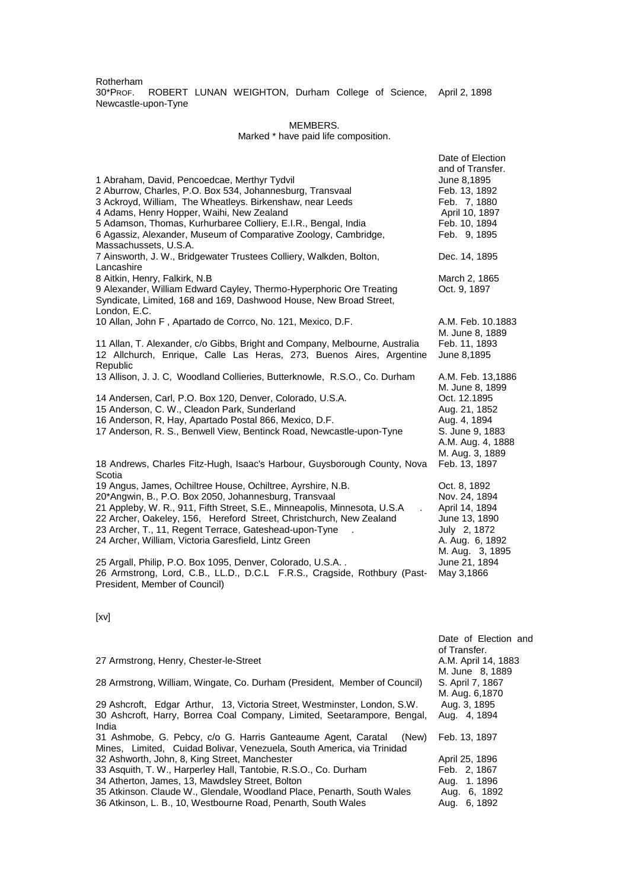Rotherham 30\*PROF. ROBERT LUNAN WEIGHTON, Durham College of Science, April 2, 1898 Newcastle-upon-Tyne

#### MEMBERS.

#### Marked \* have paid life composition.

| 1 Abraham, David, Pencoedcae, Merthyr Tydvil<br>2 Aburrow, Charles, P.O. Box 534, Johannesburg, Transvaal<br>3 Ackroyd, William, The Wheatleys. Birkenshaw, near Leeds<br>4 Adams, Henry Hopper, Waihi, New Zealand<br>5 Adamson, Thomas, Kurhurbaree Colliery, E.I.R., Bengal, India<br>6 Agassiz, Alexander, Museum of Comparative Zoology, Cambridge,<br>Massachussets, U.S.A.          | Date of Election<br>and of Transfer.<br>June 8,1895<br>Feb. 13, 1892<br>Feb. 7, 1880<br>April 10, 1897<br>Feb. 10, 1894<br>Feb. 9, 1895 |
|--------------------------------------------------------------------------------------------------------------------------------------------------------------------------------------------------------------------------------------------------------------------------------------------------------------------------------------------------------------------------------------------|-----------------------------------------------------------------------------------------------------------------------------------------|
| 7 Ainsworth, J. W., Bridgewater Trustees Colliery, Walkden, Bolton,<br>Lancashire                                                                                                                                                                                                                                                                                                          | Dec. 14, 1895                                                                                                                           |
| 8 Aitkin, Henry, Falkirk, N.B.<br>9 Alexander, William Edward Cayley, Thermo-Hyperphoric Ore Treating<br>Syndicate, Limited, 168 and 169, Dashwood House, New Broad Street,<br>London, E.C.                                                                                                                                                                                                | March 2, 1865<br>Oct. 9, 1897                                                                                                           |
| 10 Allan, John F, Apartado de Corrco, No. 121, Mexico, D.F.                                                                                                                                                                                                                                                                                                                                | A.M. Feb. 10.1883<br>M. June 8, 1889                                                                                                    |
| 11 Allan, T. Alexander, c/o Gibbs, Bright and Company, Melbourne, Australia<br>12 Allchurch, Enrique, Calle Las Heras, 273, Buenos Aires, Argentine<br>Republic                                                                                                                                                                                                                            | Feb. 11, 1893<br>June 8,1895                                                                                                            |
| 13 Allison, J. J. C, Woodland Collieries, Butterknowle, R.S.O., Co. Durham                                                                                                                                                                                                                                                                                                                 | A.M. Feb. 13,1886<br>M. June 8, 1899                                                                                                    |
| 14 Andersen, Carl, P.O. Box 120, Denver, Colorado, U.S.A.<br>15 Anderson, C. W., Cleadon Park, Sunderland<br>16 Anderson, R, Hay, Apartado Postal 866, Mexico, D.F.<br>17 Anderson, R. S., Benwell View, Bentinck Road, Newcastle-upon-Tyne                                                                                                                                                | Oct. 12.1895<br>Aug. 21, 1852<br>Aug. 4, 1894<br>S. June 9, 1883<br>A.M. Aug. 4, 1888<br>M. Aug. 3, 1889                                |
| 18 Andrews, Charles Fitz-Hugh, Isaac's Harbour, Guysborough County, Nova<br>Scotia                                                                                                                                                                                                                                                                                                         | Feb. 13, 1897                                                                                                                           |
| 19 Angus, James, Ochiltree House, Ochiltree, Ayrshire, N.B.<br>20*Angwin, B., P.O. Box 2050, Johannesburg, Transvaal<br>21 Appleby, W. R., 911, Fifth Street, S.E., Minneapolis, Minnesota, U.S.A<br>22 Archer, Oakeley, 156, Hereford Street, Christchurch, New Zealand<br>23 Archer, T., 11, Regent Terrace, Gateshead-upon-Tyne<br>24 Archer, William, Victoria Garesfield, Lintz Green | Oct. 8, 1892<br>Nov. 24, 1894<br>April 14, 1894<br>June 13, 1890<br>July 2, 1872<br>A. Aug. 6, 1892<br>M. Aug. 3, 1895                  |
| 25 Argall, Philip, P.O. Box 1095, Denver, Colorado, U.S.A<br>26 Armstrong, Lord, C.B., LL.D., D.C.L F.R.S., Cragside, Rothbury (Past-<br>President, Member of Council)                                                                                                                                                                                                                     | June 21, 1894<br>May 3,1866                                                                                                             |

[xv]

|                                                                           | of Transfer.        |
|---------------------------------------------------------------------------|---------------------|
| 27 Armstrong, Henry, Chester-le-Street                                    | A.M. April 14, 1883 |
|                                                                           | M. June 8, 1889     |
| 28 Armstrong, William, Wingate, Co. Durham (President, Member of Council) | S. April 7, 1867    |
|                                                                           | M. Aug. 6,1870      |
| 29 Ashcroft, Edgar Arthur, 13, Victoria Street, Westminster, London, S.W. | Aug. 3, 1895        |
| 30 Ashcroft, Harry, Borrea Coal Company, Limited, Seetarampore, Bengal,   | Aug. 4, 1894        |
| India                                                                     |                     |
| 31 Ashmobe, G. Pebcy, c/o G. Harris Ganteaume Agent, Caratal<br>(New)     | Feb. 13, 1897       |
| Mines, Limited, Cuidad Bolivar, Venezuela, South America, via Trinidad    |                     |
| 32 Ashworth, John, 8, King Street, Manchester                             | April 25, 1896      |
| 33 Asquith, T. W., Harperley Hall, Tantobie, R.S.O., Co. Durham           | Feb. 2, 1867        |
| 34 Atherton, James, 13, Mawdsley Street, Bolton                           | Aug. 1.1896         |
| 35 Atkinson. Claude W., Glendale, Woodland Place, Penarth, South Wales    | Aug. 6, 1892        |
| 36 Atkinson, L. B., 10, Westbourne Road, Penarth, South Wales             | Aug. 6, 1892        |

Date of Election and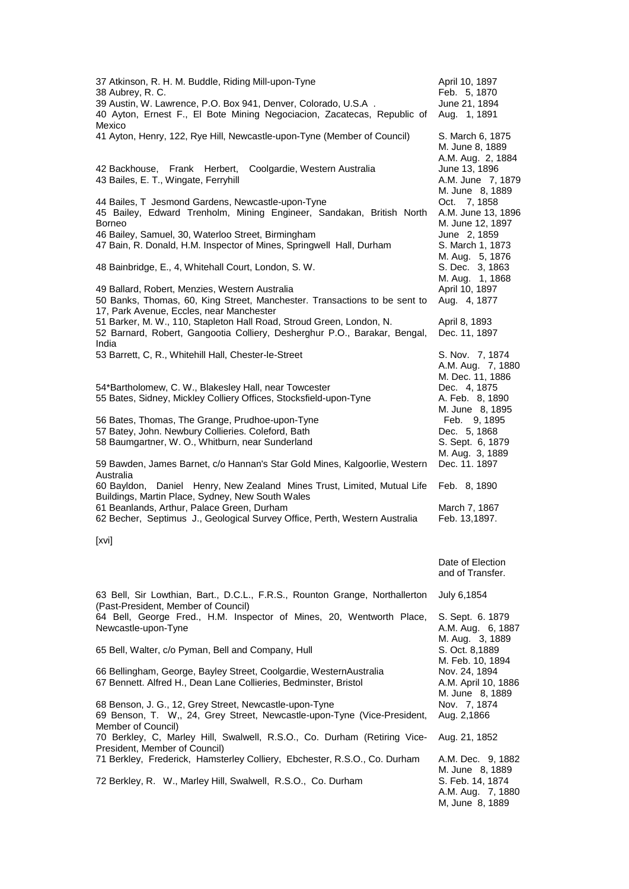| 37 Atkinson, R. H. M. Buddle, Riding Mill-upon-Tyne<br>38 Aubrey, R. C.<br>39 Austin, W. Lawrence, P.O. Box 941, Denver, Colorado, U.S.A.<br>40 Ayton, Ernest F., El Bote Mining Negociacion, Zacatecas, Republic of                                    | April 10, 1897<br>Feb. 5, 1870<br>June 21, 1894<br>Aug. 1, 1891            |
|---------------------------------------------------------------------------------------------------------------------------------------------------------------------------------------------------------------------------------------------------------|----------------------------------------------------------------------------|
| Mexico<br>41 Ayton, Henry, 122, Rye Hill, Newcastle-upon-Tyne (Member of Council)                                                                                                                                                                       | S. March 6, 1875<br>M. June 8, 1889                                        |
| Coolgardie, Western Australia<br>42 Backhouse, Frank Herbert,<br>43 Bailes, E. T., Wingate, Ferryhill                                                                                                                                                   | A.M. Aug. 2, 1884<br>June 13, 1896<br>A.M. June 7, 1879<br>M. June 8, 1889 |
| 44 Bailes, T Jesmond Gardens, Newcastle-upon-Tyne<br>45 Bailey, Edward Trenholm, Mining Engineer, Sandakan, British North<br><b>Borneo</b>                                                                                                              | Oct. 7, 1858<br>A.M. June 13, 1896<br>M. June 12, 1897                     |
| 46 Bailey, Samuel, 30, Waterloo Street, Birmingham<br>47 Bain, R. Donald, H.M. Inspector of Mines, Springwell Hall, Durham                                                                                                                              | June 2, 1859<br>S. March 1, 1873<br>M. Aug. 5, 1876                        |
| 48 Bainbridge, E., 4, Whitehall Court, London, S. W.                                                                                                                                                                                                    | S. Dec. 3, 1863<br>M. Aug. 1, 1868                                         |
| 49 Ballard, Robert, Menzies, Western Australia<br>50 Banks, Thomas, 60, King Street, Manchester. Transactions to be sent to<br>17, Park Avenue, Eccles, near Manchester                                                                                 | April 10, 1897<br>Aug. 4, 1877                                             |
| 51 Barker, M. W., 110, Stapleton Hall Road, Stroud Green, London, N.<br>52 Barnard, Robert, Gangootia Colliery, Desherghur P.O., Barakar, Bengal,<br>India                                                                                              | April 8, 1893<br>Dec. 11, 1897                                             |
| 53 Barrett, C, R., Whitehill Hall, Chester-le-Street                                                                                                                                                                                                    | S. Nov. 7, 1874<br>A.M. Aug. 7, 1880                                       |
| 54*Bartholomew, C. W., Blakesley Hall, near Towcester<br>55 Bates, Sidney, Mickley Colliery Offices, Stocksfield-upon-Tyne                                                                                                                              | M. Dec. 11, 1886<br>Dec. 4, 1875<br>A. Feb. 8, 1890<br>M. June 8, 1895     |
| 56 Bates, Thomas, The Grange, Prudhoe-upon-Tyne<br>57 Batey, John. Newbury Collieries. Coleford, Bath<br>58 Baumgartner, W. O., Whitburn, near Sunderland                                                                                               | Feb. 9, 1895<br>Dec. 5, 1868<br>S. Sept. 6, 1879                           |
| 59 Bawden, James Barnet, c/o Hannan's Star Gold Mines, Kalgoorlie, Western<br>Australia                                                                                                                                                                 | M. Aug. 3, 1889<br>Dec. 11. 1897                                           |
| 60 Bayldon, Daniel Henry, New Zealand Mines Trust, Limited, Mutual Life<br>Buildings, Martin Place, Sydney, New South Wales<br>61 Beanlands, Arthur, Palace Green, Durham<br>62 Becher, Septimus J., Geological Survey Office, Perth, Western Australia | Feb. 8, 1890<br>March 7, 1867<br>Feb. 13,1897.                             |
| [xvi]                                                                                                                                                                                                                                                   |                                                                            |
|                                                                                                                                                                                                                                                         | Date of Election<br>and of Transfer.                                       |
| 63 Bell, Sir Lowthian, Bart., D.C.L., F.R.S., Rounton Grange, Northallerton<br>(Past-President, Member of Council)                                                                                                                                      | July 6,1854                                                                |
| 64 Bell, George Fred., H.M. Inspector of Mines, 20, Wentworth Place,<br>Newcastle-upon-Tyne                                                                                                                                                             | S. Sept. 6. 1879<br>A.M. Aug. 6, 1887<br>M. Aug. 3, 1889                   |
| 65 Bell, Walter, c/o Pyman, Bell and Company, Hull                                                                                                                                                                                                      | S. Oct. 8,1889<br>M. Feb. 10, 1894                                         |
| 66 Bellingham, George, Bayley Street, Coolgardie, WesternAustralia<br>67 Bennett. Alfred H., Dean Lane Collieries, Bedminster, Bristol                                                                                                                  | Nov. 24, 1894<br>A.M. April 10, 1886<br>M. June 8, 1889                    |
| 68 Benson, J. G., 12, Grey Street, Newcastle-upon-Tyne<br>69 Benson, T. W,, 24, Grey Street, Newcastle-upon-Tyne (Vice-President,<br>Member of Council)                                                                                                 | Nov. 7, 1874<br>Aug. 2,1866                                                |
| 70 Berkley, C, Marley Hill, Swalwell, R.S.O., Co. Durham (Retiring Vice-<br>President, Member of Council)                                                                                                                                               | Aug. 21, 1852                                                              |
| 71 Berkley, Frederick, Hamsterley Colliery, Ebchester, R.S.O., Co. Durham                                                                                                                                                                               | A.M. Dec. 9, 1882<br>M. June 8, 1889                                       |
| 72 Berkley, R. W., Marley Hill, Swalwell, R.S.O., Co. Durham                                                                                                                                                                                            | S. Feb. 14, 1874<br>A.M. Aug. 7, 1880<br>M, June 8, 1889                   |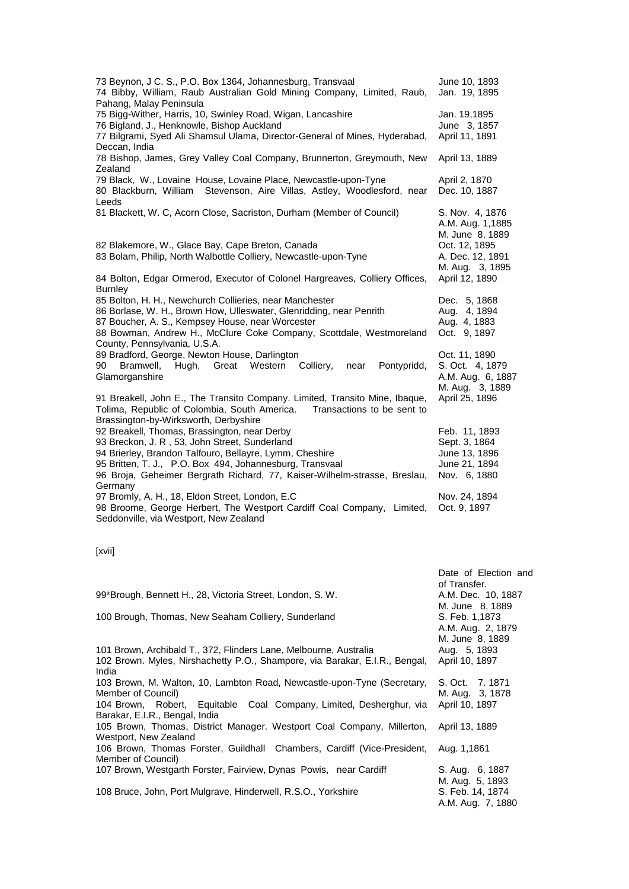| 73 Beynon, J C. S., P.O. Box 1364, Johannesburg, Transvaal<br>74 Bibby, William, Raub Australian Gold Mining Company, Limited, Raub,<br>Pahang, Malay Peninsula                                                                                                                                              | June 10, 1893<br>Jan. 19, 1895                                                   |
|--------------------------------------------------------------------------------------------------------------------------------------------------------------------------------------------------------------------------------------------------------------------------------------------------------------|----------------------------------------------------------------------------------|
| 75 Bigg-Wither, Harris, 10, Swinley Road, Wigan, Lancashire<br>76 Bigland, J., Henknowle, Bishop Auckland<br>77 Bilgrami, Syed Ali Shamsul Ulama, Director-General of Mines, Hyderabad,<br>Deccan, India                                                                                                     | Jan. 19,1895<br>June 3, 1857<br>April 11, 1891                                   |
| 78 Bishop, James, Grey Valley Coal Company, Brunnerton, Greymouth, New<br>Zealand                                                                                                                                                                                                                            | April 13, 1889                                                                   |
| 79 Black, W., Lovaine House, Lovaine Place, Newcastle-upon-Tyne<br>Stevenson, Aire Villas, Astley, Woodlesford, near<br>80 Blackburn, William<br>Leeds                                                                                                                                                       | April 2, 1870<br>Dec. 10, 1887                                                   |
| 81 Blackett, W. C, Acorn Close, Sacriston, Durham (Member of Council)                                                                                                                                                                                                                                        | S. Nov. 4, 1876<br>A.M. Aug. 1,1885<br>M. June 8, 1889                           |
| 82 Blakemore, W., Glace Bay, Cape Breton, Canada<br>83 Bolam, Philip, North Walbottle Colliery, Newcastle-upon-Tyne                                                                                                                                                                                          | Oct. 12, 1895<br>A. Dec. 12, 1891<br>M. Aug. 3, 1895                             |
| 84 Bolton, Edgar Ormerod, Executor of Colonel Hargreaves, Colliery Offices,<br><b>Burnley</b>                                                                                                                                                                                                                | April 12, 1890                                                                   |
| 85 Bolton, H. H., Newchurch Collieries, near Manchester<br>86 Borlase, W. H., Brown How, Ulleswater, Glenridding, near Penrith<br>87 Boucher, A. S., Kempsey House, near Worcester<br>88 Bowman, Andrew H., McClure Coke Company, Scottdale, Westmoreland<br>County, Pennsylvania, U.S.A.                    | Dec. 5, 1868<br>Aug. 4, 1894<br>Aug. 4, 1883<br>Oct. 9, 1897                     |
| 89 Bradford, George, Newton House, Darlington<br>Great Western<br>Colliery,<br>Pontypridd,<br>90<br>Bramwell,<br>Hugh,<br>near<br>Glamorganshire                                                                                                                                                             | Oct. 11, 1890<br>S. Oct. 4, 1879<br>A.M. Aug. 6, 1887<br>M. Aug. 3, 1889         |
| 91 Breakell, John E., The Transito Company. Limited, Transito Mine, Ibaque,<br>Tolima, Republic of Colombia, South America.<br>Transactions to be sent to<br>Brassington-by-Wirksworth, Derbyshire                                                                                                           | April 25, 1896                                                                   |
| 92 Breakell, Thomas, Brassington, near Derby<br>93 Breckon, J. R, 53, John Street, Sunderland<br>94 Brierley, Brandon Talfouro, Bellayre, Lymm, Cheshire<br>95 Britten, T. J., P.O. Box 494, Johannesburg, Transvaal<br>96 Broja, Geheimer Bergrath Richard, 77, Kaiser-Wilhelm-strasse, Breslau,<br>Germany | Feb. 11, 1893<br>Sept. 3, 1864<br>June 13, 1896<br>June 21, 1894<br>Nov. 6, 1880 |
| 97 Bromly, A. H., 18, Eldon Street, London, E.C<br>98 Broome, George Herbert, The Westport Cardiff Coal Company, Limited,<br>Seddonville, via Westport, New Zealand                                                                                                                                          | Nov. 24, 1894<br>Oct. 9, 1897                                                    |
|                                                                                                                                                                                                                                                                                                              |                                                                                  |

[xvii]

|                                                                                                  | Date of Election and<br>of Transfer. |
|--------------------------------------------------------------------------------------------------|--------------------------------------|
| 99*Brough, Bennett H., 28, Victoria Street, London, S. W.                                        | A.M. Dec. 10, 1887                   |
|                                                                                                  | M. June 8, 1889                      |
| 100 Brough, Thomas, New Seaham Colliery, Sunderland                                              | S. Feb. 1,1873                       |
|                                                                                                  | A.M. Aug. 2, 1879<br>M. June 8, 1889 |
| 101 Brown, Archibald T., 372, Flinders Lane, Melbourne, Australia                                | Aug. 5, 1893                         |
| 102 Brown. Myles, Nirshachetty P.O., Shampore, via Barakar, E.I.R., Bengal,                      | April 10, 1897                       |
| India                                                                                            |                                      |
| 103 Brown, M. Walton, 10, Lambton Road, Newcastle-upon-Tyne (Secretary,                          | S. Oct. 7. 1871                      |
| Member of Council)                                                                               | M. Aug. 3, 1878                      |
| 104 Brown, Robert, Equitable Coal Company, Limited, Desherghur, via                              | April 10, 1897                       |
| Barakar, E.I.R., Bengal, India                                                                   |                                      |
| 105 Brown, Thomas, District Manager. Westport Coal Company, Millerton,                           | April 13, 1889                       |
| Westport, New Zealand<br>106 Brown, Thomas Forster, Guildhall Chambers, Cardiff (Vice-President, |                                      |
| Member of Council)                                                                               | Aug. 1,1861                          |
| 107 Brown, Westgarth Forster, Fairview, Dynas Powis, near Cardiff                                | S. Aug. 6, 1887                      |
|                                                                                                  | M. Aug. 5, 1893                      |
| 108 Bruce, John, Port Mulgrave, Hinderwell, R.S.O., Yorkshire                                    | S. Feb. 14, 1874                     |
|                                                                                                  | A.M. Aug. 7, 1880                    |
|                                                                                                  |                                      |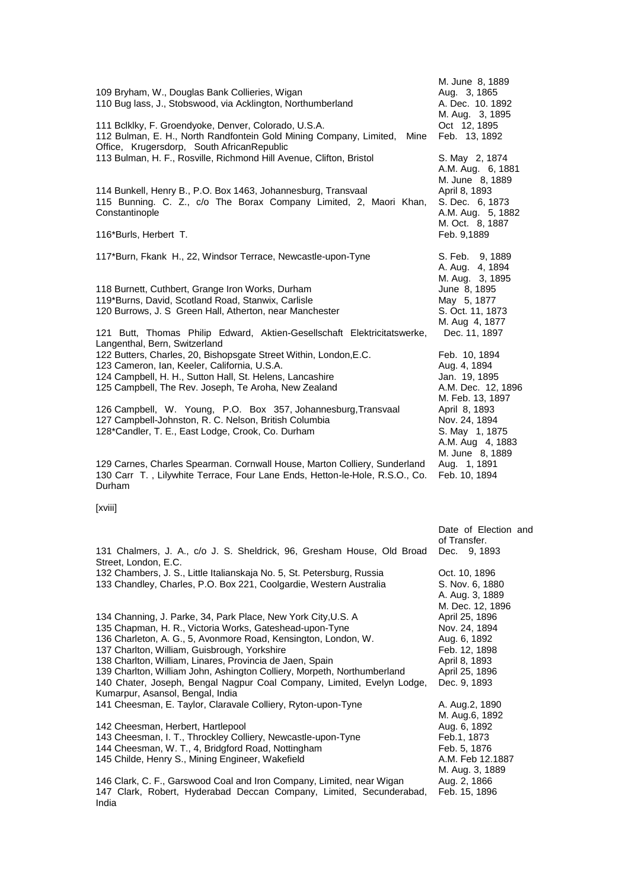| 109 Bryham, W., Douglas Bank Collieries, Wigan<br>110 Bug lass, J., Stobswood, via Acklington, Northumberland<br>111 Bclklky, F. Groendyoke, Denver, Colorado, U.S.A.<br>112 Bulman, E. H., North Randfontein Gold Mining Company, Limited,<br>Mine                                                                                                                                                                                                                                                                              | M. June 8, 1889<br>Aug. 3, 1865<br>A. Dec. 10. 1892<br>M. Aug. 3, 1895<br>Oct 12, 1895<br>Feb. 13, 1892                                                                                                                |
|----------------------------------------------------------------------------------------------------------------------------------------------------------------------------------------------------------------------------------------------------------------------------------------------------------------------------------------------------------------------------------------------------------------------------------------------------------------------------------------------------------------------------------|------------------------------------------------------------------------------------------------------------------------------------------------------------------------------------------------------------------------|
| Office, Krugersdorp, South AfricanRepublic<br>113 Bulman, H. F., Rosville, Richmond Hill Avenue, Clifton, Bristol<br>114 Bunkell, Henry B., P.O. Box 1463, Johannesburg, Transvaal<br>115 Bunning. C. Z., c/o The Borax Company Limited, 2, Maori Khan,<br>Constantinople<br>116*Burls, Herbert T.                                                                                                                                                                                                                               | S. May 2, 1874<br>A.M. Aug. 6, 1881<br>M. June 8, 1889<br>April 8, 1893<br>S. Dec. 6, 1873<br>A.M. Aug. 5, 1882<br>M. Oct. 8, 1887<br>Feb. 9,1889                                                                      |
| 117*Burn, Fkank H., 22, Windsor Terrace, Newcastle-upon-Tyne<br>118 Burnett, Cuthbert, Grange Iron Works, Durham<br>119*Burns, David, Scotland Road, Stanwix, Carlisle<br>120 Burrows, J. S Green Hall, Atherton, near Manchester                                                                                                                                                                                                                                                                                                | S. Feb. 9, 1889<br>A. Aug. 4, 1894<br>M. Aug. 3, 1895<br>June 8, 1895<br>May 5, 1877<br>S. Oct. 11, 1873                                                                                                               |
| 121 Butt, Thomas Philip Edward, Aktien-Gesellschaft Elektricitatswerke,<br>Langenthal, Bern, Switzerland<br>122 Butters, Charles, 20, Bishopsgate Street Within, London, E.C.<br>123 Cameron, Ian, Keeler, California, U.S.A.<br>124 Campbell, H. H., Sutton Hall, St. Helens, Lancashire<br>125 Campbell, The Rev. Joseph, Te Aroha, New Zealand<br>126 Campbell, W. Young, P.O. Box 357, Johannesburg, Transvaal<br>127 Campbell-Johnston, R. C. Nelson, British Columbia<br>128*Candler, T. E., East Lodge, Crook, Co. Durham | M. Aug 4, 1877<br>Dec. 11, 1897<br>Feb. 10, 1894<br>Aug. 4, 1894<br>Jan. 19, 1895<br>A.M. Dec. 12, 1896<br>M. Feb. 13, 1897<br>April 8, 1893<br>Nov. 24, 1894<br>S. May 1, 1875<br>A.M. Aug 4, 1883<br>M. June 8, 1889 |
| 129 Carnes, Charles Spearman. Cornwall House, Marton Colliery, Sunderland<br>130 Carr T., Lilywhite Terrace, Four Lane Ends, Hetton-le-Hole, R.S.O., Co.<br>Durham<br>[xviii]                                                                                                                                                                                                                                                                                                                                                    | Aug. 1, 1891<br>Feb. 10, 1894                                                                                                                                                                                          |
| 131 Chalmers, J. A., c/o J. S. Sheldrick, 96, Gresham House, Old Broad Dec. 9, 1893<br>Street, London, E.C.<br>132 Chambers, J. S., Little Italianskaja No. 5, St. Petersburg, Russia<br>133 Chandley, Charles, P.O. Box 221, Coolgardie, Western Australia                                                                                                                                                                                                                                                                      | Date of Election and<br>of Transfer.<br>Oct. 10, 1896<br>S. Nov. 6, 1880<br>A. Aug. 3, 1889<br>M. Dec. 12, 1896                                                                                                        |
| 134 Channing, J. Parke, 34, Park Place, New York City, U.S. A<br>135 Chapman, H. R., Victoria Works, Gateshead-upon-Tyne<br>136 Charleton, A. G., 5, Avonmore Road, Kensington, London, W.<br>137 Charlton, William, Guisbrough, Yorkshire<br>138 Charlton, William, Linares, Provincia de Jaen, Spain<br>139 Charlton, William John, Ashington Colliery, Morpeth, Northumberland<br>140 Chater, Joseph, Bengal Nagpur Coal Company, Limited, Evelyn Lodge,<br>Kumarpur, Asansol, Bengal, India                                  | April 25, 1896<br>Nov. 24, 1894<br>Aug. 6, 1892<br>Feb. 12, 1898<br>April 8, 1893<br>April 25, 1896<br>Dec. 9, 1893                                                                                                    |
| 141 Cheesman, E. Taylor, Claravale Colliery, Ryton-upon-Tyne<br>142 Cheesman, Herbert, Hartlepool<br>143 Cheesman, I. T., Throckley Colliery, Newcastle-upon-Tyne<br>144 Cheesman, W. T., 4, Bridgford Road, Nottingham<br>145 Childe, Henry S., Mining Engineer, Wakefield<br>146 Clark, C. F., Garswood Coal and Iron Company, Limited, near Wigan                                                                                                                                                                             | A. Aug.2, 1890<br>M. Aug.6, 1892<br>Aug. 6, 1892<br>Feb.1, 1873<br>Feb. 5, 1876<br>A.M. Feb 12.1887<br>M. Aug. 3, 1889<br>Aug. 2, 1866                                                                                 |
| 147 Clark, Robert, Hyderabad Deccan Company, Limited, Secunderabad,<br>India                                                                                                                                                                                                                                                                                                                                                                                                                                                     | Feb. 15, 1896                                                                                                                                                                                                          |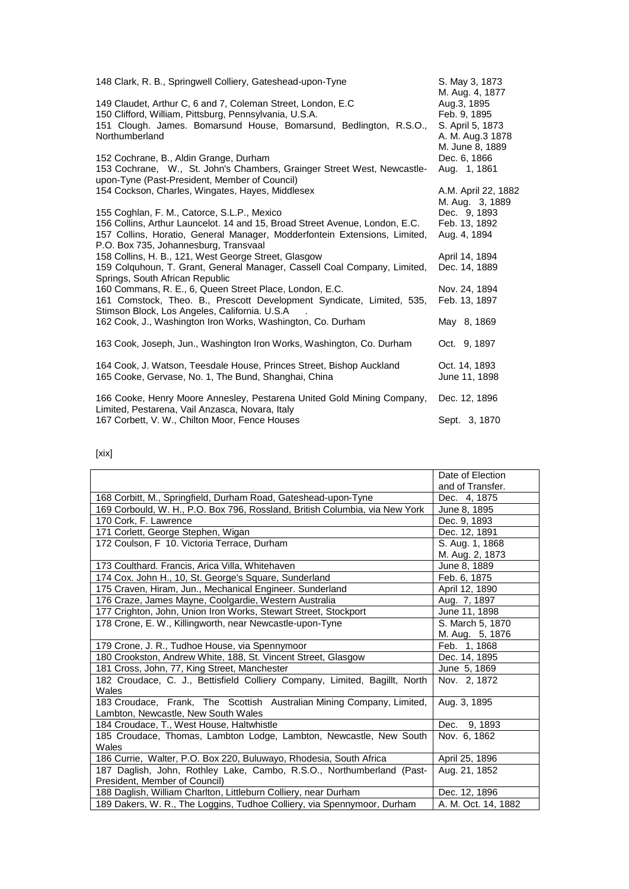| 148 Clark, R. B., Springwell Colliery, Gateshead-upon-Tyne                                                                                                                                        | S. May 3, 1873                                                     |
|---------------------------------------------------------------------------------------------------------------------------------------------------------------------------------------------------|--------------------------------------------------------------------|
| 149 Claudet, Arthur C, 6 and 7, Coleman Street, London, E.C<br>150 Clifford, William, Pittsburg, Pennsylvania, U.S.A.<br>151 Clough. James. Bomarsund House, Bomarsund, Bedlington, R.S.O.,       | M. Aug. 4, 1877<br>Aug.3, 1895<br>Feb. 9, 1895<br>S. April 5, 1873 |
| Northumberland                                                                                                                                                                                    | A. M. Aug.3 1878<br>M. June 8, 1889                                |
| 152 Cochrane, B., Aldin Grange, Durham<br>153 Cochrane, W., St. John's Chambers, Grainger Street West, Newcastle-                                                                                 | Dec. 6, 1866<br>Aug. 1, 1861                                       |
| upon-Tyne (Past-President, Member of Council)<br>154 Cockson, Charles, Wingates, Hayes, Middlesex                                                                                                 | A.M. April 22, 1882<br>M. Aug. 3, 1889                             |
| 155 Coghlan, F. M., Catorce, S.L.P., Mexico                                                                                                                                                       | Dec. 9, 1893                                                       |
| 156 Collins, Arthur Launcelot. 14 and 15, Broad Street Avenue, London, E.C.<br>157 Collins, Horatio, General Manager, Modderfontein Extensions, Limited,<br>P.O. Box 735, Johannesburg, Transvaal | Feb. 13, 1892<br>Aug. 4, 1894                                      |
| 158 Collins, H. B., 121, West George Street, Glasgow                                                                                                                                              | April 14, 1894                                                     |
| 159 Colquhoun, T. Grant, General Manager, Cassell Coal Company, Limited,<br>Springs, South African Republic                                                                                       | Dec. 14, 1889                                                      |
| 160 Commans, R. E., 6, Queen Street Place, London, E.C.<br>161 Comstock, Theo. B., Prescott Development Syndicate, Limited, 535,                                                                  | Nov. 24, 1894<br>Feb. 13, 1897                                     |
| Stimson Block, Los Angeles, California. U.S.A                                                                                                                                                     |                                                                    |
| 162 Cook, J., Washington Iron Works, Washington, Co. Durham                                                                                                                                       | May 8, 1869                                                        |
| 163 Cook, Joseph, Jun., Washington Iron Works, Washington, Co. Durham                                                                                                                             | Oct. 9, 1897                                                       |
| 164 Cook, J. Watson, Teesdale House, Princes Street, Bishop Auckland<br>165 Cooke, Gervase, No. 1, The Bund, Shanghai, China                                                                      | Oct. 14, 1893<br>June 11, 1898                                     |
| 166 Cooke, Henry Moore Annesley, Pestarena United Gold Mining Company,<br>Limited, Pestarena, Vail Anzasca, Novara, Italy                                                                         | Dec. 12, 1896                                                      |
| 167 Corbett, V. W., Chilton Moor, Fence Houses                                                                                                                                                    | Sept. 3, 1870                                                      |

[xix]

|                                                                                                              | Date of Election    |
|--------------------------------------------------------------------------------------------------------------|---------------------|
|                                                                                                              | and of Transfer.    |
| 168 Corbitt, M., Springfield, Durham Road, Gateshead-upon-Tyne                                               | Dec. 4, 1875        |
| 169 Corbould, W. H., P.O. Box 796, Rossland, British Columbia, via New York                                  | June 8, 1895        |
| 170 Cork, F. Lawrence                                                                                        | Dec. 9, 1893        |
| 171 Corlett, George Stephen, Wigan                                                                           | Dec. 12, 1891       |
| 172 Coulson, F 10. Victoria Terrace, Durham                                                                  | S. Aug. 1, 1868     |
|                                                                                                              | M. Aug. 2, 1873     |
| 173 Coulthard. Francis, Arica Villa, Whitehaven                                                              | June 8, 1889        |
| 174 Cox. John H., 10, St. George's Square, Sunderland                                                        | Feb. 6, 1875        |
| 175 Craven, Hiram, Jun., Mechanical Engineer. Sunderland                                                     | April 12, 1890      |
| 176 Craze, James Mayne, Coolgardie, Western Australia                                                        | Aug. 7, 1897        |
| 177 Crighton, John, Union Iron Works, Stewart Street, Stockport                                              | June 11, 1898       |
| 178 Crone, E. W., Killingworth, near Newcastle-upon-Tyne                                                     | S. March 5, 1870    |
|                                                                                                              | M. Aug. 5, 1876     |
| 179 Crone, J. R., Tudhoe House, via Spennymoor                                                               | Feb. 1, 1868        |
| 180 Crookston, Andrew White, 188, St. Vincent Street, Glasgow                                                | Dec. 14, 1895       |
| 181 Cross, John, 77, King Street, Manchester                                                                 | June 5, 1869        |
| 182 Croudace, C. J., Bettisfield Colliery Company, Limited, Bagillt, North<br>Wales                          | Nov. 2, 1872        |
| 183 Croudace, Frank, The Scottish Australian Mining Company, Limited,<br>Lambton, Newcastle, New South Wales | Aug. 3, 1895        |
| 184 Croudace, T., West House, Haltwhistle                                                                    | Dec. 9, 1893        |
| 185 Croudace, Thomas, Lambton Lodge, Lambton, Newcastle, New South                                           | Nov. 6, 1862        |
| Wales                                                                                                        |                     |
| 186 Currie, Walter, P.O. Box 220, Buluwayo, Rhodesia, South Africa                                           | April 25, 1896      |
| 187 Daglish, John, Rothley Lake, Cambo, R.S.O., Northumberland (Past-                                        | Aug. 21, 1852       |
| President, Member of Council)                                                                                |                     |
| 188 Daglish, William Charlton, Littleburn Colliery, near Durham                                              | Dec. 12, 1896       |
| 189 Dakers, W. R., The Loggins, Tudhoe Colliery, via Spennymoor, Durham                                      | A. M. Oct. 14, 1882 |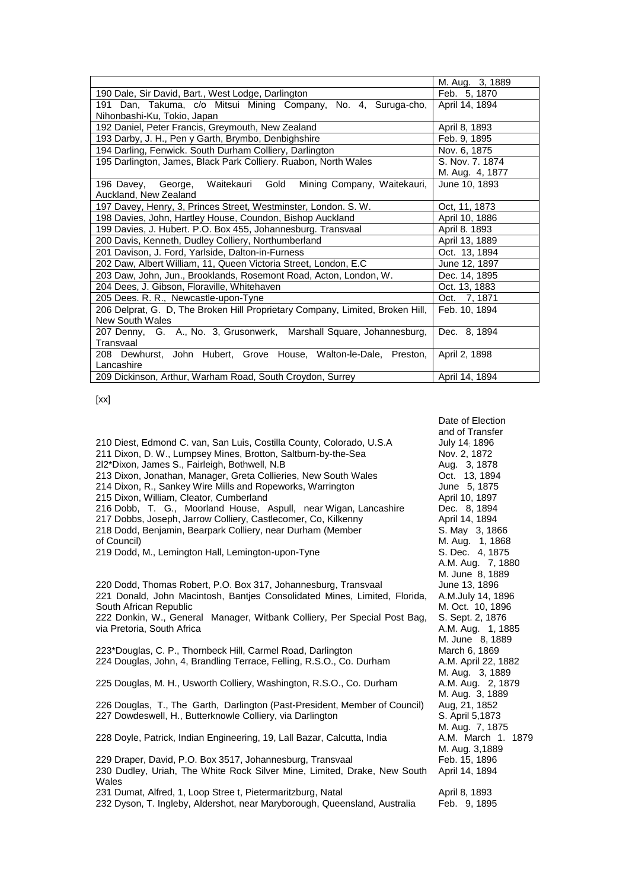|                                                                               | M. Aug. 3, 1889 |
|-------------------------------------------------------------------------------|-----------------|
| 190 Dale, Sir David, Bart., West Lodge, Darlington                            | Feb. 5, 1870    |
| 191 Dan, Takuma, c/o Mitsui Mining Company, No. 4, Suruga-cho,                | April 14, 1894  |
| Nihonbashi-Ku, Tokio, Japan                                                   |                 |
| 192 Daniel, Peter Francis, Greymouth, New Zealand                             | April 8, 1893   |
| 193 Darby, J. H., Pen y Garth, Brymbo, Denbighshire                           | Feb. 9, 1895    |
| 194 Darling, Fenwick. South Durham Colliery, Darlington                       | Nov. 6, 1875    |
| 195 Darlington, James, Black Park Colliery. Ruabon, North Wales               | S. Nov. 7, 1874 |
|                                                                               | M. Aug. 4, 1877 |
| 196 Davey,<br>George,<br>Waitekauri<br>Gold<br>Mining Company, Waitekauri,    | June 10, 1893   |
| Auckland, New Zealand                                                         |                 |
| 197 Davey, Henry, 3, Princes Street, Westminster, London. S. W.               | Oct. 11, 1873   |
| 198 Davies, John, Hartley House, Coundon, Bishop Auckland                     | April 10, 1886  |
| 199 Davies, J. Hubert. P.O. Box 455, Johannesburg. Transvaal                  | April 8. 1893   |
| 200 Davis, Kenneth, Dudley Colliery, Northumberland                           | April 13, 1889  |
| 201 Davison, J. Ford, Yarlside, Dalton-in-Furness                             | Oct. 13, 1894   |
| 202 Daw, Albert William, 11, Queen Victoria Street, London, E.C               | June 12, 1897   |
| 203 Daw, John, Jun., Brooklands, Rosemont Road, Acton, London, W.             | Dec. 14, 1895   |
| 204 Dees, J. Gibson, Floraville, Whitehaven                                   | Oct. 13, 1883   |
| 205 Dees. R. R., Newcastle-upon-Tyne                                          | Oct. 7, 1871    |
| 206 Delprat, G. D, The Broken Hill Proprietary Company, Limited, Broken Hill, | Feb. 10, 1894   |
| <b>New South Wales</b>                                                        |                 |
| 207 Denny, G. A., No. 3, Grusonwerk, Marshall Square, Johannesburg,           | Dec. 8, 1894    |
| Transvaal                                                                     |                 |
| 208 Dewhurst, John Hubert, Grove House, Walton-le-Dale, Preston,              | April 2, 1898   |
| Lancashire                                                                    |                 |
| 209 Dickinson, Arthur, Warham Road, South Croydon, Surrey                     | April 14, 1894  |

Date of Election

[xx]

|                                                                            | and of Transfer     |
|----------------------------------------------------------------------------|---------------------|
| 210 Diest, Edmond C. van, San Luis, Costilla County, Colorado, U.S.A       | July 14; 1896       |
| 211 Dixon, D. W., Lumpsey Mines, Brotton, Saltburn-by-the-Sea              | Nov. 2, 1872        |
| 2l2*Dixon, James S., Fairleigh, Bothwell, N.B                              | Aug. 3, 1878        |
| 213 Dixon, Jonathan, Manager, Greta Collieries, New South Wales            | Oct. 13, 1894       |
| 214 Dixon, R., Sankey Wire Mills and Ropeworks, Warrington                 | June 5, 1875        |
| 215 Dixon, William, Cleator, Cumberland                                    | April 10, 1897      |
| 216 Dobb, T. G., Moorland House, Aspull, near Wigan, Lancashire            | Dec. 8, 1894        |
| 217 Dobbs, Joseph, Jarrow Colliery, Castlecomer, Co, Kilkenny              | April 14, 1894      |
| 218 Dodd, Benjamin, Bearpark Colliery, near Durham (Member                 | S. May 3, 1866      |
| of Council)                                                                | M. Aug. 1, 1868     |
| 219 Dodd, M., Lemington Hall, Lemington-upon-Tyne                          | S. Dec. 4, 1875     |
|                                                                            | A.M. Aug. 7, 1880   |
|                                                                            | M. June 8, 1889     |
| 220 Dodd, Thomas Robert, P.O. Box 317, Johannesburg, Transvaal             | June 13, 1896       |
|                                                                            |                     |
| 221 Donald, John Macintosh, Bantjes Consolidated Mines, Limited, Florida,  | A.M.July 14, 1896   |
| South African Republic                                                     | M. Oct. 10, 1896    |
| 222 Donkin, W., General Manager, Witbank Colliery, Per Special Post Bag,   | S. Sept. 2, 1876    |
| via Pretoria, South Africa                                                 | A.M. Aug. 1, 1885   |
|                                                                            | M. June 8, 1889     |
| 223*Douglas, C. P., Thornbeck Hill, Carmel Road, Darlington                | March 6, 1869       |
| 224 Douglas, John, 4, Brandling Terrace, Felling, R.S.O., Co. Durham       | A.M. April 22, 1882 |
|                                                                            | M. Aug. 3, 1889     |
| 225 Douglas, M. H., Usworth Colliery, Washington, R.S.O., Co. Durham       | A.M. Aug. 2, 1879   |
|                                                                            | M. Aug. 3, 1889     |
| 226 Douglas, T., The Garth, Darlington (Past-President, Member of Council) | Aug, 21, 1852       |
| 227 Dowdeswell, H., Butterknowle Colliery, via Darlington                  | S. April 5,1873     |
|                                                                            | M. Aug. 7, 1875     |
| 228 Doyle, Patrick, Indian Engineering, 19, Lall Bazar, Calcutta, India    | A.M. March 1. 1879  |
|                                                                            | M. Aug. 3,1889      |
| 229 Draper, David, P.O. Box 3517, Johannesburg, Transvaal                  | Feb. 15, 1896       |
| 230 Dudley, Uriah, The White Rock Silver Mine, Limited, Drake, New South   | April 14, 1894      |
| Wales                                                                      |                     |
| 231 Dumat, Alfred, 1, Loop Stree t, Pietermaritzburg, Natal                | April 8, 1893       |
| 232 Dyson, T. Ingleby, Aldershot, near Maryborough, Queensland, Australia  | Feb. 9, 1895        |
|                                                                            |                     |
|                                                                            |                     |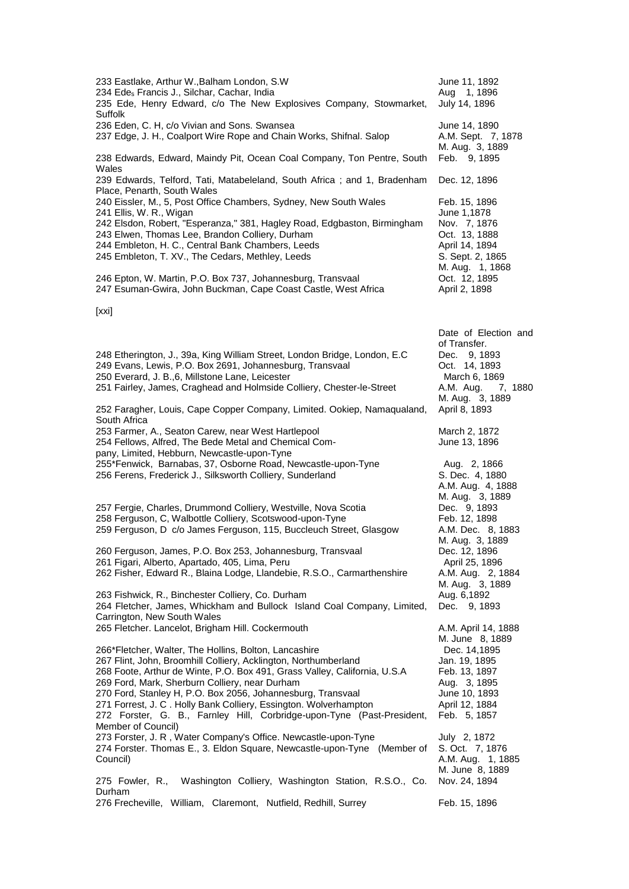| 233 Eastlake, Arthur W., Balham London, S.W<br>234 Edes Francis J., Silchar, Cachar, India<br>235 Ede, Henry Edward, c/o The New Explosives Company, Stowmarket,                                                                                                                                                                                                                                                                                                                                                                                                                                                  | June 11, 1892<br>Aug 1, 1896<br>July 14, 1896                                                                                                                               |
|-------------------------------------------------------------------------------------------------------------------------------------------------------------------------------------------------------------------------------------------------------------------------------------------------------------------------------------------------------------------------------------------------------------------------------------------------------------------------------------------------------------------------------------------------------------------------------------------------------------------|-----------------------------------------------------------------------------------------------------------------------------------------------------------------------------|
| Suffolk<br>236 Eden, C. H, c/o Vivian and Sons. Swansea<br>237 Edge, J. H., Coalport Wire Rope and Chain Works, Shifnal. Salop                                                                                                                                                                                                                                                                                                                                                                                                                                                                                    | June 14, 1890<br>A.M. Sept. 7, 1878<br>M. Aug. 3, 1889                                                                                                                      |
| 238 Edwards, Edward, Maindy Pit, Ocean Coal Company, Ton Pentre, South<br>Wales                                                                                                                                                                                                                                                                                                                                                                                                                                                                                                                                   | Feb. 9, 1895                                                                                                                                                                |
| 239 Edwards, Telford, Tati, Matabeleland, South Africa; and 1, Bradenham<br>Place, Penarth, South Wales                                                                                                                                                                                                                                                                                                                                                                                                                                                                                                           | Dec. 12, 1896                                                                                                                                                               |
| 240 Eissler, M., 5, Post Office Chambers, Sydney, New South Wales<br>241 Ellis, W. R., Wigan<br>242 Elsdon, Robert, "Esperanza," 381, Hagley Road, Edgbaston, Birmingham<br>243 Elwen, Thomas Lee, Brandon Colliery, Durham<br>244 Embleton, H. C., Central Bank Chambers, Leeds<br>245 Embleton, T. XV., The Cedars, Methley, Leeds<br>246 Epton, W. Martin, P.O. Box 737, Johannesburg, Transvaal<br>247 Esuman-Gwira, John Buckman, Cape Coast Castle, West Africa<br>[xxi]                                                                                                                                    | Feb. 15, 1896<br>June 1,1878<br>Nov. 7, 1876<br>Oct. 13, 1888<br>April 14, 1894<br>S. Sept. 2, 1865<br>M. Aug. 1, 1868<br>Oct. 12, 1895<br>April 2, 1898                    |
|                                                                                                                                                                                                                                                                                                                                                                                                                                                                                                                                                                                                                   | Date of Election and                                                                                                                                                        |
| 248 Etherington, J., 39a, King William Street, London Bridge, London, E.C.<br>249 Evans, Lewis, P.O. Box 2691, Johannesburg, Transvaal<br>250 Everard, J. B., 6, Millstone Lane, Leicester<br>251 Fairley, James, Craghead and Holmside Colliery, Chester-le-Street<br>252 Faragher, Louis, Cape Copper Company, Limited. Ookiep, Namaqualand,                                                                                                                                                                                                                                                                    | of Transfer.<br>Dec. 9, 1893<br>Oct. 14, 1893<br>March 6, 1869<br>A.M. Aug.<br>7, 1880<br>M. Aug. 3, 1889<br>April 8, 1893                                                  |
| South Africa<br>253 Farmer, A., Seaton Carew, near West Hartlepool<br>254 Fellows, Alfred, The Bede Metal and Chemical Com-<br>pany, Limited, Hebburn, Newcastle-upon-Tyne                                                                                                                                                                                                                                                                                                                                                                                                                                        | March 2, 1872<br>June 13, 1896                                                                                                                                              |
| 255*Fenwick, Barnabas, 37, Osborne Road, Newcastle-upon-Tyne<br>256 Ferens, Frederick J., Silksworth Colliery, Sunderland                                                                                                                                                                                                                                                                                                                                                                                                                                                                                         | Aug. 2, 1866<br>S. Dec. 4, 1880<br>A.M. Aug. 4, 1888<br>M. Aug. 3, 1889                                                                                                     |
| 257 Fergie, Charles, Drummond Colliery, Westville, Nova Scotia<br>258 Ferguson, C, Walbottle Colliery, Scotswood-upon-Tyne<br>259 Ferguson, D c/o James Ferguson, 115, Buccleuch Street, Glasgow                                                                                                                                                                                                                                                                                                                                                                                                                  | Dec. 9, 1893<br>Feb. 12, 1898<br>A.M. Dec. 8, 1883<br>M. Aug. 3, 1889                                                                                                       |
| 260 Ferguson, James, P.O. Box 253, Johannesburg, Transvaal<br>261 Figari, Alberto, Apartado, 405, Lima, Peru<br>262 Fisher, Edward R., Blaina Lodge, Llandebie, R.S.O., Carmarthenshire                                                                                                                                                                                                                                                                                                                                                                                                                           | Dec. 12, 1896<br>April 25, 1896<br>A.M. Aug. 2, 1884<br>M. Aug. 3, 1889                                                                                                     |
| 263 Fishwick, R., Binchester Colliery, Co. Durham<br>264 Fletcher, James, Whickham and Bullock Island Coal Company, Limited,<br>Carrington, New South Wales                                                                                                                                                                                                                                                                                                                                                                                                                                                       | Aug. 6,1892<br>Dec. 9, 1893                                                                                                                                                 |
| 265 Fletcher. Lancelot, Brigham Hill. Cockermouth<br>266*Fletcher, Walter, The Hollins, Bolton, Lancashire<br>267 Flint, John, Broomhill Colliery, Acklington, Northumberland<br>268 Foote, Arthur de Winte, P.O. Box 491, Grass Valley, California, U.S.A<br>269 Ford, Mark, Sherburn Colliery, near Durham<br>270 Ford, Stanley H, P.O. Box 2056, Johannesburg, Transvaal<br>271 Forrest, J. C. Holly Bank Colliery, Essington. Wolverhampton<br>272 Forster, G. B., Farnley Hill, Corbridge-upon-Tyne (Past-President,<br>Member of Council)<br>273 Forster, J. R, Water Company's Office. Newcastle-upon-Tyne | A.M. April 14, 1888<br>M. June 8, 1889<br>Dec. 14,1895<br>Jan. 19, 1895<br>Feb. 13, 1897<br>Aug. 3, 1895<br>June 10, 1893<br>April 12, 1884<br>Feb. 5, 1857<br>July 2, 1872 |
| 274 Forster. Thomas E., 3. Eldon Square, Newcastle-upon-Tyne (Member of<br>Council)<br>Washington Colliery, Washington Station, R.S.O., Co.<br>275 Fowler, R.,                                                                                                                                                                                                                                                                                                                                                                                                                                                    | S. Oct. 7, 1876<br>A.M. Aug. 1, 1885<br>M. June 8, 1889<br>Nov. 24, 1894                                                                                                    |
| Durham<br>276 Frecheville, William, Claremont, Nutfield, Redhill, Surrey                                                                                                                                                                                                                                                                                                                                                                                                                                                                                                                                          | Feb. 15, 1896                                                                                                                                                               |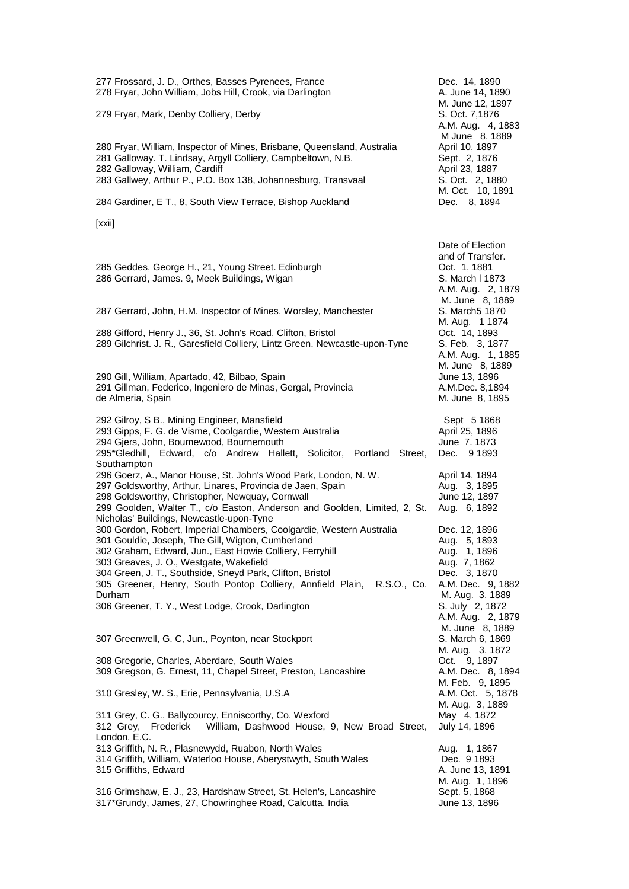| 277 Frossard, J. D., Orthes, Basses Pyrenees, France<br>278 Fryar, John William, Jobs Hill, Crook, via Darlington                                                                                                                                                                                         | Dec. 14, 1890<br>A. June 14, 1890                                                                               |
|-----------------------------------------------------------------------------------------------------------------------------------------------------------------------------------------------------------------------------------------------------------------------------------------------------------|-----------------------------------------------------------------------------------------------------------------|
| 279 Fryar, Mark, Denby Colliery, Derby                                                                                                                                                                                                                                                                    | M. June 12, 1897<br>S. Oct. 7,1876<br>A.M. Aug. 4, 1883<br>M June 8, 1889                                       |
| 280 Fryar, William, Inspector of Mines, Brisbane, Queensland, Australia<br>281 Galloway. T. Lindsay, Argyll Colliery, Campbeltown, N.B.<br>282 Galloway, William, Cardiff                                                                                                                                 | April 10, 1897<br>Sept. 2, 1876<br>April 23, 1887                                                               |
| 283 Gallwey, Arthur P., P.O. Box 138, Johannesburg, Transvaal                                                                                                                                                                                                                                             | S. Oct. 2, 1880<br>M. Oct. 10, 1891                                                                             |
| 284 Gardiner, E T., 8, South View Terrace, Bishop Auckland                                                                                                                                                                                                                                                | Dec. 8, 1894                                                                                                    |
| [xxii]                                                                                                                                                                                                                                                                                                    |                                                                                                                 |
| 285 Geddes, George H., 21, Young Street. Edinburgh<br>286 Gerrard, James. 9, Meek Buildings, Wigan                                                                                                                                                                                                        | Date of Election<br>and of Transfer.<br>Oct. 1, 1881<br>S. March I 1873<br>A.M. Aug. 2, 1879<br>M. June 8, 1889 |
| 287 Gerrard, John, H.M. Inspector of Mines, Worsley, Manchester                                                                                                                                                                                                                                           | S. March5 1870                                                                                                  |
| 288 Gifford, Henry J., 36, St. John's Road, Clifton, Bristol<br>289 Gilchrist. J. R., Garesfield Colliery, Lintz Green. Newcastle-upon-Tyne                                                                                                                                                               | M. Aug. 1 1874<br>Oct. 14, 1893<br>S. Feb. 3, 1877<br>A.M. Aug. 1, 1885                                         |
| 290 Gill, William, Apartado, 42, Bilbao, Spain<br>291 Gillman, Federico, Ingeniero de Minas, Gergal, Provincia<br>de Almeria, Spain                                                                                                                                                                       | M. June 8, 1889<br>June 13, 1896<br>A.M.Dec. 8,1894<br>M. June 8, 1895                                          |
| 292 Gilroy, S B., Mining Engineer, Mansfield<br>293 Gipps, F. G. de Visme, Coolgardie, Western Australia<br>294 Gjers, John, Bournewood, Bournemouth<br>295*Gledhill, Edward, c/o Andrew Hallett, Solicitor, Portland<br>Street,<br>Southampton                                                           | Sept 5 1868<br>April 25, 1896<br>June 7.1873<br>Dec. 9 1893                                                     |
| 296 Goerz, A., Manor House, St. John's Wood Park, London, N. W.<br>297 Goldsworthy, Arthur, Linares, Provincia de Jaen, Spain<br>298 Goldsworthy, Christopher, Newquay, Cornwall<br>299 Goolden, Walter T., c/o Easton, Anderson and Goolden, Limited, 2, St.<br>Nicholas' Buildings, Newcastle-upon-Tyne | April 14, 1894<br>Aug. 3, 1895<br>June 12, 1897<br>Aug. 6, 1892                                                 |
| 300 Gordon, Robert, Imperial Chambers, Coolgardie, Western Australia<br>301 Gouldie, Joseph, The Gill, Wigton, Cumberland<br>302 Graham, Edward, Jun., East Howie Colliery, Ferryhill<br>303 Greaves, J. O., Westgate, Wakefield                                                                          | Dec. 12, 1896<br>Aug. 5, 1893<br>Aug. 1, 1896<br>Aug. 7, 1862                                                   |
| 304 Green, J. T., Southside, Sneyd Park, Clifton, Bristol<br>305 Greener, Henry, South Pontop Colliery, Annfield Plain,<br>R.S.O., Co.<br>Durham                                                                                                                                                          | Dec. 3, 1870<br>A.M. Dec. 9, 1882<br>M. Aug. 3, 1889                                                            |
| 306 Greener, T. Y., West Lodge, Crook, Darlington                                                                                                                                                                                                                                                         | S. July 2, 1872<br>A.M. Aug. 2, 1879                                                                            |
| 307 Greenwell, G. C, Jun., Poynton, near Stockport                                                                                                                                                                                                                                                        | M. June 8, 1889<br>S. March 6, 1869<br>M. Aug. 3, 1872                                                          |
| 308 Gregorie, Charles, Aberdare, South Wales<br>309 Gregson, G. Ernest, 11, Chapel Street, Preston, Lancashire                                                                                                                                                                                            | Oct. 9, 1897<br>A.M. Dec. 8, 1894                                                                               |
| 310 Gresley, W. S., Erie, Pennsylvania, U.S.A                                                                                                                                                                                                                                                             | M. Feb. 9, 1895<br>A.M. Oct. 5, 1878<br>M. Aug. 3, 1889                                                         |
| 311 Grey, C. G., Ballycourcy, Enniscorthy, Co. Wexford<br>William, Dashwood House, 9, New Broad Street,<br>312 Grey, Frederick<br>London, E.C.                                                                                                                                                            | May 4, 1872<br>July 14, 1896                                                                                    |
| 313 Griffith, N. R., Plasnewydd, Ruabon, North Wales<br>314 Griffith, William, Waterloo House, Aberystwyth, South Wales<br>315 Griffiths, Edward                                                                                                                                                          | Aug. 1, 1867<br>Dec. 9 1893<br>A. June 13, 1891<br>M. Aug. 1, 1896                                              |
| 316 Grimshaw, E. J., 23, Hardshaw Street, St. Helen's, Lancashire<br>317*Grundy, James, 27, Chowringhee Road, Calcutta, India                                                                                                                                                                             | Sept. 5, 1868<br>June 13, 1896                                                                                  |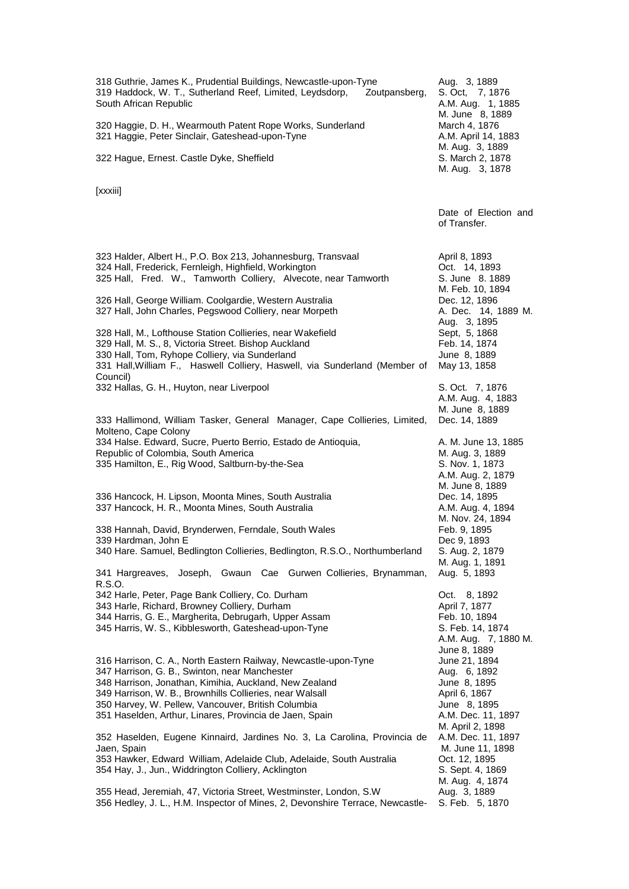| 318 Guthrie, James K., Prudential Buildings, Newcastle-upon-Tyne<br>319 Haddock, W. T., Sutherland Reef, Limited, Leydsdorp,<br>Zoutpansberg,<br>South African Republic<br>320 Haggie, D. H., Wearmouth Patent Rope Works, Sunderland<br>321 Haggie, Peter Sinclair, Gateshead-upon-Tyne                                                                | Aug. 3, 1889<br>S. Oct, 7, 1876<br>A.M. Aug. 1, 1885<br>M. June 8, 1889<br>March 4, 1876<br>A.M. April 14, 1883<br>M. Aug. 3, 1889 |
|---------------------------------------------------------------------------------------------------------------------------------------------------------------------------------------------------------------------------------------------------------------------------------------------------------------------------------------------------------|------------------------------------------------------------------------------------------------------------------------------------|
| 322 Hague, Ernest. Castle Dyke, Sheffield                                                                                                                                                                                                                                                                                                               | S. March 2, 1878<br>M. Aug. 3, 1878                                                                                                |
| [xxxiii]                                                                                                                                                                                                                                                                                                                                                |                                                                                                                                    |
|                                                                                                                                                                                                                                                                                                                                                         | Date of Election and<br>of Transfer.                                                                                               |
| 323 Halder, Albert H., P.O. Box 213, Johannesburg, Transvaal<br>324 Hall, Frederick, Fernleigh, Highfield, Workington<br>325 Hall, Fred. W., Tamworth Colliery, Alvecote, near Tamworth                                                                                                                                                                 | April 8, 1893<br>Oct. 14, 1893<br>S. June 8. 1889<br>M. Feb. 10, 1894                                                              |
| 326 Hall, George William. Coolgardie, Western Australia<br>327 Hall, John Charles, Pegswood Colliery, near Morpeth                                                                                                                                                                                                                                      | Dec. 12, 1896<br>A. Dec. 14, 1889 M.<br>Aug. 3, 1895                                                                               |
| 328 Hall, M., Lofthouse Station Collieries, near Wakefield<br>329 Hall, M. S., 8, Victoria Street. Bishop Auckland<br>330 Hall, Tom, Ryhope Colliery, via Sunderland<br>331 Hall, William F., Haswell Colliery, Haswell, via Sunderland (Member of<br>Council)                                                                                          | Sept, 5, 1868<br>Feb. 14, 1874<br>June 8, 1889<br>May 13, 1858                                                                     |
| 332 Hallas, G. H., Huyton, near Liverpool                                                                                                                                                                                                                                                                                                               | S. Oct. 7, 1876<br>A.M. Aug. 4, 1883<br>M. June 8, 1889                                                                            |
| 333 Hallimond, William Tasker, General Manager, Cape Collieries, Limited,<br>Molteno, Cape Colony<br>334 Halse. Edward, Sucre, Puerto Berrio, Estado de Antioquia,<br>Republic of Colombia, South America<br>335 Hamilton, E., Rig Wood, Saltburn-by-the-Sea                                                                                            | Dec. 14, 1889<br>A. M. June 13, 1885<br>M. Aug. 3, 1889<br>S. Nov. 1, 1873<br>A.M. Aug. 2, 1879<br>M. June 8, 1889                 |
| 336 Hancock, H. Lipson, Moonta Mines, South Australia<br>337 Hancock, H. R., Moonta Mines, South Australia                                                                                                                                                                                                                                              | Dec. 14, 1895<br>A.M. Aug. 4, 1894<br>M. Nov. 24, 1894                                                                             |
| 338 Hannah, David, Brynderwen, Ferndale, South Wales<br>339 Hardman, John E<br>340 Hare. Samuel, Bedlington Collieries, Bedlington, R.S.O., Northumberland                                                                                                                                                                                              | Feb. 9, 1895<br>Dec 9, 1893<br>S. Aug. 2, 1879<br>M. Aug. 1, 1891                                                                  |
| 341 Hargreaves, Joseph, Gwaun Cae Gurwen Collieries, Brynamman,<br>R.S.O.<br>342 Harle, Peter, Page Bank Colliery, Co. Durham<br>343 Harle, Richard, Browney Colliery, Durham<br>344 Harris, G. E., Margherita, Debrugarh, Upper Assam<br>345 Harris, W. S., Kibblesworth, Gateshead-upon-Tyne                                                          | Aug. 5, 1893<br>8, 1892<br>Oct.<br>April 7, 1877<br>Feb. 10, 1894<br>S. Feb. 14, 1874<br>A.M. Aug. 7, 1880 M.<br>June 8, 1889      |
| 316 Harrison, C. A., North Eastern Railway, Newcastle-upon-Tyne<br>347 Harrison, G. B., Swinton, near Manchester<br>348 Harrison, Jonathan, Kimihia, Auckland, New Zealand<br>349 Harrison, W. B., Brownhills Collieries, near Walsall<br>350 Harvey, W. Pellew, Vancouver, British Columbia<br>351 Haselden, Arthur, Linares, Provincia de Jaen, Spain | June 21, 1894<br>Aug. 6, 1892<br>June 8, 1895<br>April 6, 1867<br>June 8, 1895<br>A.M. Dec. 11, 1897                               |
| 352 Haselden, Eugene Kinnaird, Jardines No. 3, La Carolina, Provincia de<br>Jaen, Spain<br>353 Hawker, Edward William, Adelaide Club, Adelaide, South Australia<br>354 Hay, J., Jun., Widdrington Colliery, Acklington                                                                                                                                  | M. April 2, 1898<br>A.M. Dec. 11, 1897<br>M. June 11, 1898<br>Oct. 12, 1895<br>S. Sept. 4, 1869                                    |
| 355 Head, Jeremiah, 47, Victoria Street, Westminster, London, S.W<br>356 Hedley, J. L., H.M. Inspector of Mines, 2, Devonshire Terrace, Newcastle-                                                                                                                                                                                                      | M. Aug. 4, 1874<br>Aug. 3, 1889<br>S. Feb. 5, 1870                                                                                 |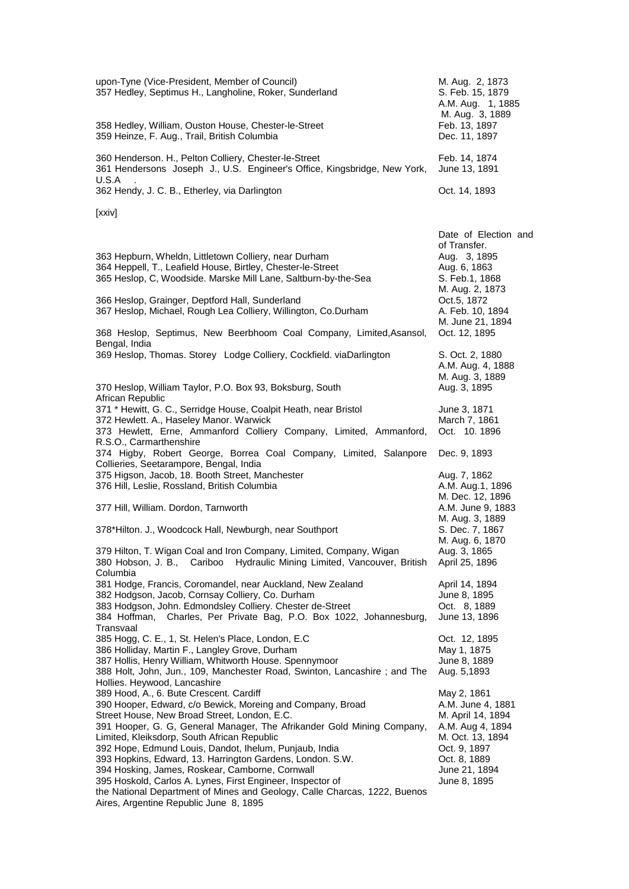| upon-Tyne (Vice-President, Member of Council)<br>357 Hedley, Septimus H., Langholine, Roker, Sunderland<br>358 Hedley, William, Ouston House, Chester-le-Street<br>359 Heinze, F. Aug., Trail, British Columbia                                                                                                                                                                                                                                                                                                                                                                                                                               | M. Aug. 2, 1873<br>S. Feb. 15, 1879<br>A.M. Aug. 1, 1885<br>M. Aug. 3, 1889<br>Feb. 13, 1897<br>Dec. 11, 1897                                                  |
|-----------------------------------------------------------------------------------------------------------------------------------------------------------------------------------------------------------------------------------------------------------------------------------------------------------------------------------------------------------------------------------------------------------------------------------------------------------------------------------------------------------------------------------------------------------------------------------------------------------------------------------------------|----------------------------------------------------------------------------------------------------------------------------------------------------------------|
| 360 Henderson. H., Pelton Colliery, Chester-le-Street<br>361 Hendersons Joseph J., U.S. Engineer's Office, Kingsbridge, New York,<br>U.S.A                                                                                                                                                                                                                                                                                                                                                                                                                                                                                                    | Feb. 14, 1874<br>June 13, 1891                                                                                                                                 |
| 362 Hendy, J. C. B., Etherley, via Darlington                                                                                                                                                                                                                                                                                                                                                                                                                                                                                                                                                                                                 | Oct. 14, 1893                                                                                                                                                  |
| [xxiv]                                                                                                                                                                                                                                                                                                                                                                                                                                                                                                                                                                                                                                        |                                                                                                                                                                |
| 363 Hepburn, Wheldn, Littletown Colliery, near Durham<br>364 Heppell, T., Leafield House, Birtley, Chester-le-Street<br>365 Heslop, C, Woodside. Marske Mill Lane, Saltburn-by-the-Sea                                                                                                                                                                                                                                                                                                                                                                                                                                                        | Date of Election and<br>of Transfer.<br>Aug. 3, 1895<br>Aug. 6, 1863<br>S. Feb.1, 1868<br>M. Aug. 2, 1873                                                      |
| 366 Heslop, Grainger, Deptford Hall, Sunderland<br>367 Heslop, Michael, Rough Lea Colliery, Willington, Co.Durham                                                                                                                                                                                                                                                                                                                                                                                                                                                                                                                             | Oct.5, 1872<br>A. Feb. 10, 1894<br>M. June 21, 1894                                                                                                            |
| 368 Heslop, Septimus, New Beerbhoom Coal Company, Limited, Asansol,<br>Bengal, India                                                                                                                                                                                                                                                                                                                                                                                                                                                                                                                                                          | Oct. 12, 1895                                                                                                                                                  |
| 369 Heslop, Thomas. Storey Lodge Colliery, Cockfield. viaDarlington                                                                                                                                                                                                                                                                                                                                                                                                                                                                                                                                                                           | S. Oct. 2, 1880<br>A.M. Aug. 4, 1888<br>M. Aug. 3, 1889                                                                                                        |
| 370 Heslop, William Taylor, P.O. Box 93, Boksburg, South<br>African Republic                                                                                                                                                                                                                                                                                                                                                                                                                                                                                                                                                                  | Aug. 3, 1895                                                                                                                                                   |
| 371 * Hewitt, G. C., Serridge House, Coalpit Heath, near Bristol<br>372 Hewlett. A., Haseley Manor. Warwick<br>373 Hewlett, Erne, Ammanford Colliery Company, Limited, Ammanford,                                                                                                                                                                                                                                                                                                                                                                                                                                                             | June 3, 1871<br>March 7, 1861<br>Oct. 10.1896                                                                                                                  |
| R.S.O., Carmarthenshire<br>374 Higby, Robert George, Borrea Coal Company, Limited, Salanpore<br>Collieries, Seetarampore, Bengal, India                                                                                                                                                                                                                                                                                                                                                                                                                                                                                                       | Dec. 9, 1893                                                                                                                                                   |
| 375 Higson, Jacob, 18. Booth Street, Manchester<br>376 Hill, Leslie, Rossland, British Columbia                                                                                                                                                                                                                                                                                                                                                                                                                                                                                                                                               | Aug. 7, 1862<br>A.M. Aug.1, 1896                                                                                                                               |
| 377 Hill, William. Dordon, Tarnworth                                                                                                                                                                                                                                                                                                                                                                                                                                                                                                                                                                                                          | M. Dec. 12, 1896<br>A.M. June 9, 1883                                                                                                                          |
| 378*Hilton. J., Woodcock Hall, Newburgh, near Southport                                                                                                                                                                                                                                                                                                                                                                                                                                                                                                                                                                                       | M. Aug. 3, 1889<br>S. Dec. 7, 1867<br>M. Aug. 6, 1870                                                                                                          |
| 379 Hilton, T. Wigan Coal and Iron Company, Limited, Company, Wigan<br>Cariboo<br>Hydraulic Mining Limited, Vancouver, British<br>380 Hobson, J. B.,<br>Columbia                                                                                                                                                                                                                                                                                                                                                                                                                                                                              | Aug. 3, 1865<br>April 25, 1896                                                                                                                                 |
| 381 Hodge, Francis, Coromandel, near Auckland, New Zealand                                                                                                                                                                                                                                                                                                                                                                                                                                                                                                                                                                                    | April 14, 1894                                                                                                                                                 |
| 382 Hodgson, Jacob, Cornsay Colliery, Co. Durham<br>383 Hodgson, John. Edmondsley Colliery. Chester de-Street<br>Charles, Per Private Bag, P.O. Box 1022, Johannesburg,<br>384 Hoffman,                                                                                                                                                                                                                                                                                                                                                                                                                                                       | June 8, 1895<br>Oct. 8, 1889<br>June 13, 1896                                                                                                                  |
| Transvaal<br>385 Hogg, C. E., 1, St. Helen's Place, London, E.C                                                                                                                                                                                                                                                                                                                                                                                                                                                                                                                                                                               | Oct. 12, 1895                                                                                                                                                  |
| 386 Holliday, Martin F., Langley Grove, Durham<br>387 Hollis, Henry William, Whitworth House. Spennymoor<br>388 Holt, John, Jun., 109, Manchester Road, Swinton, Lancashire; and The<br>Hollies. Heywood, Lancashire                                                                                                                                                                                                                                                                                                                                                                                                                          | May 1, 1875<br>June 8, 1889<br>Aug. 5,1893                                                                                                                     |
| 389 Hood, A., 6. Bute Crescent. Cardiff<br>390 Hooper, Edward, c/o Bewick, Moreing and Company, Broad<br>Street House, New Broad Street, London, E.C.<br>391 Hooper, G. G, General Manager, The Afrikander Gold Mining Company,<br>Limited, Kleiksdorp, South African Republic<br>392 Hope, Edmund Louis, Dandot, Ihelum, Punjaub, India<br>393 Hopkins, Edward, 13. Harrington Gardens, London. S.W.<br>394 Hosking, James, Roskear, Camborne, Cornwall<br>395 Hoskold, Carlos A. Lynes, First Engineer, Inspector of<br>the National Department of Mines and Geology, Calle Charcas, 1222, Buenos<br>Aires, Argentine Republic June 8, 1895 | May 2, 1861<br>A.M. June 4, 1881<br>M. April 14, 1894<br>A.M. Aug 4, 1894<br>M. Oct. 13, 1894<br>Oct. 9, 1897<br>Oct. 8, 1889<br>June 21, 1894<br>June 8, 1895 |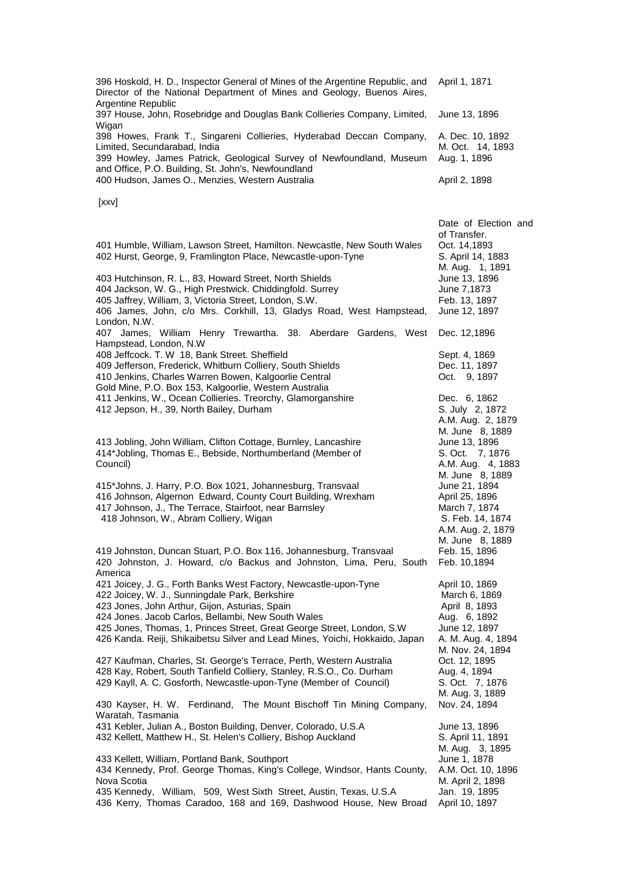| 396 Hoskold, H. D., Inspector General of Mines of the Argentine Republic, and<br>Director of the National Department of Mines and Geology, Buenos Aires,<br>Argentine Republic                                                                                                                                                                                                                                    | April 1, 1871                                                                                                                                                  |
|-------------------------------------------------------------------------------------------------------------------------------------------------------------------------------------------------------------------------------------------------------------------------------------------------------------------------------------------------------------------------------------------------------------------|----------------------------------------------------------------------------------------------------------------------------------------------------------------|
| 397 House, John, Rosebridge and Douglas Bank Collieries Company, Limited,                                                                                                                                                                                                                                                                                                                                         | June 13, 1896                                                                                                                                                  |
| Wigan<br>398 Howes, Frank T., Singareni Collieries, Hyderabad Deccan Company,<br>Limited, Secundarabad, India<br>399 Howley, James Patrick, Geological Survey of Newfoundland, Museum<br>and Office, P.O. Building, St. John's, Newfoundland<br>400 Hudson, James O., Menzies, Western Australia                                                                                                                  | A. Dec. 10, 1892<br>M. Oct. 14, 1893<br>Aug. 1, 1896<br>April 2, 1898                                                                                          |
|                                                                                                                                                                                                                                                                                                                                                                                                                   |                                                                                                                                                                |
| [xxv]                                                                                                                                                                                                                                                                                                                                                                                                             |                                                                                                                                                                |
| 401 Humble, William, Lawson Street, Hamilton. Newcastle, New South Wales<br>402 Hurst, George, 9, Framlington Place, Newcastle-upon-Tyne<br>403 Hutchinson, R. L., 83, Howard Street, North Shields<br>404 Jackson, W. G., High Prestwick. Chiddingfold. Surrey<br>405 Jaffrey, William, 3, Victoria Street, London, S.W.<br>406 James, John, c/o Mrs. Corkhill, 13, Gladys Road, West Hampstead,<br>London, N.W. | Date of Election and<br>of Transfer.<br>Oct. 14,1893<br>S. April 14, 1883<br>M. Aug. 1, 1891<br>June 13, 1896<br>June 7,1873<br>Feb. 13, 1897<br>June 12, 1897 |
| 407 James, William Henry Trewartha. 38. Aberdare Gardens, West<br>Hampstead, London, N.W                                                                                                                                                                                                                                                                                                                          | Dec. 12,1896                                                                                                                                                   |
| 408 Jeffcock. T. W 18, Bank Street. Sheffield<br>409 Jefferson, Frederick, Whitburn Colliery, South Shields<br>410 Jenkins, Charles Warren Bowen, Kalgoorlie Central                                                                                                                                                                                                                                              | Sept. 4, 1869<br>Dec. 11, 1897<br>Oct. 9, 1897                                                                                                                 |
| Gold Mine, P.O. Box 153, Kalgoorlie, Western Australia<br>411 Jenkins, W., Ocean Collieries. Treorchy, Glamorganshire<br>412 Jepson, H., 39, North Bailey, Durham                                                                                                                                                                                                                                                 | Dec. 6, 1862<br>S. July 2, 1872<br>A.M. Aug. 2, 1879                                                                                                           |
| 413 Jobling, John William, Clifton Cottage, Burnley, Lancashire<br>414*Jobling, Thomas E., Bebside, Northumberland (Member of<br>Council)                                                                                                                                                                                                                                                                         | M. June 8, 1889<br>June 13, 1896<br>S. Oct. 7, 1876<br>A.M. Aug. 4, 1883<br>M. June 8, 1889                                                                    |
| 415*Johns, J. Harry, P.O. Box 1021, Johannesburg, Transvaal<br>416 Johnson, Algernon Edward, County Court Building, Wrexham<br>417 Johnson, J., The Terrace, Stairfoot, near Barnsley<br>418 Johnson, W., Abram Colliery, Wigan                                                                                                                                                                                   | June 21, 1894<br>April 25, 1896<br>March 7, 1874<br>S. Feb. 14, 1874<br>A.M. Aug. 2, 1879<br>M. June 8, 1889                                                   |
| 419 Johnston, Duncan Stuart, P.O. Box 116, Johannesburg, Transvaal<br>420 Johnston, J. Howard, c/o Backus and Johnston, Lima, Peru, South<br>America                                                                                                                                                                                                                                                              | Feb. 15, 1896<br>Feb. 10,1894                                                                                                                                  |
| 421 Joicey, J. G., Forth Banks West Factory, Newcastle-upon-Tyne<br>422 Joicey, W. J., Sunningdale Park, Berkshire<br>423 Jones, John Arthur, Gijon, Asturias, Spain<br>424 Jones. Jacob Carlos, Bellambi, New South Wales<br>425 Jones, Thomas, 1, Princes Street, Great George Street, London, S.W<br>426 Kanda. Reiji, Shikaibetsu Silver and Lead Mines, Yoichi, Hokkaido, Japan                              | April 10, 1869<br>March 6, 1869<br>April 8, 1893<br>Aug. 6, 1892<br>June 12, 1897<br>A. M. Aug. 4, 1894<br>M. Nov. 24, 1894                                    |
| 427 Kaufman, Charles, St. George's Terrace, Perth, Western Australia<br>428 Kay, Robert, South Tanfield Colliery, Stanley, R.S.O., Co. Durham<br>429 Kayll, A. C. Gosforth, Newcastle-upon-Tyne (Member of Council)                                                                                                                                                                                               | Oct. 12, 1895<br>Aug. 4, 1894<br>S. Oct. 7, 1876<br>M. Aug. 3, 1889                                                                                            |
| 430 Kayser, H. W. Ferdinand, The Mount Bischoff Tin Mining Company,<br>Waratah, Tasmania<br>431 Kebler, Julian A., Boston Building, Denver, Colorado, U.S.A<br>432 Kellett, Matthew H., St. Helen's Colliery, Bishop Auckland                                                                                                                                                                                     | Nov. 24, 1894<br>June 13, 1896<br>S. April 11, 1891                                                                                                            |
| 433 Kellett, William, Portland Bank, Southport<br>434 Kennedy, Prof. George Thomas, King's College, Windsor, Hants County,<br>Nova Scotia<br>435 Kennedy, William, 509, West Sixth Street, Austin, Texas, U.S.A<br>436 Kerry, Thomas Caradoo, 168 and 169, Dashwood House, New Broad                                                                                                                              | M. Aug. 3, 1895<br>June 1, 1878<br>A.M. Oct. 10, 1896<br>M. April 2, 1898<br>Jan. 19, 1895<br>April 10, 1897                                                   |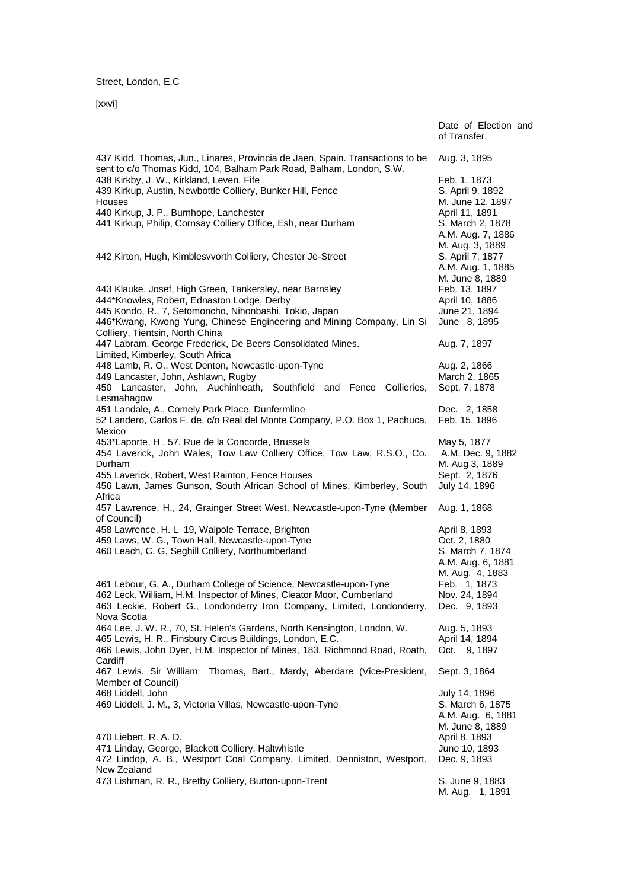Street, London, E.C

[xxvi]

|                                                                                                                                                                                                                                                                                                                                                                                 | Date of Election and<br>of Transfer.                                                                                                            |
|---------------------------------------------------------------------------------------------------------------------------------------------------------------------------------------------------------------------------------------------------------------------------------------------------------------------------------------------------------------------------------|-------------------------------------------------------------------------------------------------------------------------------------------------|
| 437 Kidd, Thomas, Jun., Linares, Provincia de Jaen, Spain. Transactions to be                                                                                                                                                                                                                                                                                                   | Aug. 3, 1895                                                                                                                                    |
| sent to c/o Thomas Kidd, 104, Balham Park Road, Balham, London, S.W.<br>438 Kirkby, J. W., Kirkland, Leven, Fife<br>439 Kirkup, Austin, Newbottle Colliery, Bunker Hill, Fence<br>Houses<br>440 Kirkup, J. P., Burnhope, Lanchester<br>441 Kirkup, Philip, Cornsay Colliery Office, Esh, near Durham                                                                            | Feb. 1, 1873<br>S. April 9, 1892<br>M. June 12, 1897<br>April 11, 1891<br>S. March 2, 1878<br>A.M. Aug. 7, 1886                                 |
| 442 Kirton, Hugh, Kimblesvvorth Colliery, Chester Je-Street<br>443 Klauke, Josef, High Green, Tankersley, near Barnsley<br>444*Knowles, Robert, Ednaston Lodge, Derby<br>445 Kondo, R., 7, Setomoncho, Nihonbashi, Tokio, Japan<br>446*Kwang, Kwong Yung, Chinese Engineering and Mining Company, Lin Si<br>Colliery, Tientsin, North China                                     | M. Aug. 3, 1889<br>S. April 7, 1877<br>A.M. Aug. 1, 1885<br>M. June 8, 1889<br>Feb. 13, 1897<br>April 10, 1886<br>June 21, 1894<br>June 8, 1895 |
| 447 Labram, George Frederick, De Beers Consolidated Mines.<br>Limited, Kimberley, South Africa                                                                                                                                                                                                                                                                                  | Aug. 7, 1897                                                                                                                                    |
| 448 Lamb, R. O., West Denton, Newcastle-upon-Tyne<br>449 Lancaster, John, Ashlawn, Rugby<br>450 Lancaster, John, Auchinheath, Southfield and Fence Collieries,<br>Lesmahagow                                                                                                                                                                                                    | Aug. 2, 1866<br>March 2, 1865<br>Sept. 7, 1878                                                                                                  |
| 451 Landale, A., Comely Park Place, Dunfermline<br>52 Landero, Carlos F. de, c/o Real del Monte Company, P.O. Box 1, Pachuca,<br>Mexico                                                                                                                                                                                                                                         | Dec. 2, 1858<br>Feb. 15, 1896                                                                                                                   |
| 453*Laporte, H. 57. Rue de la Concorde, Brussels<br>454 Laverick, John Wales, Tow Law Colliery Office, Tow Law, R.S.O., Co.<br>Durham<br>455 Laverick, Robert, West Rainton, Fence Houses<br>456 Lawn, James Gunson, South African School of Mines, Kimberley, South                                                                                                            | May 5, 1877<br>A.M. Dec. 9, 1882<br>M. Aug 3, 1889<br>Sept. 2, 1876<br>July 14, 1896                                                            |
| Africa<br>457 Lawrence, H., 24, Grainger Street West, Newcastle-upon-Tyne (Member<br>of Council)                                                                                                                                                                                                                                                                                | Aug. 1, 1868                                                                                                                                    |
| 458 Lawrence, H. L 19, Walpole Terrace, Brighton<br>459 Laws, W. G., Town Hall, Newcastle-upon-Tyne<br>460 Leach, C. G, Seghill Colliery, Northumberland<br>461 Lebour, G. A., Durham College of Science, Newcastle-upon-Tyne<br>462 Leck, William, H.M. Inspector of Mines, Cleator Moor, Cumberland<br>463 Leckie, Robert G., Londonderry Iron Company, Limited, Londonderry, | April 8, 1893<br>Oct. 2, 1880<br>S. March 7, 1874<br>A.M. Aug. 6, 1881<br>M. Aug. 4, 1883<br>Feb. 1, 1873<br>Nov. 24, 1894<br>Dec. 9, 1893      |
| Nova Scotia<br>464 Lee, J. W. R., 70, St. Helen's Gardens, North Kensington, London, W.<br>465 Lewis, H. R., Finsbury Circus Buildings, London, E.C.<br>466 Lewis, John Dyer, H.M. Inspector of Mines, 183, Richmond Road, Roath,                                                                                                                                               | Aug. 5, 1893<br>April 14, 1894<br>Oct. 9, 1897                                                                                                  |
| Cardiff<br>467 Lewis. Sir William<br>Thomas, Bart., Mardy, Aberdare (Vice-President,                                                                                                                                                                                                                                                                                            | Sept. 3, 1864                                                                                                                                   |
| Member of Council)<br>468 Liddell, John<br>469 Liddell, J. M., 3, Victoria Villas, Newcastle-upon-Tyne                                                                                                                                                                                                                                                                          | July 14, 1896<br>S. March 6, 1875<br>A.M. Aug. 6, 1881<br>M. June 8, 1889                                                                       |
| 470 Liebert, R. A. D.<br>471 Linday, George, Blackett Colliery, Haltwhistle<br>472 Lindop, A. B., Westport Coal Company, Limited, Denniston, Westport,<br>New Zealand                                                                                                                                                                                                           | April 8, 1893<br>June 10, 1893<br>Dec. 9, 1893                                                                                                  |
| 473 Lishman, R. R., Bretby Colliery, Burton-upon-Trent                                                                                                                                                                                                                                                                                                                          | S. June 9, 1883<br>M. Aug. 1, 1891                                                                                                              |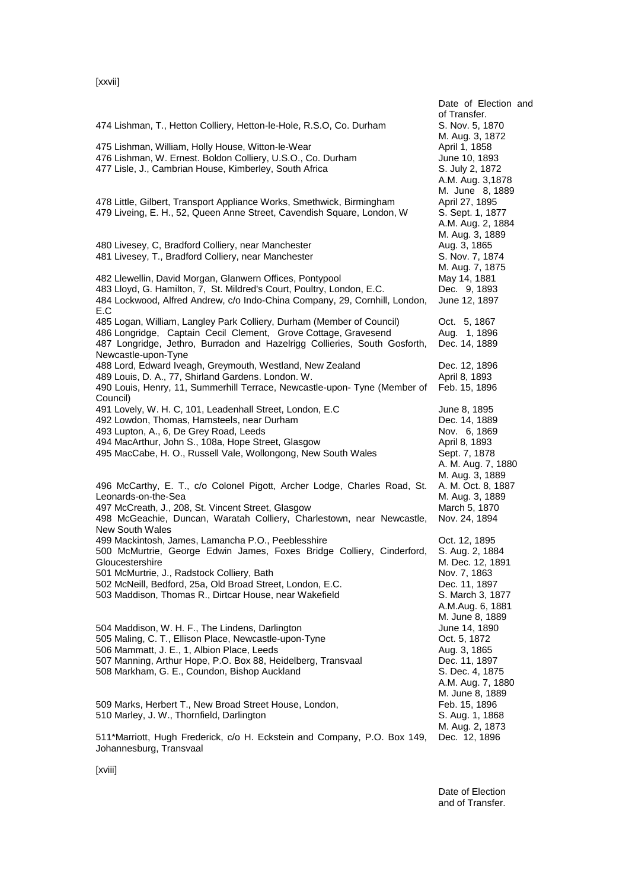[xxvii]

| 474 Lishman, T., Hetton Colliery, Hetton-le-Hole, R.S.O, Co. Durham                                                                                                                                                                                                     | Date of Election and<br>of Transfer.<br>S. Nov. 5, 1870                                                                   |
|-------------------------------------------------------------------------------------------------------------------------------------------------------------------------------------------------------------------------------------------------------------------------|---------------------------------------------------------------------------------------------------------------------------|
| 475 Lishman, William, Holly House, Witton-le-Wear<br>476 Lishman, W. Ernest. Boldon Colliery, U.S.O., Co. Durham<br>477 Lisle, J., Cambrian House, Kimberley, South Africa                                                                                              | M. Aug. 3, 1872<br>April 1, 1858<br>June 10, 1893<br>S. July 2, 1872<br>A.M. Aug. 3,1878<br>M. June 8, 1889               |
| 478 Little, Gilbert, Transport Appliance Works, Smethwick, Birmingham<br>479 Liveing, E. H., 52, Queen Anne Street, Cavendish Square, London, W                                                                                                                         | April 27, 1895<br>S. Sept. 1, 1877<br>A.M. Aug. 2, 1884<br>M. Aug. 3, 1889                                                |
| 480 Livesey, C, Bradford Colliery, near Manchester<br>481 Livesey, T., Bradford Colliery, near Manchester                                                                                                                                                               | Aug. 3, 1865<br>S. Nov. 7, 1874<br>M. Aug. 7, 1875                                                                        |
| 482 Llewellin, David Morgan, Glanwern Offices, Pontypool<br>483 Lloyd, G. Hamilton, 7, St. Mildred's Court, Poultry, London, E.C.<br>484 Lockwood, Alfred Andrew, c/o Indo-China Company, 29, Cornhill, London,<br>E.C                                                  | May 14, 1881<br>Dec. 9, 1893<br>June 12, 1897                                                                             |
| 485 Logan, William, Langley Park Colliery, Durham (Member of Council)<br>486 Longridge, Captain Cecil Clement, Grove Cottage, Gravesend<br>487 Longridge, Jethro, Burradon and Hazelrigg Collieries, South Gosforth,<br>Newcastle-upon-Tyne                             | Oct. 5, 1867<br>Aug. 1, 1896<br>Dec. 14, 1889                                                                             |
| 488 Lord, Edward Iveagh, Greymouth, Westland, New Zealand<br>489 Louis, D. A., 77, Shirland Gardens. London. W.<br>490 Louis, Henry, 11, Summerhill Terrace, Newcastle-upon- Tyne (Member of<br>Council)                                                                | Dec. 12, 1896<br>April 8, 1893<br>Feb. 15, 1896                                                                           |
| 491 Lovely, W. H. C, 101, Leadenhall Street, London, E.C<br>492 Lowdon, Thomas, Hamsteels, near Durham<br>493 Lupton, A., 6, De Grey Road, Leeds<br>494 MacArthur, John S., 108a, Hope Street, Glasgow<br>495 MacCabe, H. O., Russell Vale, Wollongong, New South Wales | June 8, 1895<br>Dec. 14, 1889<br>Nov. 6, 1869<br>April 8, 1893<br>Sept. 7, 1878<br>A. M. Aug. 7, 1880<br>M. Aug. 3, 1889  |
| 496 McCarthy, E. T., c/o Colonel Pigott, Archer Lodge, Charles Road, St.<br>Leonards-on-the-Sea<br>497 McCreath, J., 208, St. Vincent Street, Glasgow<br>498 McGeachie, Duncan, Waratah Colliery, Charlestown, near Newcastle,<br><b>New South Wales</b>                | A. M. Oct. 8, 1887<br>M. Aug. 3, 1889<br>March 5, 1870<br>Nov. 24, 1894                                                   |
| 499 Mackintosh, James, Lamancha P.O., Peeblesshire<br>500 McMurtrie, George Edwin James, Foxes Bridge Colliery, Cinderford,<br>Gloucestershire<br>501 McMurtrie, J., Radstock Colliery, Bath                                                                            | Oct. 12, 1895<br>S. Aug. 2, 1884<br>M. Dec. 12, 1891<br>Nov. 7, 1863                                                      |
| 502 McNeill, Bedford, 25a, Old Broad Street, London, E.C.<br>503 Maddison, Thomas R., Dirtcar House, near Wakefield                                                                                                                                                     | Dec. 11, 1897<br>S. March 3, 1877<br>A.M.Aug. 6, 1881<br>M. June 8, 1889                                                  |
| 504 Maddison, W. H. F., The Lindens, Darlington<br>505 Maling, C. T., Ellison Place, Newcastle-upon-Tyne<br>506 Mammatt, J. E., 1, Albion Place, Leeds<br>507 Manning, Arthur Hope, P.O. Box 88, Heidelberg, Transvaal<br>508 Markham, G. E., Coundon, Bishop Auckland  | June 14, 1890<br>Oct. 5, 1872<br>Aug. 3, 1865<br>Dec. 11, 1897<br>S. Dec. 4, 1875<br>A.M. Aug. 7, 1880<br>M. June 8, 1889 |
| 509 Marks, Herbert T., New Broad Street House, London,<br>510 Marley, J. W., Thornfield, Darlington                                                                                                                                                                     | Feb. 15, 1896<br>S. Aug. 1, 1868<br>M. Aug. 2, 1873                                                                       |
| 511*Marriott, Hugh Frederick, c/o H. Eckstein and Company, P.O. Box 149,<br>Johannesburg, Transvaal                                                                                                                                                                     | Dec. 12, 1896                                                                                                             |

Date of Election and of Transfer.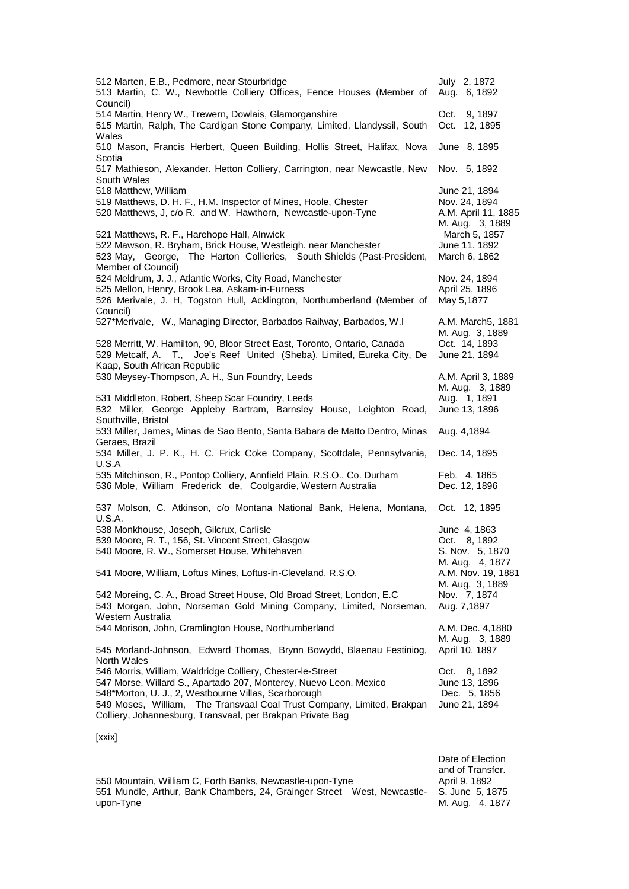| 512 Marten, E.B., Pedmore, near Stourbridge<br>513 Martin, C. W., Newbottle Colliery Offices, Fence Houses (Member of<br>Council)                                                                                                                                                                                               | July 2, 1872<br>Aug. 6, 1892                                             |
|---------------------------------------------------------------------------------------------------------------------------------------------------------------------------------------------------------------------------------------------------------------------------------------------------------------------------------|--------------------------------------------------------------------------|
| 514 Martin, Henry W., Trewern, Dowlais, Glamorganshire<br>515 Martin, Ralph, The Cardigan Stone Company, Limited, Llandyssil, South<br>Wales                                                                                                                                                                                    | Oct.<br>9, 1897<br>Oct. 12, 1895                                         |
| 510 Mason, Francis Herbert, Queen Building, Hollis Street, Halifax, Nova                                                                                                                                                                                                                                                        | June 8, 1895                                                             |
| Scotia<br>517 Mathieson, Alexander. Hetton Colliery, Carrington, near Newcastle, New<br>South Wales                                                                                                                                                                                                                             | Nov. 5, 1892                                                             |
| 518 Matthew, William<br>519 Matthews, D. H. F., H.M. Inspector of Mines, Hoole, Chester<br>520 Matthews, J, c/o R. and W. Hawthorn, Newcastle-upon-Tyne                                                                                                                                                                         | June 21, 1894<br>Nov. 24, 1894<br>A.M. April 11, 1885<br>M. Aug. 3, 1889 |
| 521 Matthews, R. F., Harehope Hall, Alnwick<br>522 Mawson, R. Bryham, Brick House, Westleigh. near Manchester<br>523 May, George, The Harton Collieries, South Shields (Past-President,<br>Member of Council)                                                                                                                   | March 5, 1857<br>June 11. 1892<br>March 6, 1862                          |
| 524 Meldrum, J. J., Atlantic Works, City Road, Manchester<br>525 Mellon, Henry, Brook Lea, Askam-in-Furness<br>526 Merivale, J. H, Togston Hull, Acklington, Northumberland (Member of<br>Council)                                                                                                                              | Nov. 24, 1894<br>April 25, 1896<br>May 5,1877                            |
| 527*Merivale, W., Managing Director, Barbados Railway, Barbados, W.I                                                                                                                                                                                                                                                            | A.M. March5, 1881<br>M. Aug. 3, 1889                                     |
| 528 Merritt, W. Hamilton, 90, Bloor Street East, Toronto, Ontario, Canada<br>529 Metcalf, A. T., Joe's Reef United (Sheba), Limited, Eureka City, De<br>Kaap, South African Republic                                                                                                                                            | Oct. 14, 1893<br>June 21, 1894                                           |
| 530 Meysey-Thompson, A. H., Sun Foundry, Leeds                                                                                                                                                                                                                                                                                  | A.M. April 3, 1889<br>M. Aug. 3, 1889                                    |
| 531 Middleton, Robert, Sheep Scar Foundry, Leeds<br>532 Miller, George Appleby Bartram, Barnsley House, Leighton Road,                                                                                                                                                                                                          | Aug. 1, 1891<br>June 13, 1896                                            |
| Southville, Bristol<br>533 Miller, James, Minas de Sao Bento, Santa Babara de Matto Dentro, Minas<br>Geraes, Brazil                                                                                                                                                                                                             | Aug. 4,1894                                                              |
| 534 Miller, J. P. K., H. C. Frick Coke Company, Scottdale, Pennsylvania,<br>U.S.A                                                                                                                                                                                                                                               | Dec. 14, 1895                                                            |
| 535 Mitchinson, R., Pontop Colliery, Annfield Plain, R.S.O., Co. Durham<br>536 Mole, William Frederick de, Coolgardie, Western Australia                                                                                                                                                                                        | Feb. 4, 1865<br>Dec. 12, 1896                                            |
| 537 Molson, C. Atkinson, c/o Montana National Bank, Helena, Montana,<br><b>U.S.A.</b>                                                                                                                                                                                                                                           | Oct. 12, 1895                                                            |
| 538 Monkhouse, Joseph, Gilcrux, Carlisle<br>539 Moore, R. T., 156, St. Vincent Street, Glasgow<br>540 Moore, R. W., Somerset House, Whitehaven                                                                                                                                                                                  | June 4, 1863<br>Oct.<br>8, 1892<br>S. Nov. 5, 1870<br>M. Aug. 4, 1877    |
| 541 Moore, William, Loftus Mines, Loftus-in-Cleveland, R.S.O.                                                                                                                                                                                                                                                                   | A.M. Nov. 19, 1881<br>M. Aug. 3, 1889                                    |
| 542 Moreing, C. A., Broad Street House, Old Broad Street, London, E.C<br>543 Morgan, John, Norseman Gold Mining Company, Limited, Norseman,<br>Western Australia                                                                                                                                                                | Nov. 7, 1874<br>Aug. 7,1897                                              |
| 544 Morison, John, Cramlington House, Northumberland                                                                                                                                                                                                                                                                            | A.M. Dec. 4,1880<br>M. Aug. 3, 1889                                      |
| 545 Morland-Johnson, Edward Thomas, Brynn Bowydd, Blaenau Festiniog,<br>North Wales                                                                                                                                                                                                                                             | April 10, 1897                                                           |
| 546 Morris, William, Waldridge Colliery, Chester-le-Street<br>547 Morse, Willard S., Apartado 207, Monterey, Nuevo Leon. Mexico<br>548*Morton, U. J., 2, Westbourne Villas, Scarborough<br>549 Moses, William, The Transvaal Coal Trust Company, Limited, Brakpan<br>Colliery, Johannesburg, Transvaal, per Brakpan Private Bag | 8, 1892<br>Oct.<br>June 13, 1896<br>Dec. 5, 1856<br>June 21, 1894        |
| [xxix]                                                                                                                                                                                                                                                                                                                          |                                                                          |
|                                                                                                                                                                                                                                                                                                                                 | Date of Election                                                         |

and of Transfer. 550 Mountain, William C, Forth Banks, Newcastle-upon-Tyne **Acking Ack April 9, 1892** 551 Mundle, Arthur, Bank Chambers, 24, Grainger Street West, Newcastleupon-Tyne S. June 5, 1875 M. Aug. 4, 1877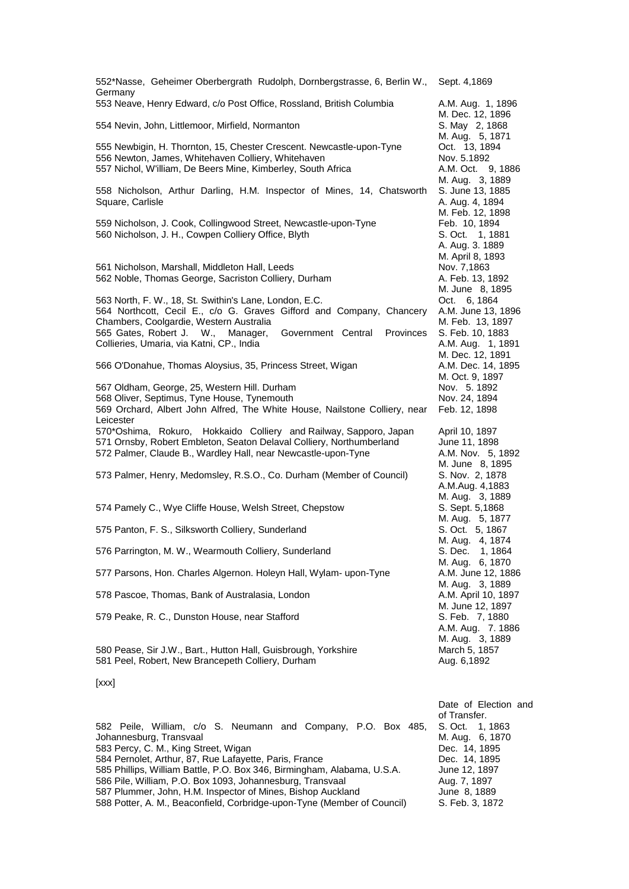| 552*Nasse, Geheimer Oberbergrath Rudolph, Dornbergstrasse, 6, Berlin W.,<br>Germany                                                                                                                                                                                                                                              | Sept. 4,1869                                                                                       |
|----------------------------------------------------------------------------------------------------------------------------------------------------------------------------------------------------------------------------------------------------------------------------------------------------------------------------------|----------------------------------------------------------------------------------------------------|
| 553 Neave, Henry Edward, c/o Post Office, Rossland, British Columbia                                                                                                                                                                                                                                                             | A.M. Aug. 1, 1896<br>M. Dec. 12, 1896                                                              |
| 554 Nevin, John, Littlemoor, Mirfield, Normanton                                                                                                                                                                                                                                                                                 | S. May 2, 1868<br>M. Aug. 5, 1871                                                                  |
| 555 Newbigin, H. Thornton, 15, Chester Crescent. Newcastle-upon-Tyne<br>556 Newton, James, Whitehaven Colliery, Whitehaven<br>557 Nichol, W'illiam, De Beers Mine, Kimberley, South Africa                                                                                                                                       | Oct. 13, 1894<br>Nov. 5.1892<br>A.M. Oct. 9, 1886<br>M. Aug. 3, 1889                               |
| 558 Nicholson, Arthur Darling, H.M. Inspector of Mines, 14, Chatsworth<br>Square, Carlisle                                                                                                                                                                                                                                       | S. June 13, 1885<br>A. Aug. 4, 1894                                                                |
| 559 Nicholson, J. Cook, Collingwood Street, Newcastle-upon-Tyne<br>560 Nicholson, J. H., Cowpen Colliery Office, Blyth                                                                                                                                                                                                           | M. Feb. 12, 1898<br>Feb. 10, 1894<br>S. Oct. 1, 1881<br>A. Aug. 3. 1889                            |
| 561 Nicholson, Marshall, Middleton Hall, Leeds<br>562 Noble, Thomas George, Sacriston Colliery, Durham                                                                                                                                                                                                                           | M. April 8, 1893<br>Nov. 7,1863<br>A. Feb. 13, 1892<br>M. June 8, 1895                             |
| 563 North, F. W., 18, St. Swithin's Lane, London, E.C.<br>564 Northcott, Cecil E., c/o G. Graves Gifford and Company, Chancery<br>Chambers, Coolgardie, Western Australia<br>565 Gates, Robert J. W., Manager,<br>Government Central<br><b>Provinces</b><br>Collieries, Umaria, via Katni, CP., India                            | Oct. 6, 1864<br>A.M. June 13, 1896<br>M. Feb. 13, 1897<br>S. Feb. 10, 1883<br>A.M. Aug. 1, 1891    |
| 566 O'Donahue, Thomas Aloysius, 35, Princess Street, Wigan                                                                                                                                                                                                                                                                       | M. Dec. 12, 1891<br>A.M. Dec. 14, 1895<br>M. Oct. 9, 1897                                          |
| 567 Oldham, George, 25, Western Hill. Durham<br>568 Oliver, Septimus, Tyne House, Tynemouth<br>569 Orchard, Albert John Alfred, The White House, Nailstone Colliery, near<br>Leicester                                                                                                                                           | Nov. 5. 1892<br>Nov. 24, 1894<br>Feb. 12, 1898                                                     |
| 570*Oshima, Rokuro, Hokkaido Colliery and Railway, Sapporo, Japan<br>571 Ornsby, Robert Embleton, Seaton Delaval Colliery, Northumberland<br>572 Palmer, Claude B., Wardley Hall, near Newcastle-upon-Tyne                                                                                                                       | April 10, 1897<br>June 11, 1898<br>A.M. Nov. 5, 1892                                               |
| 573 Palmer, Henry, Medomsley, R.S.O., Co. Durham (Member of Council)                                                                                                                                                                                                                                                             | M. June 8, 1895<br>S. Nov. 2, 1878<br>A.M.Aug. 4,1883                                              |
| 574 Pamely C., Wye Cliffe House, Welsh Street, Chepstow                                                                                                                                                                                                                                                                          | M. Aug. 3, 1889<br>S. Sept. 5,1868<br>M. Aug. 5, 1877                                              |
| 575 Panton, F. S., Silksworth Colliery, Sunderland                                                                                                                                                                                                                                                                               | S. Oct. 5, 1867<br>M. Aug. 4, 1874                                                                 |
| 576 Parrington, M. W., Wearmouth Colliery, Sunderland                                                                                                                                                                                                                                                                            | S. Dec. 1, 1864<br>M. Aug. 6, 1870                                                                 |
| 577 Parsons, Hon. Charles Algernon. Holeyn Hall, Wylam- upon-Tyne                                                                                                                                                                                                                                                                | A.M. June 12, 1886                                                                                 |
| 578 Pascoe, Thomas, Bank of Australasia, London                                                                                                                                                                                                                                                                                  | M. Aug. 3, 1889<br>A.M. April 10, 1897                                                             |
| 579 Peake, R. C., Dunston House, near Stafford                                                                                                                                                                                                                                                                                   | M. June 12, 1897<br>S. Feb. 7, 1880<br>A.M. Aug. 7. 1886                                           |
| 580 Pease, Sir J.W., Bart., Hutton Hall, Guisbrough, Yorkshire<br>581 Peel, Robert, New Brancepeth Colliery, Durham                                                                                                                                                                                                              | M. Aug. 3, 1889<br>March 5, 1857<br>Aug. 6,1892                                                    |
| [xxx]                                                                                                                                                                                                                                                                                                                            |                                                                                                    |
| 582 Peile, William, c/o S. Neumann and Company, P.O. Box 485,                                                                                                                                                                                                                                                                    | Date of Election and<br>of Transfer.<br>S. Oct.<br>1, 1863                                         |
| Johannesburg, Transvaal<br>583 Percy, C. M., King Street, Wigan<br>584 Pernolet, Arthur, 87, Rue Lafayette, Paris, France<br>585 Phillips, William Battle, P.O. Box 346, Birmingham, Alabama, U.S.A.<br>586 Pile, William, P.O. Box 1093, Johannesburg, Transvaal<br>587 Plummer, John, H.M. Inspector of Mines, Bishop Auckland | M. Aug. 6, 1870<br>Dec. 14, 1895<br>Dec. 14, 1895<br>June 12, 1897<br>Aug. 7, 1897<br>June 8, 1889 |
| 588 Potter, A. M., Beaconfield, Corbridge-upon-Tyne (Member of Council)                                                                                                                                                                                                                                                          | S. Feb. 3, 1872                                                                                    |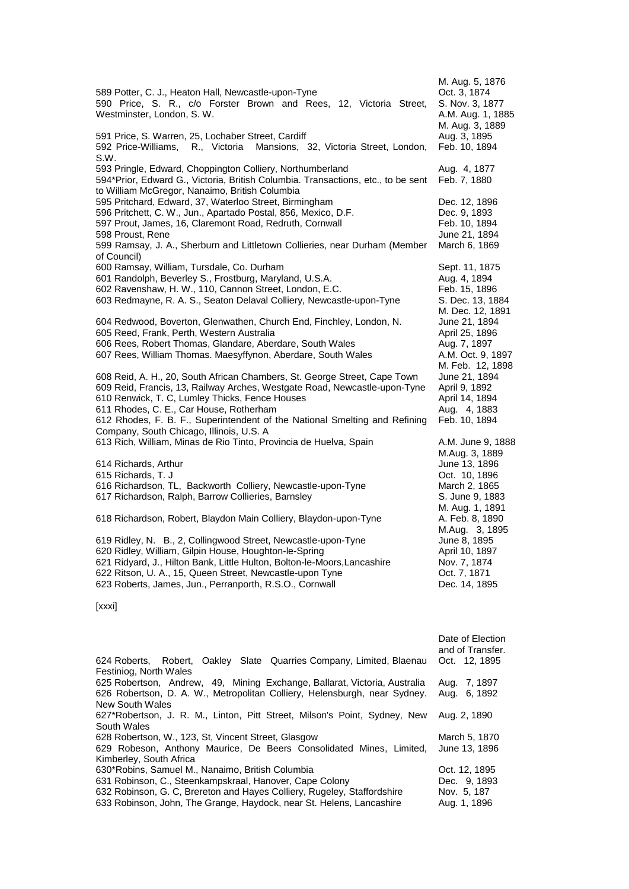| 589 Potter, C. J., Heaton Hall, Newcastle-upon-Tyne<br>590 Price, S. R., c/o Forster Brown and Rees, 12, Victoria Street,<br>Westminster, London, S. W.                                                                                                                                                                                                                       | M. Aug. 5, 1876<br>Oct. 3, 1874<br>S. Nov. 3, 1877<br>A.M. Aug. 1, 1885<br>M. Aug. 3, 1889 |
|-------------------------------------------------------------------------------------------------------------------------------------------------------------------------------------------------------------------------------------------------------------------------------------------------------------------------------------------------------------------------------|--------------------------------------------------------------------------------------------|
| 591 Price, S. Warren, 25, Lochaber Street, Cardiff<br>592 Price-Williams,<br>R., Victoria Mansions, 32, Victoria Street, London,<br>S.W.                                                                                                                                                                                                                                      | Aug. 3, 1895<br>Feb. 10, 1894                                                              |
| 593 Pringle, Edward, Choppington Colliery, Northumberland<br>594*Prior, Edward G., Victoria, British Columbia. Transactions, etc., to be sent<br>to William McGregor, Nanaimo, British Columbia                                                                                                                                                                               | Aug. 4, 1877<br>Feb. 7, 1880                                                               |
| 595 Pritchard, Edward, 37, Waterloo Street, Birmingham<br>596 Pritchett, C. W., Jun., Apartado Postal, 856, Mexico, D.F.<br>597 Prout, James, 16, Claremont Road, Redruth, Cornwall<br>598 Proust, Rene<br>599 Ramsay, J. A., Sherburn and Littletown Collieries, near Durham (Member<br>of Council)                                                                          | Dec. 12, 1896<br>Dec. 9, 1893<br>Feb. 10, 1894<br>June 21, 1894<br>March 6, 1869           |
| 600 Ramsay, William, Tursdale, Co. Durham<br>601 Randolph, Beverley S., Frostburg, Maryland, U.S.A.<br>602 Ravenshaw, H. W., 110, Cannon Street, London, E.C.<br>603 Redmayne, R. A. S., Seaton Delaval Colliery, Newcastle-upon-Tyne                                                                                                                                         | Sept. 11, 1875<br>Aug. 4, 1894<br>Feb. 15, 1896<br>S. Dec. 13, 1884<br>M. Dec. 12, 1891    |
| 604 Redwood, Boverton, Glenwathen, Church End, Finchley, London, N.<br>605 Reed, Frank, Perth, Western Australia<br>606 Rees, Robert Thomas, Glandare, Aberdare, South Wales<br>607 Rees, William Thomas. Maesyffynon, Aberdare, South Wales                                                                                                                                  | June 21, 1894<br>April 25, 1896<br>Aug. 7, 1897<br>A.M. Oct. 9, 1897<br>M. Feb. 12, 1898   |
| 608 Reid, A. H., 20, South African Chambers, St. George Street, Cape Town<br>609 Reid, Francis, 13, Railway Arches, Westgate Road, Newcastle-upon-Tyne<br>610 Renwick, T. C, Lumley Thicks, Fence Houses<br>611 Rhodes, C. E., Car House, Rotherham<br>612 Rhodes, F. B. F., Superintendent of the National Smelting and Refining<br>Company, South Chicago, Illinois, U.S. A | June 21, 1894<br>April 9, 1892<br>April 14, 1894<br>Aug. 4, 1883<br>Feb. 10, 1894          |
| 613 Rich, William, Minas de Rio Tinto, Provincia de Huelva, Spain<br>614 Richards, Arthur                                                                                                                                                                                                                                                                                     | A.M. June 9, 1888<br>M.Aug. 3, 1889<br>June 13, 1896                                       |
| 615 Richards, T. J<br>616 Richardson, TL, Backworth Colliery, Newcastle-upon-Tyne<br>617 Richardson, Ralph, Barrow Collieries, Barnsley                                                                                                                                                                                                                                       | Oct. 10, 1896<br>March 2, 1865<br>S. June 9, 1883                                          |
| 618 Richardson, Robert, Blaydon Main Colliery, Blaydon-upon-Tyne                                                                                                                                                                                                                                                                                                              | M. Aug. 1, 1891<br>A. Feb. 8, 1890<br>M.Aug. 3, 1895                                       |
| 619 Ridley, N. B., 2, Collingwood Street, Newcastle-upon-Tyne<br>620 Ridley, William, Gilpin House, Houghton-le-Spring<br>621 Ridyard, J., Hilton Bank, Little Hulton, Bolton-le-Moors, Lancashire<br>622 Ritson, U. A., 15, Queen Street, Newcastle-upon Tyne<br>623 Roberts, James, Jun., Perranporth, R.S.O., Cornwall                                                     | June 8, 1895<br>April 10, 1897<br>Nov. 7, 1874<br>Oct. 7, 1871<br>Dec. 14, 1895            |
|                                                                                                                                                                                                                                                                                                                                                                               |                                                                                            |

[xxxi]

|                                                                           | Date of Election<br>and of Transfer. |
|---------------------------------------------------------------------------|--------------------------------------|
| 624 Roberts, Robert, Oakley Slate Quarries Company, Limited, Blaenau      | Oct. 12, 1895                        |
| Festiniog, North Wales                                                    |                                      |
| 625 Robertson, Andrew, 49, Mining Exchange, Ballarat, Victoria, Australia | Aug. 7, 1897                         |
| 626 Robertson, D. A. W., Metropolitan Colliery, Helensburgh, near Sydney. | Aug. 6, 1892                         |
| New South Wales                                                           |                                      |
| 627*Robertson, J. R. M., Linton, Pitt Street, Milson's Point, Sydney, New | Aug. 2, 1890                         |
| South Wales                                                               |                                      |
| 628 Robertson, W., 123, St, Vincent Street, Glasgow                       | March 5, 1870                        |
| 629 Robeson, Anthony Maurice, De Beers Consolidated Mines, Limited,       | June 13, 1896                        |
| Kimberley, South Africa                                                   |                                      |
| 630*Robins, Samuel M., Nanaimo, British Columbia                          | Oct. 12, 1895                        |
| 631 Robinson, C., Steenkampskraal, Hanover, Cape Colony                   | Dec. 9.1893                          |
| 632 Robinson, G. C. Brereton and Hayes Colliery, Rugeley, Staffordshire   | Nov. 5, 187                          |
| 633 Robinson, John, The Grange, Haydock, near St. Helens, Lancashire      | Aug. 1, 1896                         |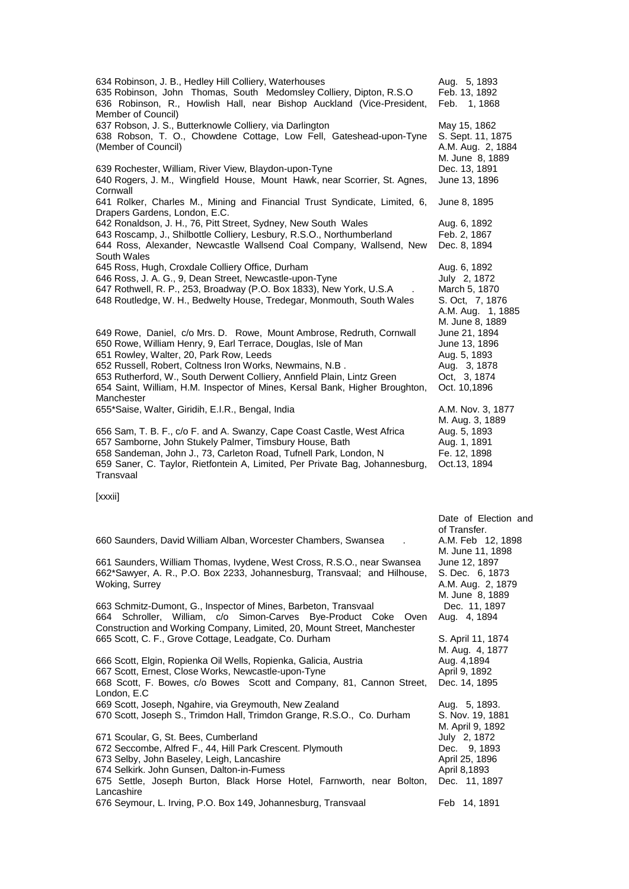634 Robinson, J. B., Hedley Hill Colliery, Waterhouses **Aug. 5, 1893**<br>635 Robinson, John Thomas, South Medomsley Colliery, Dipton, R.S.O Feb. 13, 1892 635 Robinson, John Thomas, South Medomsley Colliery, Dipton, R.S.O 636 Robinson, R., Howlish Hall, near Bishop Auckland (Vice-President, Member of Council) Feb. 1, 1868 637 Robson, J. S., Butterknowle Colliery, via Darlington May 15, 1862 638 Robson, T. O., Chowdene Cottage, Low Fell, Gateshead-upon-Tyne (Member of Council) S. Sept. 11, 1875 A.M. Aug. 2, 1884 M. June 8, 1889 639 Rochester, William, River View, Blaydon-upon-Tyne 640 Rogers, J. M., Wingfield House, Mount Hawk, near Scorrier, St. Agnes, **Cornwall** June 13, 1896 641 Rolker, Charles M., Mining and Financial Trust Syndicate, Limited, 6, Drapers Gardens, London, E.C. June 8, 1895 642 Ronaldson, J. H., 76, Pitt Street, Sydney, New South Wales Aug. 6, 1892 643 Roscamp, J., Shilbottle Colliery, Lesbury, R.S.O., Northumberland Feb. 2, 1867 644 Ross, Alexander, Newcastle Wallsend Coal Company, Wallsend, New South Wales Dec. 8, 1894 645 Ross, Hugh, Croxdale Colliery Office, Durham <br>646 Ross, J. A. G., 9, Dean Street, Newcastle-upon-Tyne July 2, 1872 646 Ross, J. A. G., 9, Dean Street, Newcastle-upon-Tyne 647 Rothwell, R. P., 253, Broadway (P.O. Box 1833), New York, U.S.A . March 5, 1870<br>648 Routledge, W. H., Bedwelty House, Tredegar, Monmouth, South Wales S. Oct, 7, 1876 648 Routledge, W. H., Bedwelty House, Tredegar, Monmouth, South Wales A.M. Aug. 1, 1885 M. June 8, 1889 649 Rowe, Daniel, c/o Mrs. D. Rowe, Mount Ambrose, Redruth, Cornwall June 21, 1894 650 Rowe, William Henry, 9, Earl Terrace, Douglas, Isle of Man June 13, 1896 651 Rowley, Walter, 20, Park Row, Leeds<br>652 Russell, Robert, Coltness Iron Works, Newmains, N.B . Aug. 3, 1878 652 Russell, Robert, Coltness Iron Works, Newmains, N.B . [1878] Aug. 3, 1878<br>653 Rutherford, W., South Derwent Colliery, Annfield Plain, Lintz Green [1874] Oct, 3, 1874 653 Rutherford, W., South Derwent Colliery, Annfield Plain, Lintz Green 654 Saint, William, H.M. Inspector of Mines, Kersal Bank, Higher Broughton, Manchester Oct. 10,1896 655\*Saise, Walter, Giridih, E.I.R., Bengal, India A.M. Nov. 3, 1877 M. Aug. 3, 1889 656 Sam, T. B. F., c/o F. and A. Swanzy, Cape Coast Castle, West Africa 657 Samborne, John Stukely Palmer, Timsbury House, Bath Aug. 1, 1891 658 Sandeman, John J., 73, Carleton Road, Tufnell Park, London, N Fe. 12, 1898 659 Saner, C. Taylor, Rietfontein A, Limited, Per Private Bag, Johannesburg, Transvaal Oct.13, 1894 [xxxii] Date of Election and of Transfer.<br>A.M. Feb 12, 1898 660 Saunders, David William Alban, Worcester Chambers, Swansea M. June 11, 1898 661 Saunders, William Thomas, Ivydene, West Cross, R.S.O., near Swansea June 12, 1897 662\*Sawyer, A. R., P.O. Box 2233, Johannesburg, Transvaal; and Hilhouse, Woking, Surrey S. Dec. 6, 1873 A.M. Aug. 2, 1879 M. June 8, 1889 663 Schmitz-Dumont, G., Inspector of Mines, Barbeton, Transvaal Dec. 11, 1897 664 Schroller, William, c/o Simon-Carves Bye-Product Coke Oven Construction and Working Company, Limited, 20, Mount Street, Manchester Aug. 4, 1894 665 Scott, C. F., Grove Cottage, Leadgate, Co. Durham S. April 11, 1874 M. Aug. 4, 1877 666 Scott, Elgin, Ropienka Oil Wells, Ropienka, Galicia, Austria Aug. 4,1894 667 Scott, Ernest, Close Works, Newcastle-upon-Tyne **Access 20 Fig. 2018** April 9, 1892 668 Scott, F. Bowes, c/o Bowes Scott and Company, 81, Cannon Street, London, E.C Dec. 14, 1895 669 Scott, Joseph, Ngahire, via Greymouth, New Zealand Aug. 5, 1893. 670 Scott, Joseph S., Trimdon Hall, Trimdon Grange, R.S.O., Co. Durham S. Nov. 19, 1881 M. April 9, 1892 671 Scoular, G, St. Bees, Cumberland<br>672 Seccombe, Alfred F., 44, Hill Park Crescent. Plymouth Dec. 9, 1893 672 Seccombe, Alfred F., 44, Hill Park Crescent. Plymouth 673 Selby, John Baseley, Leigh, Lancashire April 25, 1896 674 Selkirk. John Gunsen, Dalton-in-Fumess April 8,1893 675 Settle, Joseph Burton, Black Horse Hotel, Farnworth, near Bolton, Lancashire Dec. 11, 1897 676 Seymour, L. Irving, P.O. Box 149, Johannesburg, Transvaal Feb 14, 1891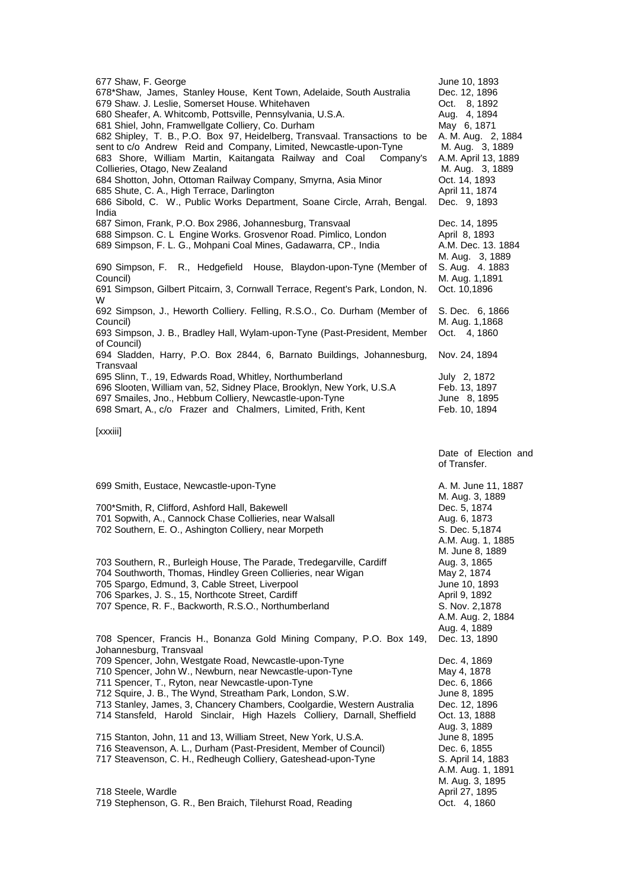| 677 Shaw, F. George<br>678*Shaw, James, Stanley House, Kent Town, Adelaide, South Australia<br>679 Shaw. J. Leslie, Somerset House. Whitehaven<br>680 Sheafer, A. Whitcomb, Pottsville, Pennsylvania, U.S.A.<br>681 Shiel, John, Framwellgate Colliery, Co. Durham<br>682 Shipley, T. B., P.O. Box 97, Heidelberg, Transvaal. Transactions to be<br>sent to c/o Andrew Reid and Company, Limited, Newcastle-upon-Tyne<br>683 Shore, William Martin, Kaitangata Railway and Coal Company's<br>Collieries, Otago, New Zealand<br>684 Shotton, John, Ottoman Railway Company, Smyrna, Asia Minor<br>685 Shute, C. A., High Terrace, Darlington<br>686 Sibold, C. W., Public Works Department, Soane Circle, Arrah, Bengal. | June 10, 1893<br>Dec. 12, 1896<br>Oct. 8, 1892<br>Aug. 4, 1894<br>May 6, 1871<br>A. M. Aug. 2, 1884<br>M. Aug. 3, 1889<br>A.M. April 13, 1889<br>M. Aug. 3, 1889<br>Oct. 14, 1893<br>April 11, 1874<br>Dec. 9, 1893 |
|-------------------------------------------------------------------------------------------------------------------------------------------------------------------------------------------------------------------------------------------------------------------------------------------------------------------------------------------------------------------------------------------------------------------------------------------------------------------------------------------------------------------------------------------------------------------------------------------------------------------------------------------------------------------------------------------------------------------------|---------------------------------------------------------------------------------------------------------------------------------------------------------------------------------------------------------------------|
| India<br>687 Simon, Frank, P.O. Box 2986, Johannesburg, Transvaal<br>688 Simpson. C. L Engine Works. Grosvenor Road. Pimlico, London<br>689 Simpson, F. L. G., Mohpani Coal Mines, Gadawarra, CP., India<br>690 Simpson, F. R., Hedgefield House, Blaydon-upon-Tyne (Member of<br>Council)<br>691 Simpson, Gilbert Pitcairn, 3, Cornwall Terrace, Regent's Park, London, N.                                                                                                                                                                                                                                                                                                                                             | Dec. 14, 1895<br>April 8, 1893<br>A.M. Dec. 13. 1884<br>M. Aug. 3, 1889<br>S. Aug. 4. 1883<br>M. Aug. 1,1891<br>Oct. 10,1896                                                                                        |
| W<br>692 Simpson, J., Heworth Colliery. Felling, R.S.O., Co. Durham (Member of<br>Council)<br>693 Simpson, J. B., Bradley Hall, Wylam-upon-Tyne (Past-President, Member<br>of Council)                                                                                                                                                                                                                                                                                                                                                                                                                                                                                                                                  | S. Dec. 6, 1866<br>M. Aug. 1,1868<br>Oct. 4, 1860                                                                                                                                                                   |
| 694 Sladden, Harry, P.O. Box 2844, 6, Barnato Buildings, Johannesburg,<br>Transvaal                                                                                                                                                                                                                                                                                                                                                                                                                                                                                                                                                                                                                                     | Nov. 24, 1894                                                                                                                                                                                                       |
| 695 Slinn, T., 19, Edwards Road, Whitley, Northumberland<br>696 Slooten, William van, 52, Sidney Place, Brooklyn, New York, U.S.A<br>697 Smailes, Jno., Hebbum Colliery, Newcastle-upon-Tyne                                                                                                                                                                                                                                                                                                                                                                                                                                                                                                                            | July 2, 1872<br>Feb. 13, 1897<br>June 8, 1895                                                                                                                                                                       |
| 698 Smart, A., c/o Frazer and Chalmers, Limited, Frith, Kent                                                                                                                                                                                                                                                                                                                                                                                                                                                                                                                                                                                                                                                            | Feb. 10, 1894                                                                                                                                                                                                       |
| [xxxiii]                                                                                                                                                                                                                                                                                                                                                                                                                                                                                                                                                                                                                                                                                                                |                                                                                                                                                                                                                     |
|                                                                                                                                                                                                                                                                                                                                                                                                                                                                                                                                                                                                                                                                                                                         | Date of Election and<br>of Transfer.                                                                                                                                                                                |
| 699 Smith, Eustace, Newcastle-upon-Tyne<br>700*Smith, R, Clifford, Ashford Hall, Bakewell<br>701 Sopwith, A., Cannock Chase Collieries, near Walsall<br>702 Southern, E. O., Ashington Colliery, near Morpeth                                                                                                                                                                                                                                                                                                                                                                                                                                                                                                           | A. M. June 11, 1887<br>M. Aug. 3, 1889<br>Dec. 5, 1874<br>Aug. 6, 1873<br>S. Dec. 5,1874<br>A.M. Aug. 1, 1885                                                                                                       |
| 703 Southern, R., Burleigh House, The Parade, Tredegarville, Cardiff<br>704 Southworth, Thomas, Hindley Green Collieries, near Wigan<br>705 Spargo, Edmund, 3, Cable Street, Liverpool<br>706 Sparkes, J. S., 15, Northcote Street, Cardiff<br>707 Spence, R. F., Backworth, R.S.O., Northumberland<br>708 Spencer, Francis H., Bonanza Gold Mining Company, P.O. Box 149,                                                                                                                                                                                                                                                                                                                                              | M. June 8, 1889<br>Aug. 3, 1865<br>May 2, 1874<br>June 10, 1893<br>April 9, 1892<br>S. Nov. 2,1878<br>A.M. Aug. 2, 1884<br>Aug. 4, 1889<br>Dec. 13, 1890                                                            |
| Johannesburg, Transvaal<br>709 Spencer, John, Westgate Road, Newcastle-upon-Tyne<br>710 Spencer, John W., Newburn, near Newcastle-upon-Tyne<br>711 Spencer, T., Ryton, near Newcastle-upon-Tyne<br>712 Squire, J. B., The Wynd, Streatham Park, London, S.W.<br>713 Stanley, James, 3, Chancery Chambers, Coolgardie, Western Australia<br>714 Stansfeld, Harold Sinclair, High Hazels Colliery, Darnall, Sheffield                                                                                                                                                                                                                                                                                                     | Dec. 4, 1869<br>May 4, 1878<br>Dec. 6, 1866<br>June 8, 1895<br>Dec. 12, 1896<br>Oct. 13, 1888                                                                                                                       |
| 715 Stanton, John, 11 and 13, William Street, New York, U.S.A.<br>716 Steavenson, A. L., Durham (Past-President, Member of Council)<br>717 Steavenson, C. H., Redheugh Colliery, Gateshead-upon-Tyne<br>718 Steele, Wardle                                                                                                                                                                                                                                                                                                                                                                                                                                                                                              | Aug. 3, 1889<br>June 8, 1895<br>Dec. 6, 1855<br>S. April 14, 1883<br>A.M. Aug. 1, 1891<br>M. Aug. 3, 1895<br>April 27, 1895                                                                                         |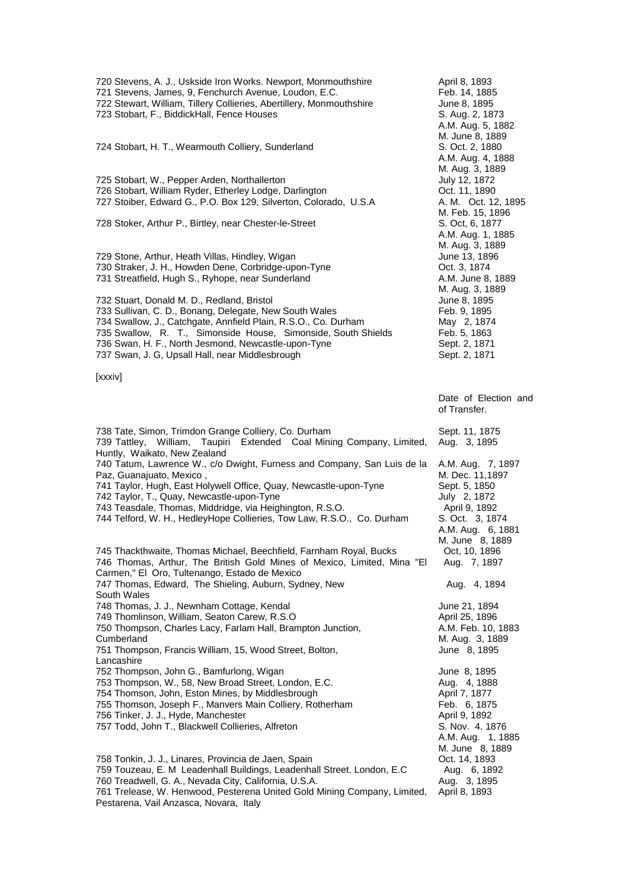720 Stevens, A. J., Uskside Iron Works. Newport, Monmouthshire April 8, 1893<br>721 Stevens. James. 9. Fenchurch Avenue. Loudon. E.C. The April 8, 14, 1885 721 Stevens, James, 9, Fenchurch Avenue, Loudon, E.C. Feb. 14, 1885<br>722 Stewart, William, Tillery Collieries, Abertillery, Monmouthshire June 8, 1895 722 Stewart, William, Tillery Collieries, Abertillery, Monmouthshire June 8, 1895<br>723 Stobart, F., BiddickHall, Fence Houses (S. Aug. 2, 1873) 723 Stobart, F., BiddickHall, Fence Houses A.M. Aug. 5, 1882 M. June 8, 1889 724 Stobart, H. T., Wearmouth Colliery, Sunderland A.M. Aug. 4, 1888 M. Aug. 3, 1889 725 Stobart, W., Pepper Arden, Northallerton and the stock of the Uuly 12, 1872<br>726 Stobart, William Ryder, Etherley Lodge, Darlington and Martin Soct. 11, 1890 726 Stobart, William Ryder, Etherley Lodge, Darlington (D. 1990)<br>727 Stoiber, Edward G., P.O. Box 129, Silverton, Colorado, U.S.A (A. M. Oct. 12, 1895) 727 Stoiber, Edward G., P.O. Box 129, Silverton, Colorado, U.S.A. M. Feb. 15, 1896<br>S. Oct, 6, 1877 728 Stoker, Arthur P., Birtley, near Chester-le-Street A.M. Aug. 1, 1885 M. Aug. 3, 1889 729 Stone, Arthur, Heath Villas, Hindley, Wigan June 13, 1896<br>730 Straker, J. H., Howden Dene, Corbridge-upon-Tyne June 11, 1874 730 Straker, J. H., Howden Dene, Corbridge-upon-Tyne Oct. 3, 1874 731 Streatfield, Hugh S., Ryhope, near Sunderland M. Aug. 3, 1889 732 Stuart, Donald M. D., Redland, Bristol (1995)<br>733 Sullivan, C. D., Bonang, Delegate, New South Wales (1995) Feb. 9, 1895 733 Sullivan, C. D., Bonang, Delegate, New South Wales Feb. 9, 1895<br>734 Swallow, J., Catchgate, Annfield Plain, R.S.O., Co. Durham May 2, 1874 734 Swallow, J., Catchgate, Annfield Plain, R.S.O., Co. Durham May 2, 1874<br>735 Swallow, R. T., Simonside House, Simonside, South Shields Feb. 5, 1863 735 Swallow, R. T., Simonside House, Simonside, South Shields 736 Swan, H. F., North Jesmond, Newcastle-upon-Tyne Sept. 2, 1871 737 Swan, J. G, Upsall Hall, near Middlesbrough Sept. 2, 1871 [xxxiv] Date of Election and of Transfer. 738 Tate, Simon, Trimdon Grange Colliery, Co. Durham Sept. 11, 1875 739 Tattley, William, Taupiri Extended Coal Mining Company, Limited, Huntly, Waikato, New Zealand Aug. 3, 1895 740 Tatum, Lawrence W., c/o Dwight, Furness and Company, San Luis de la Paz, Guanajuato, Mexico , A.M. Aug. 7, 1897 M. Dec. 11,1897 741 Taylor, Hugh, East Holywell Office, Quay, Newcastle-upon-Tyne Sept. 5, 1850<br>742 Taylor, T., Quay, Newcastle-upon-Tyne 742 Taylor, T., Quay, Newcastle-upon-Tyne July 2, 1872 743 Teasdale, Thomas, Middridge, via Heighington, R.S.O. [2015] The April 9, 1892<br>744 Telford, W. H., HedleyHope Collieries, Tow Law, R.S.O., Co. Durham S. Oct. 3, 1874 744 Telford, W. H., HedleyHope Collieries, Tow Law, R.S.O., Co. Durham A.M. Aug. 6, 1881 M. June 8, 1889<br>Oct, 10, 1896 745 Thackthwaite, Thomas Michael, Beechfield, Farnham Royal, Bucks 746 Thomas, Arthur, The British Gold Mines of Mexico, Limited, Mina "El Carmen," El Oro, Tultenango, Estado de Mexico Aug. 7, 1897 747 Thomas, Edward, The Shieling, Auburn, Sydney, New South Wales Aug. 4, 1894 748 Thomas, J. J., Newnham Cottage, Kendal June 21, 1894 749 Thomlinson, William, Seaton Carew, R.S.O 750 Thompson, Charles Lacy, Farlam Hall, Brampton Junction, Cumberland A.M. Feb. 10, 1883 M. Aug. 3, 1889 751 Thompson, Francis William, 15, Wood Street, Bolton, Lancashire June 8, 1895 752 Thompson, John G., Bamfurlong, Wigan June 8, 1895 753 Thompson, W., 58, New Broad Street, London, E.C. 754 Thomson, John, Eston Mines, by Middlesbrough April 7, 1877 755 Thomson, Joseph F., Manvers Main Colliery, Rotherham Feb. 6, 1875 756 Tinker, J. J., Hyde, Manchester **April 9, 1892** April 9, 1892 757 Todd, John T., Blackwell Collieries, Alfreton S. Nov. 4. 1876 A.M. Aug. 1, 1885 M. June 8, 1889 758 Tonkin, J. J., Linares, Provincia de Jaen, Spain (Callieder, London, E.C. 14, 1893)<br>759 Touzeau, E. M. Leadenhall Buildings, Leadenhall Street. London, E.C. Aug. 6, 1892<br>760 Treadwell, G. A., Nevada City, California, U 759 Touzeau, E. M Leadenhall Buildings, Leadenhall Street. London, E.C 760 Treadwell, G. A., Nevada City, California, U.S.A. 761 Trelease, W. Henwood, Pesterena United Gold Mining Company, Limited, Pestarena, Vail Anzasca, Novara, Italy April 8, 1893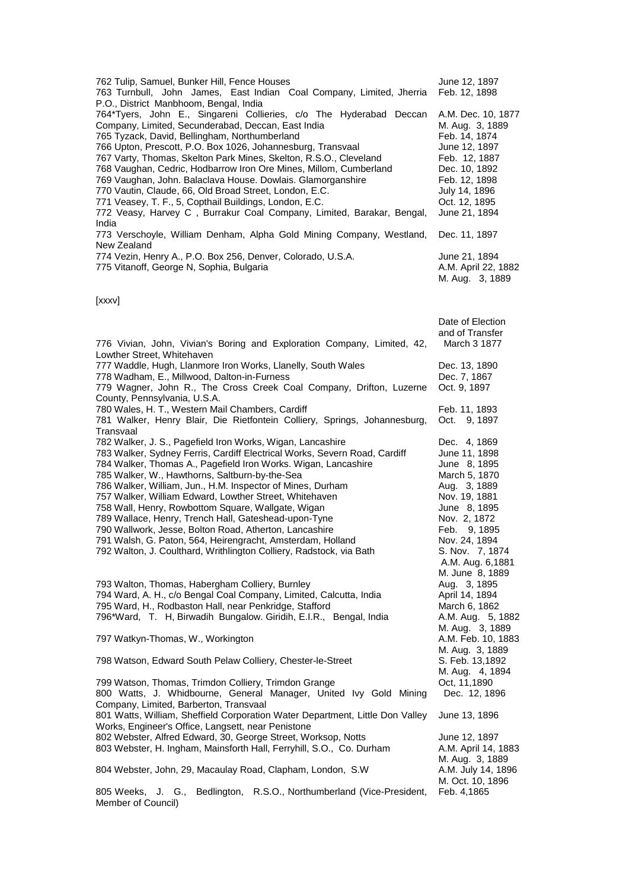| 762 Tulip, Samuel, Bunker Hill, Fence Houses                          | June 12, 1897       |
|-----------------------------------------------------------------------|---------------------|
| 763 Turnbull, John James, East Indian Coal Company, Limited, Jherria  | Feb. 12, 1898       |
| P.O., District Manbhoom, Bengal, India                                |                     |
| 764*Tyers, John E., Singareni Collieries, c/o The Hyderabad Deccan    | A.M. Dec. 10, 1877  |
| Company, Limited, Secunderabad, Deccan, East India                    | M. Aug. 3, 1889     |
| 765 Tyzack, David, Bellingham, Northumberland                         | Feb. 14, 1874       |
| 766 Upton, Prescott, P.O. Box 1026, Johannesburg, Transvaal           | June 12, 1897       |
| 767 Varty, Thomas, Skelton Park Mines, Skelton, R.S.O., Cleveland     | Feb. 12, 1887       |
| 768 Vaughan, Cedric, Hodbarrow Iron Ore Mines, Millom, Cumberland     | Dec. 10, 1892       |
| 769 Vaughan, John. Balaclava House. Dowlais. Glamorganshire           | Feb. 12, 1898       |
| 770 Vautin, Claude, 66, Old Broad Street, London, E.C.                | July 14, 1896       |
| 771 Veasey, T. F., 5, Copthail Buildings, London, E.C.                | Oct. 12, 1895       |
| 772 Veasy, Harvey C, Burrakur Coal Company, Limited, Barakar, Bengal, | June 21, 1894       |
| India                                                                 |                     |
| 773 Verschoyle, William Denham, Alpha Gold Mining Company, Westland,  | Dec. 11, 1897       |
| New Zealand                                                           |                     |
| 774 Vezin, Henry A., P.O. Box 256, Denver, Colorado, U.S.A.           | June 21, 1894       |
| 775 Vitanoff, George N, Sophia, Bulgaria                              | A.M. April 22, 1882 |
|                                                                       | M. Aug. 3, 1889     |
|                                                                       |                     |

[xxxv]

| 776 Vivian, John, Vivian's Boring and Exploration Company, Limited, 42,                                                                                                                                                                                                                                                                                                                                                                                                                                                                                                                                                                                                                          | Date of Election<br>and of Transfer<br>March 3 1877                                                                                                                                                     |
|--------------------------------------------------------------------------------------------------------------------------------------------------------------------------------------------------------------------------------------------------------------------------------------------------------------------------------------------------------------------------------------------------------------------------------------------------------------------------------------------------------------------------------------------------------------------------------------------------------------------------------------------------------------------------------------------------|---------------------------------------------------------------------------------------------------------------------------------------------------------------------------------------------------------|
| Lowther Street, Whitehaven<br>777 Waddle, Hugh, Llanmore Iron Works, Llanelly, South Wales<br>778 Wadham, E., Millwood, Dalton-in-Furness<br>779 Wagner, John R., The Cross Creek Coal Company, Drifton, Luzerne<br>County, Pennsylvania, U.S.A.                                                                                                                                                                                                                                                                                                                                                                                                                                                 | Dec. 13, 1890<br>Dec. 7, 1867<br>Oct. 9, 1897                                                                                                                                                           |
| 780 Wales, H. T., Western Mail Chambers, Cardiff<br>781 Walker, Henry Blair, Die Rietfontein Colliery, Springs, Johannesburg,<br>Transvaal                                                                                                                                                                                                                                                                                                                                                                                                                                                                                                                                                       | Feb. 11, 1893<br>Oct. 9, 1897                                                                                                                                                                           |
| 782 Walker, J. S., Pagefield Iron Works, Wigan, Lancashire<br>783 Walker, Sydney Ferris, Cardiff Electrical Works, Severn Road, Cardiff<br>784 Walker, Thomas A., Pagefield Iron Works. Wigan, Lancashire<br>785 Walker, W., Hawthorns, Saltburn-by-the-Sea<br>786 Walker, William, Jun., H.M. Inspector of Mines, Durham<br>757 Walker, William Edward, Lowther Street, Whitehaven<br>758 Wall, Henry, Rowbottom Square, Wallgate, Wigan<br>789 Wallace, Henry, Trench Hall, Gateshead-upon-Tyne<br>790 Wallwork, Jesse, Bolton Road, Atherton, Lancashire<br>791 Walsh, G. Paton, 564, Heirengracht, Amsterdam, Holland<br>792 Walton, J. Coulthard, Writhlington Colliery, Radstock, via Bath | Dec. 4, 1869<br>June 11, 1898<br>June 8, 1895<br>March 5, 1870<br>Aug. 3, 1889<br>Nov. 19, 1881<br>June 8, 1895<br>Nov. 2, 1872<br>Feb. 9, 1895<br>Nov. 24, 1894<br>S. Nov. 7, 1874<br>A.M. Aug. 6,1881 |
| 793 Walton, Thomas, Habergham Colliery, Burnley<br>794 Ward, A. H., c/o Bengal Coal Company, Limited, Calcutta, India<br>795 Ward, H., Rodbaston Hall, near Penkridge, Stafford<br>796*Ward, T. H, Birwadih Bungalow. Giridih, E.I.R., Bengal, India                                                                                                                                                                                                                                                                                                                                                                                                                                             | M. June 8, 1889<br>Aug. 3, 1895<br>April 14, 1894<br>March 6, 1862<br>A.M. Aug. 5, 1882<br>M. Aug. 3, 1889                                                                                              |
| 797 Watkyn-Thomas, W., Workington                                                                                                                                                                                                                                                                                                                                                                                                                                                                                                                                                                                                                                                                | A.M. Feb. 10, 1883                                                                                                                                                                                      |
| 798 Watson, Edward South Pelaw Colliery, Chester-le-Street                                                                                                                                                                                                                                                                                                                                                                                                                                                                                                                                                                                                                                       | M. Aug. 3, 1889<br>S. Feb. 13,1892<br>M. Aug. 4, 1894                                                                                                                                                   |
| 799 Watson, Thomas, Trimdon Colliery, Trimdon Grange<br>800 Watts, J. Whidbourne, General Manager, United Ivy Gold Mining<br>Company, Limited, Barberton, Transvaal                                                                                                                                                                                                                                                                                                                                                                                                                                                                                                                              | Oct, 11,1890<br>Dec. 12, 1896                                                                                                                                                                           |
| 801 Watts, William, Sheffield Corporation Water Department, Little Don Valley                                                                                                                                                                                                                                                                                                                                                                                                                                                                                                                                                                                                                    | June 13, 1896                                                                                                                                                                                           |
| Works, Engineer's Office, Langsett, near Penistone<br>802 Webster, Alfred Edward, 30, George Street, Worksop, Notts<br>803 Webster, H. Ingham, Mainsforth Hall, Ferryhill, S.O., Co. Durham                                                                                                                                                                                                                                                                                                                                                                                                                                                                                                      | June 12, 1897<br>A.M. April 14, 1883<br>M. Aug. 3, 1889                                                                                                                                                 |
| 804 Webster, John, 29, Macaulay Road, Clapham, London, S.W.                                                                                                                                                                                                                                                                                                                                                                                                                                                                                                                                                                                                                                      | A.M. July 14, 1896<br>M. Oct. 10, 1896                                                                                                                                                                  |
| 805 Weeks, J. G.,<br>Bedlington, R.S.O., Northumberland (Vice-President,<br>Member of Council)                                                                                                                                                                                                                                                                                                                                                                                                                                                                                                                                                                                                   | Feb. 4,1865                                                                                                                                                                                             |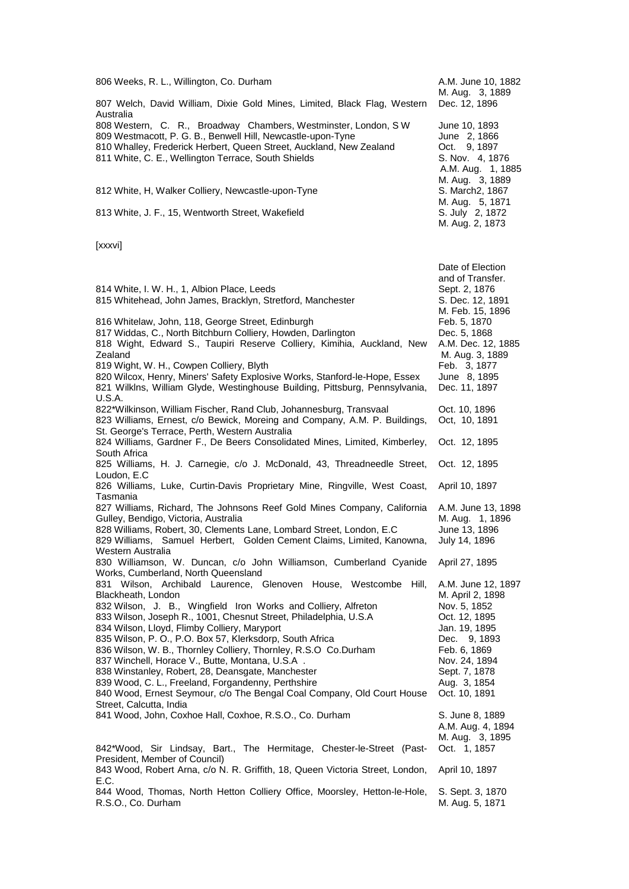| 806 Weeks, R. L., Willington, Co. Durham                                                                                                                                                                                                                                                                                                                                                                                                                                                                                                                                                                                                                                         | A.M. June 10, 1882                                                                                                                                                                                                      |
|----------------------------------------------------------------------------------------------------------------------------------------------------------------------------------------------------------------------------------------------------------------------------------------------------------------------------------------------------------------------------------------------------------------------------------------------------------------------------------------------------------------------------------------------------------------------------------------------------------------------------------------------------------------------------------|-------------------------------------------------------------------------------------------------------------------------------------------------------------------------------------------------------------------------|
| 807 Welch, David William, Dixie Gold Mines, Limited, Black Flag, Western<br>Australia                                                                                                                                                                                                                                                                                                                                                                                                                                                                                                                                                                                            | M. Aug. 3, 1889<br>Dec. 12, 1896                                                                                                                                                                                        |
| 808 Western, C. R., Broadway Chambers, Westminster, London, S W<br>809 Westmacott, P. G. B., Benwell Hill, Newcastle-upon-Tyne<br>810 Whalley, Frederick Herbert, Queen Street, Auckland, New Zealand<br>811 White, C. E., Wellington Terrace, South Shields                                                                                                                                                                                                                                                                                                                                                                                                                     | June 10, 1893<br>June 2, 1866<br>Oct. 9, 1897<br>S. Nov. 4, 1876<br>A.M. Aug. 1, 1885<br>M. Aug. 3, 1889                                                                                                                |
| 812 White, H, Walker Colliery, Newcastle-upon-Tyne                                                                                                                                                                                                                                                                                                                                                                                                                                                                                                                                                                                                                               | S. March2, 1867<br>M. Aug. 5, 1871                                                                                                                                                                                      |
| 813 White, J. F., 15, Wentworth Street, Wakefield                                                                                                                                                                                                                                                                                                                                                                                                                                                                                                                                                                                                                                | S. July 2, 1872<br>M. Aug. 2, 1873                                                                                                                                                                                      |
| [xxxvi]                                                                                                                                                                                                                                                                                                                                                                                                                                                                                                                                                                                                                                                                          |                                                                                                                                                                                                                         |
| 814 White, I. W. H., 1, Albion Place, Leeds<br>815 Whitehead, John James, Bracklyn, Stretford, Manchester<br>816 Whitelaw, John, 118, George Street, Edinburgh<br>817 Widdas, C., North Bitchburn Colliery, Howden, Darlington<br>818 Wight, Edward S., Taupiri Reserve Colliery, Kimihia, Auckland, New<br>Zealand<br>819 Wight, W. H., Cowpen Colliery, Blyth<br>820 Wilcox, Henry, Miners' Safety Explosive Works, Stanford-le-Hope, Essex<br>821 Wilklns, William Glyde, Westinghouse Building, Pittsburg, Pennsylvania,<br><b>U.S.A.</b>                                                                                                                                    | Date of Election<br>and of Transfer.<br>Sept. 2, 1876<br>S. Dec. 12, 1891<br>M. Feb. 15, 1896<br>Feb. 5, 1870<br>Dec. 5, 1868<br>A.M. Dec. 12, 1885<br>M. Aug. 3, 1889<br>Feb. 3, 1877<br>June 8, 1895<br>Dec. 11, 1897 |
| 822*Wilkinson, William Fischer, Rand Club, Johannesburg, Transvaal<br>823 Williams, Ernest, c/o Bewick, Moreing and Company, A.M. P. Buildings,<br>St. George's Terrace, Perth, Western Australia                                                                                                                                                                                                                                                                                                                                                                                                                                                                                | Oct. 10, 1896<br>Oct, 10, 1891                                                                                                                                                                                          |
| 824 Williams, Gardner F., De Beers Consolidated Mines, Limited, Kimberley,<br>South Africa                                                                                                                                                                                                                                                                                                                                                                                                                                                                                                                                                                                       | Oct. 12, 1895                                                                                                                                                                                                           |
| 825 Williams, H. J. Carnegie, c/o J. McDonald, 43, Threadneedle Street,<br>Loudon, E.C                                                                                                                                                                                                                                                                                                                                                                                                                                                                                                                                                                                           | Oct. 12, 1895                                                                                                                                                                                                           |
| 826 Williams, Luke, Curtin-Davis Proprietary Mine, Ringville, West Coast,<br>Tasmania                                                                                                                                                                                                                                                                                                                                                                                                                                                                                                                                                                                            | April 10, 1897                                                                                                                                                                                                          |
| 827 Williams, Richard, The Johnsons Reef Gold Mines Company, California<br>Gulley, Bendigo, Victoria, Australia<br>828 Williams, Robert, 30, Clements Lane, Lombard Street, London, E.C.<br>829 Williams, Samuel Herbert, Golden Cement Claims, Limited, Kanowna,<br>Western Australia                                                                                                                                                                                                                                                                                                                                                                                           | A.M. June 13, 1898<br>M. Aug. 1, 1896<br>June 13, 1896<br>July 14, 1896                                                                                                                                                 |
| 830 Williamson, W. Duncan, c/o John Williamson, Cumberland Cyanide<br>Works, Cumberland, North Queensland                                                                                                                                                                                                                                                                                                                                                                                                                                                                                                                                                                        | April 27, 1895                                                                                                                                                                                                          |
| 831 Wilson, Archibald Laurence, Glenoven House, Westcombe<br>Hill,<br>Blackheath, London<br>832 Wilson, J. B., Wingfield Iron Works and Colliery, Alfreton<br>833 Wilson, Joseph R., 1001, Chesnut Street, Philadelphia, U.S.A<br>834 Wilson, Lloyd, Flimby Colliery, Maryport<br>835 Wilson, P. O., P.O. Box 57, Klerksdorp, South Africa<br>836 Wilson, W. B., Thornley Colliery, Thornley, R.S.O Co.Durham<br>837 Winchell, Horace V., Butte, Montana, U.S.A.<br>838 Winstanley, Robert, 28, Deansgate, Manchester<br>839 Wood, C. L., Freeland, Forgandenny, Perthshire<br>840 Wood, Ernest Seymour, c/o The Bengal Coal Company, Old Court House<br>Street, Calcutta, India | A.M. June 12, 1897<br>M. April 2, 1898<br>Nov. 5, 1852<br>Oct. 12, 1895<br>Jan. 19, 1895<br>Dec.<br>9, 1893<br>Feb. 6, 1869<br>Nov. 24, 1894<br>Sept. 7, 1878<br>Aug. 3, 1854<br>Oct. 10, 1891                          |
| 841 Wood, John, Coxhoe Hall, Coxhoe, R.S.O., Co. Durham<br>842*Wood, Sir Lindsay, Bart., The Hermitage, Chester-le-Street (Past-                                                                                                                                                                                                                                                                                                                                                                                                                                                                                                                                                 | S. June 8, 1889<br>A.M. Aug. 4, 1894<br>M. Aug. 3, 1895<br>Oct. 1, 1857                                                                                                                                                 |
| President, Member of Council)<br>843 Wood, Robert Arna, c/o N. R. Griffith, 18, Queen Victoria Street, London,                                                                                                                                                                                                                                                                                                                                                                                                                                                                                                                                                                   | April 10, 1897                                                                                                                                                                                                          |
| E.C.<br>844 Wood, Thomas, North Hetton Colliery Office, Moorsley, Hetton-le-Hole,<br>R.S.O., Co. Durham                                                                                                                                                                                                                                                                                                                                                                                                                                                                                                                                                                          | S. Sept. 3, 1870<br>M. Aug. 5, 1871                                                                                                                                                                                     |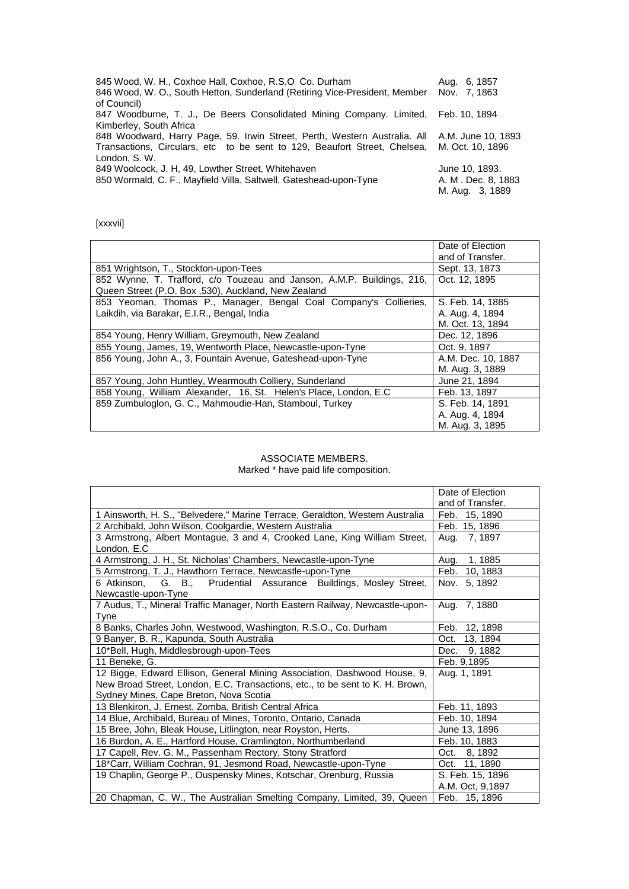| 845 Wood, W. H., Coxhoe Hall, Coxhoe, R.S.O Co. Durham                                       | Aug. 6, 1857       |
|----------------------------------------------------------------------------------------------|--------------------|
| 846 Wood, W. O., South Hetton, Sunderland (Retiring Vice-President, Member                   | Nov. 7, 1863       |
| of Council)                                                                                  |                    |
| 847 Woodburne, T. J., De Beers Consolidated Mining Company. Limited, Feb. 10, 1894           |                    |
| Kimberley, South Africa                                                                      |                    |
| 848 Woodward, Harry Page, 59. Irwin Street, Perth, Western Australia. All A.M. June 10, 1893 |                    |
| Transactions, Circulars, etc to be sent to 129, Beaufort Street, Chelsea, M. Oct. 10, 1896   |                    |
| London, S.W.                                                                                 |                    |
| 849 Woolcock, J. H. 49, Lowther Street, Whitehaven                                           | June 10, 1893.     |
| 850 Wormald, C. F., Mayfield Villa, Saltwell, Gateshead-upon-Tyne                            | A. M. Dec. 8, 1883 |
|                                                                                              | M. Aug. 3, 1889    |

[xxxvii]

|                                                                                                                                | Date of Election   |
|--------------------------------------------------------------------------------------------------------------------------------|--------------------|
|                                                                                                                                | and of Transfer.   |
| 851 Wrightson, T., Stockton-upon-Tees                                                                                          | Sept. 13, 1873     |
| 852 Wynne, T. Trafford, c/o Touzeau and Janson, A.M.P. Buildings, 216,<br>Queen Street (P.O. Box , 530), Auckland, New Zealand | Oct. 12, 1895      |
| 853 Yeoman, Thomas P., Manager, Bengal Coal Company's Collieries,                                                              | S. Feb. 14, 1885   |
| Laikdih, via Barakar, E.I.R., Bengal, India                                                                                    | A. Aug. 4, 1894    |
|                                                                                                                                | M. Oct. 13, 1894   |
| 854 Young, Henry William, Greymouth, New Zealand                                                                               | Dec. 12, 1896      |
| 855 Young, James, 19, Wentworth Place, Newcastle-upon-Tyne                                                                     | Oct. 9. 1897       |
| 856 Young, John A., 3, Fountain Avenue, Gateshead-upon-Tyne                                                                    | A.M. Dec. 10, 1887 |
|                                                                                                                                | M. Aug. 3, 1889    |
| 857 Young, John Huntley, Wearmouth Colliery, Sunderland                                                                        | June 21, 1894      |
| 858 Young, William Alexander, 16, St. Helen's Place, London, E.C.                                                              | Feb. 13, 1897      |
| 859 Zumbuloglon, G. C., Mahmoudie-Han, Stamboul, Turkey                                                                        | S. Feb. 14, 1891   |
|                                                                                                                                | A. Aug. 4, 1894    |
|                                                                                                                                | M. Aug. 3, 1895    |

## ASSOCIATE MEMBERS.

Marked \* have paid life composition.

|                                                                               | Date of Election |
|-------------------------------------------------------------------------------|------------------|
|                                                                               | and of Transfer. |
| 1 Ainsworth, H. S., "Belvedere," Marine Terrace, Geraldton, Western Australia | Feb. 15, 1890    |
| 2 Archibald, John Wilson, Coolgardie, Western Australia                       | Feb. 15, 1896    |
| 3 Armstrong, Albert Montague, 3 and 4, Crooked Lane, King William Street,     | 7, 1897<br>Aug.  |
| London, E.C                                                                   |                  |
| 4 Armstrong, J. H., St. Nicholas' Chambers, Newcastle-upon-Tyne               | Aug. 1, 1885     |
| 5 Armstrong, T. J., Hawthorn Terrace, Newcastle-upon-Tyne                     | Feb.<br>10, 1883 |
| $6$ Atkinson,<br>G. B.,<br>Prudential Assurance Buildings, Mosley Street,     | 5, 1892<br>Nov.  |
| Newcastle-upon-Tyne                                                           |                  |
| 7 Audus, T., Mineral Traffic Manager, North Eastern Railway, Newcastle-upon-  | Aug.<br>7, 1880  |
| Tyne                                                                          |                  |
| 8 Banks, Charles John, Westwood, Washington, R.S.O., Co. Durham               | Feb. 12, 1898    |
| 9 Banyer, B. R., Kapunda, South Australia                                     | Oct.<br>13, 1894 |
| 10*Bell, Hugh, Middlesbrough-upon-Tees                                        | 9, 1882<br>Dec.  |
| 11 Beneke, G.                                                                 | Feb. 9,1895      |
| 12 Bigge, Edward Ellison, General Mining Association, Dashwood House, 9,      | Aug. 1, 1891     |
| New Broad Street, London, E.C. Transactions, etc., to be sent to K. H. Brown, |                  |
| Sydney Mines, Cape Breton, Nova Scotia                                        |                  |
| 13 Blenkiron, J. Ernest, Zomba, British Central Africa                        | Feb. 11, 1893    |
| 14 Blue, Archibald, Bureau of Mines, Toronto, Ontario, Canada                 | Feb. 10, 1894    |
| 15 Bree, John, Bleak House, Litlington, near Royston, Herts.                  | June 13, 1896    |
| 16 Burdon, A. E., Hartford House, Cramlington, Northumberland                 |                  |
|                                                                               | Feb. 10, 1883    |
| 17 Capell, Rev. G. M., Passenham Rectory, Stony Stratford                     | Oct. 8, 1892     |
| 18*Carr, William Cochran, 91, Jesmond Road, Newcastle-upon-Tyne               | Oct. 11, 1890    |
| 19 Chaplin, George P., Ouspensky Mines, Kotschar, Orenburg, Russia            | S. Feb. 15, 1896 |
|                                                                               | A.M. Oct, 9,1897 |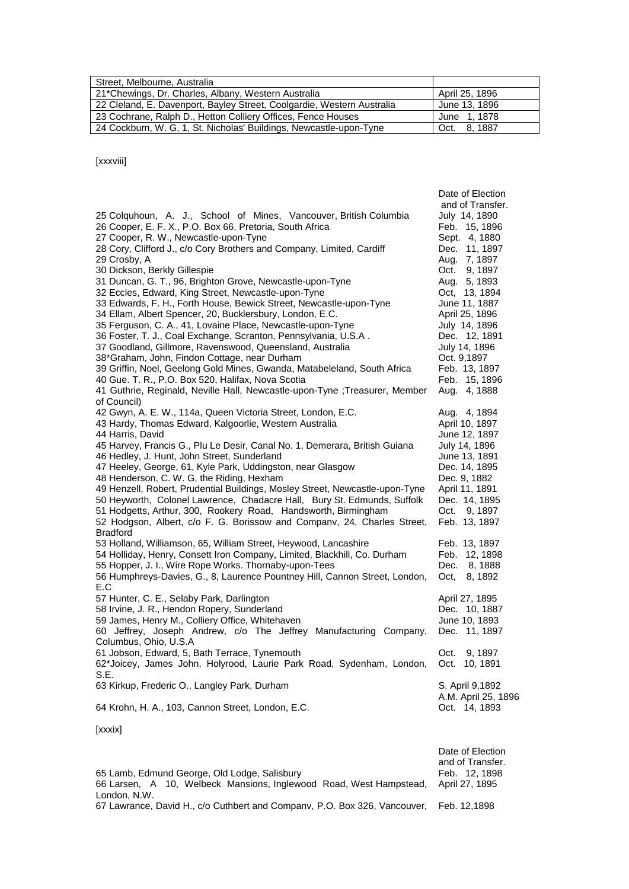| Street, Melbourne, Australia                                           |                |
|------------------------------------------------------------------------|----------------|
| 21*Chewings, Dr. Charles, Albany, Western Australia                    | April 25, 1896 |
| 22 Cleland, E. Davenport, Bayley Street, Coolgardie, Western Australia | June 13, 1896  |
| 23 Cochrane, Ralph D., Hetton Colliery Offices, Fence Houses           | June 1, 1878   |
| 24 Cockburn, W. G. 1, St. Nicholas' Buildings, Newcastle-upon-Tyne     | Oct. 8.1887    |

[xxxviii]

| [xxxix]                                                                                                                       |                                      |
|-------------------------------------------------------------------------------------------------------------------------------|--------------------------------------|
| 64 Krohn, H. A., 103, Cannon Street, London, E.C.                                                                             | A.M. April 25, 1896<br>Oct. 14, 1893 |
| 63 Kirkup, Frederic O., Langley Park, Durham                                                                                  | S. April 9,1892                      |
| 61 Jobson, Edward, 5, Bath Terrace, Tynemouth<br>62*Joicey, James John, Holyrood, Laurie Park Road, Sydenham, London,<br>S.E. | 9, 1897<br>Oct.<br>Oct. 10, 1891     |
| Columbus, Ohio, U.S.A                                                                                                         |                                      |
| 60 Jeffrey, Joseph Andrew, c/o The Jeffrey Manufacturing Company,                                                             | Dec. 11, 1897                        |
| 59 James, Henry M., Colliery Office, Whitehaven                                                                               | June 10, 1893                        |
| 58 Irvine, J. R., Hendon Ropery, Sunderland                                                                                   | Dec. 10, 1887                        |
| 57 Hunter, C. E., Selaby Park, Darlington                                                                                     | April 27, 1895                       |
| 56 Humphreys-Davies, G., 8, Laurence Pountney Hill, Cannon Street, London,<br>E.C                                             | 8, 1892                              |
| 55 Hopper, J. I., Wire Rope Works. Thornaby-upon-Tees                                                                         | Dec.<br>8, 1888<br>Oct.              |
| 54 Holliday, Henry, Consett Iron Company, Limited, Blackhill, Co. Durham                                                      | Feb. 12, 1898                        |
| 53 Holland, Williamson, 65, William Street, Heywood, Lancashire                                                               | Feb. 13, 1897                        |
| <b>Bradford</b>                                                                                                               |                                      |
| 52 Hodgson, Albert, c/o F. G. Borissow and Company, 24, Charles Street,                                                       | Feb. 13, 1897                        |
| 51 Hodgetts, Arthur, 300, Rookery Road, Handsworth, Birmingham                                                                | Oct.<br>9, 1897                      |
| 50 Heyworth, Colonel Lawrence, Chadacre Hall, Bury St. Edmunds, Suffolk                                                       | Dec. 14, 1895                        |
| 49 Henzell, Robert, Prudential Buildings, Mosley Street, Newcastle-upon-Tyne                                                  | April 11, 1891                       |
| 48 Henderson, C. W. G, the Riding, Hexham                                                                                     | Dec. 9, 1882                         |
| 47 Heeley, George, 61, Kyle Park, Uddingston, near Glasgow                                                                    | Dec. 14, 1895                        |
| 46 Hedley, J. Hunt, John Street, Sunderland                                                                                   | June 13, 1891                        |
| 45 Harvey, Francis G., Plu Le Desir, Canal No. 1, Demerara, British Guiana                                                    | July 14, 1896                        |
| 44 Harris, David                                                                                                              | June 12, 1897                        |
| 43 Hardy, Thomas Edward, Kalgoorlie, Western Australia                                                                        | April 10, 1897                       |
| 42 Gwyn, A. E. W., 114a, Queen Victoria Street, London, E.C.                                                                  | Aug. 4, 1894                         |
| of Council)                                                                                                                   |                                      |
| 41 Guthrie, Reginald, Neville Hall, Newcastle-upon-Tyne ; Treasurer, Member                                                   | Aug. 4, 1888                         |
| 40 Gue. T. R., P.O. Box 520, Halifax, Nova Scotia                                                                             | Feb. 15, 1896                        |
| 39 Griffin, Noel, Geelong Gold Mines, Gwanda, Matabeleland, South Africa                                                      | Feb. 13, 1897                        |
| 38*Graham, John, Findon Cottage, near Durham                                                                                  | Oct. 9,1897                          |
| 37 Goodland, Gillmore, Ravenswood, Queensland, Australia                                                                      | July 14, 1896                        |
| 36 Foster, T. J., Coal Exchange, Scranton, Pennsylvania, U.S.A.                                                               | Dec. 12, 1891                        |
| 35 Ferguson, C. A., 41, Lovaine Place, Newcastle-upon-Tyne                                                                    | July 14, 1896                        |
| 34 Ellam, Albert Spencer, 20, Bucklersbury, London, E.C.                                                                      | April 25, 1896                       |
| 33 Edwards, F. H., Forth House, Bewick Street, Newcastle-upon-Tyne                                                            | June 11, 1887                        |
| 32 Eccles, Edward, King Street, Newcastle-upon-Tyne                                                                           | Oct, 13, 1894                        |
| 31 Duncan, G. T., 96, Brighton Grove, Newcastle-upon-Tyne                                                                     | Aug. 5, 1893                         |
| 30 Dickson, Berkly Gillespie                                                                                                  | Oct.<br>9, 1897                      |
| 29 Crosby, A                                                                                                                  | Aug. 7, 1897                         |
| 28 Cory, Clifford J., c/o Cory Brothers and Company, Limited, Cardiff                                                         | Dec. 11, 1897                        |
| 27 Cooper, R. W., Newcastle-upon-Tyne                                                                                         | Sept. 4, 1880                        |
| 26 Cooper, E. F. X., P.O. Box 66, Pretoria, South Africa                                                                      | Feb. 15, 1896                        |
| 25 Colquhoun, A. J., School of Mines, Vancouver, British Columbia                                                             | July 14, 1890                        |
|                                                                                                                               | and of Transfer.                     |
|                                                                                                                               | Date of Election                     |

|                                                                                                                    | Date of Election<br>and of Transfer. |
|--------------------------------------------------------------------------------------------------------------------|--------------------------------------|
| 65 Lamb, Edmund George, Old Lodge, Salisbury<br>66 Larsen, A 10, Welbeck Mansions, Inglewood Road, West Hampstead, | Feb. 12.1898<br>April 27, 1895       |
| London, N.W.<br>67 Lawrance, David H., c/o Cuthbert and Company, P.O. Box 326, Vancouver,                          | Feb. 12.1898                         |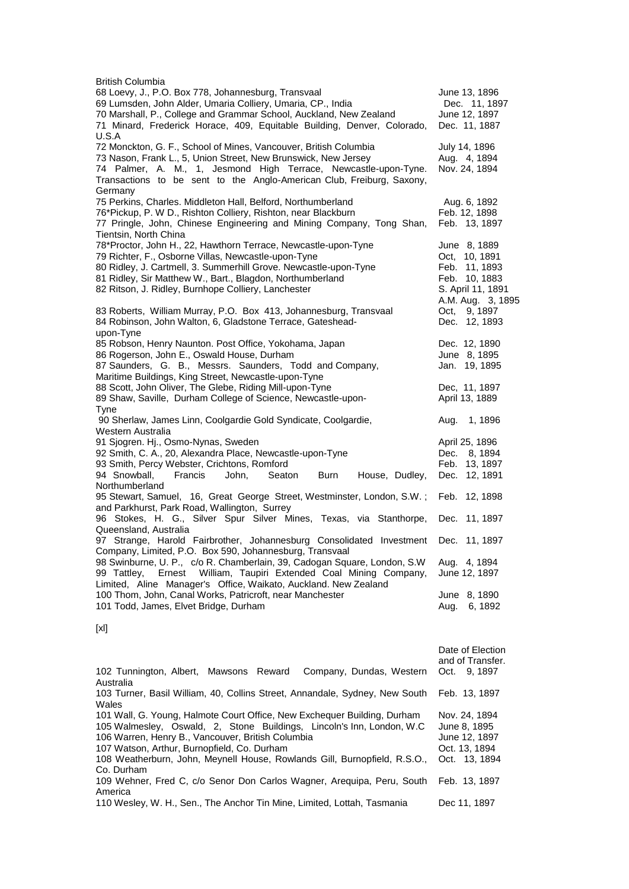| <b>British Columbia</b>                                                  |                   |
|--------------------------------------------------------------------------|-------------------|
| 68 Loevy, J., P.O. Box 778, Johannesburg, Transvaal                      | June 13, 1896     |
| 69 Lumsden, John Alder, Umaria Colliery, Umaria, CP., India              | Dec. 11, 1897     |
| 70 Marshall, P., College and Grammar School, Auckland, New Zealand       | June 12, 1897     |
| 71 Minard, Frederick Horace, 409, Equitable Building, Denver, Colorado,  | Dec. 11, 1887     |
| U.S.A                                                                    |                   |
|                                                                          |                   |
| 72 Monckton, G. F., School of Mines, Vancouver, British Columbia         | July 14, 1896     |
| 73 Nason, Frank L., 5, Union Street, New Brunswick, New Jersey           | Aug. 4, 1894      |
| 74 Palmer, A. M., 1, Jesmond High Terrace, Newcastle-upon-Tyne.          | Nov. 24, 1894     |
| Transactions to be sent to the Anglo-American Club, Freiburg, Saxony,    |                   |
| Germany                                                                  |                   |
| 75 Perkins, Charles. Middleton Hall, Belford, Northumberland             | Aug. 6, 1892      |
| 76*Pickup, P. W D., Rishton Colliery, Rishton, near Blackburn            | Feb. 12, 1898     |
| 77 Pringle, John, Chinese Engineering and Mining Company, Tong Shan,     | Feb. 13, 1897     |
| Tientsin, North China                                                    |                   |
| 78*Proctor, John H., 22, Hawthorn Terrace, Newcastle-upon-Tyne           | June 8, 1889      |
| 79 Richter, F., Osborne Villas, Newcastle-upon-Tyne                      | Oct, 10, 1891     |
| 80 Ridley, J. Cartmell, 3. Summerhill Grove. Newcastle-upon-Tyne         | Feb. 11, 1893     |
|                                                                          |                   |
| 81 Ridley, Sir Matthew W., Bart., Blagdon, Northumberland                | Feb. 10, 1883     |
| 82 Ritson, J. Ridley, Burnhope Colliery, Lanchester                      | S. April 11, 1891 |
|                                                                          | A.M. Aug. 3, 1895 |
| 83 Roberts, William Murray, P.O. Box 413, Johannesburg, Transvaal        | Oct, 9, 1897      |
| 84 Robinson, John Walton, 6, Gladstone Terrace, Gateshead-               | Dec. 12, 1893     |
| upon-Tyne                                                                |                   |
| 85 Robson, Henry Naunton. Post Office, Yokohama, Japan                   | Dec. 12, 1890     |
| 86 Rogerson, John E., Oswald House, Durham                               | June 8, 1895      |
| 87 Saunders, G. B., Messrs. Saunders, Todd and Company,                  | Jan. 19, 1895     |
| Maritime Buildings, King Street, Newcastle-upon-Tyne                     |                   |
| 88 Scott, John Oliver, The Glebe, Riding Mill-upon-Tyne                  | Dec, 11, 1897     |
| 89 Shaw, Saville, Durham College of Science, Newcastle-upon-             | April 13, 1889    |
|                                                                          |                   |
| <b>Tyne</b>                                                              |                   |
| 90 Sherlaw, James Linn, Coolgardie Gold Syndicate, Coolgardie,           | 1, 1896<br>Aug.   |
| Western Australia                                                        |                   |
| 91 Sjogren. Hj., Osmo-Nynas, Sweden                                      | April 25, 1896    |
| 92 Smith, C. A., 20, Alexandra Place, Newcastle-upon-Tyne                | Dec.<br>8, 1894   |
| 93 Smith, Percy Webster, Crichtons, Romford                              | Feb. 13, 1897     |
| 94 Snowball,<br>Francis<br>Seaton<br>John,<br>Burn<br>House, Dudley,     | Dec. 12, 1891     |
| Northumberland                                                           |                   |
| 95 Stewart, Samuel, 16, Great George Street, Westminster, London, S.W.;  | Feb.<br>12, 1898  |
| and Parkhurst, Park Road, Wallington, Surrey                             |                   |
| 96 Stokes, H. G., Silver Spur Silver Mines, Texas, via Stanthorpe,       | Dec. 11, 1897     |
| Queensland, Australia                                                    |                   |
| 97 Strange, Harold Fairbrother, Johannesburg Consolidated Investment     | Dec. 11, 1897     |
|                                                                          |                   |
| Company, Limited, P.O. Box 590, Johannesburg, Transvaal                  |                   |
| 98 Swinburne, U. P., c/o R. Chamberlain, 39, Cadogan Square, London, S.W | Aug. 4, 1894      |
| William, Taupiri Extended Coal Mining Company,<br>99 Tattley,<br>Ernest  | June 12, 1897     |
| Limited, Aline Manager's Office, Waikato, Auckland. New Zealand          |                   |
| 100 Thom, John, Canal Works, Patricroft, near Manchester                 | June 8, 1890      |
| 101 Todd, James, Elvet Bridge, Durham                                    | Aug.<br>6, 1892   |
|                                                                          |                   |
| [x!]                                                                     |                   |

|                                                                                                                                                                                                                                                                                                                                     | Date of Election<br>and of Transfer.                                            |
|-------------------------------------------------------------------------------------------------------------------------------------------------------------------------------------------------------------------------------------------------------------------------------------------------------------------------------------|---------------------------------------------------------------------------------|
| 102 Tunnington, Albert, Mawsons Reward<br>Company, Dundas, Western<br>Australia                                                                                                                                                                                                                                                     | Oct. 9, 1897                                                                    |
| 103 Turner, Basil William, 40, Collins Street, Annandale, Sydney, New South<br>Wales                                                                                                                                                                                                                                                | Feb. 13, 1897                                                                   |
| 101 Wall, G. Young, Halmote Court Office, New Exchequer Building, Durham<br>105 Walmesley, Oswald, 2, Stone Buildings, Lincoln's Inn, London, W.C.<br>106 Warren, Henry B., Vancouver, British Columbia<br>107 Watson, Arthur, Burnopfield, Co. Durham<br>108 Weatherburn, John, Meynell House, Rowlands Gill, Burnopfield, R.S.O., | Nov. 24, 1894<br>June 8, 1895<br>June 12, 1897<br>Oct. 13, 1894<br>Oct. 13.1894 |
| Co. Durham<br>109 Wehner, Fred C, c/o Senor Don Carlos Wagner, Arequipa, Peru, South<br>America                                                                                                                                                                                                                                     | Feb. 13, 1897                                                                   |
| 110 Wesley, W. H., Sen., The Anchor Tin Mine, Limited, Lottah, Tasmania                                                                                                                                                                                                                                                             | Dec 11, 1897                                                                    |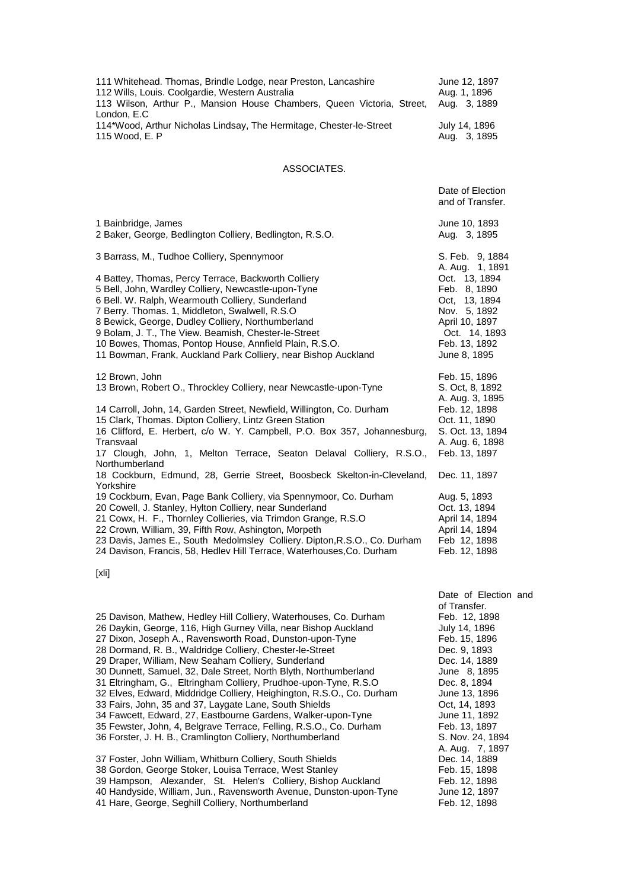| 111 Whitehead. Thomas, Brindle Lodge, near Preston, Lancashire<br>112 Wills, Louis. Coolgardie, Western Australia<br>113 Wilson, Arthur P., Mansion House Chambers, Queen Victoria, Street,<br>London, E.C                                                                                                                                                                                                                                                | June 12, 1897<br>Aug. 1, 1896<br>Aug. 3, 1889                                                                                                         |
|-----------------------------------------------------------------------------------------------------------------------------------------------------------------------------------------------------------------------------------------------------------------------------------------------------------------------------------------------------------------------------------------------------------------------------------------------------------|-------------------------------------------------------------------------------------------------------------------------------------------------------|
| 114*Wood, Arthur Nicholas Lindsay, The Hermitage, Chester-le-Street<br>115 Wood, E. P                                                                                                                                                                                                                                                                                                                                                                     | July 14, 1896<br>Aug. 3, 1895                                                                                                                         |
| ASSOCIATES.                                                                                                                                                                                                                                                                                                                                                                                                                                               |                                                                                                                                                       |
|                                                                                                                                                                                                                                                                                                                                                                                                                                                           | Date of Election<br>and of Transfer.                                                                                                                  |
| 1 Bainbridge, James<br>2 Baker, George, Bedlington Colliery, Bedlington, R.S.O.                                                                                                                                                                                                                                                                                                                                                                           | June 10, 1893<br>Aug. 3, 1895                                                                                                                         |
| 3 Barrass, M., Tudhoe Colliery, Spennymoor                                                                                                                                                                                                                                                                                                                                                                                                                | S. Feb. 9, 1884                                                                                                                                       |
| 4 Battey, Thomas, Percy Terrace, Backworth Colliery<br>5 Bell, John, Wardley Colliery, Newcastle-upon-Tyne<br>6 Bell. W. Ralph, Wearmouth Colliery, Sunderland<br>7 Berry. Thomas. 1, Middleton, Swalwell, R.S.O<br>8 Bewick, George, Dudley Colliery, Northumberland<br>9 Bolam, J. T., The View. Beamish, Chester-le-Street<br>10 Bowes, Thomas, Pontop House, Annfield Plain, R.S.O.<br>11 Bowman, Frank, Auckland Park Colliery, near Bishop Auckland | A. Aug. 1, 1891<br>Oct. 13, 1894<br>Feb. 8, 1890<br>Oct, 13, 1894<br>Nov. 5, 1892<br>April 10, 1897<br>Oct. 14, 1893<br>Feb. 13, 1892<br>June 8, 1895 |
| 12 Brown, John<br>13 Brown, Robert O., Throckley Colliery, near Newcastle-upon-Tyne                                                                                                                                                                                                                                                                                                                                                                       | Feb. 15, 1896<br>S. Oct, 8, 1892<br>A. Aug. 3, 1895                                                                                                   |
| 14 Carroll, John, 14, Garden Street, Newfield, Willington, Co. Durham<br>15 Clark, Thomas. Dipton Colliery, Lintz Green Station<br>16 Clifford, E. Herbert, c/o W. Y. Campbell, P.O. Box 357, Johannesburg,<br>Transvaal<br>17 Clough, John, 1, Melton Terrace, Seaton Delaval Colliery, R.S.O.,<br>Northumberland                                                                                                                                        | Feb. 12, 1898<br>Oct. 11, 1890<br>S. Oct. 13, 1894<br>A. Aug. 6, 1898<br>Feb. 13, 1897                                                                |
| 18 Cockburn, Edmund, 28, Gerrie Street, Boosbeck Skelton-in-Cleveland,                                                                                                                                                                                                                                                                                                                                                                                    | Dec. 11, 1897                                                                                                                                         |
| Yorkshire<br>19 Cockburn, Evan, Page Bank Colliery, via Spennymoor, Co. Durham<br>20 Cowell, J. Stanley, Hylton Colliery, near Sunderland<br>21 Cowx, H. F., Thornley Collieries, via Trimdon Grange, R.S.O<br>22 Crown, William, 39, Fifth Row, Ashington, Morpeth<br>23 Davis, James E., South Medolmsley Colliery. Dipton, R.S.O., Co. Durham<br>24 Davison, Francis, 58, Hedlev Hill Terrace, Waterhouses, Co. Durham                                 | Aug. 5, 1893<br>Oct. 13, 1894<br>April 14, 1894<br>April 14, 1894<br>Feb 12, 1898<br>Feb. 12, 1898                                                    |
| [xli]                                                                                                                                                                                                                                                                                                                                                                                                                                                     |                                                                                                                                                       |

25 Davison, Mathew, Hedley Hill Colliery, Waterhouses, Co. Durham Feb. 12, 1898<br>26 Daykin, George, 116, High Gurney Villa, near Bishop Auckland July 14, 1896 26 Daykin, George, 116, High Gurney Villa, near Bishop Auckland July 14, 1896<br>27 Dixon, Joseph A., Ravensworth Road, Dunston-upon-Tyne Feb. 15, 1896 27 Dixon, Joseph A., Ravensworth Road, Dunston-upon-Tyne 28 Dormand, R. B., Waldridge Colliery, Chester-le-Street Dec. 9, 1893 29 Draper, William, New Seaham Colliery, Sunderland **Dec. 14, 1889** 30 Dunnett, Samuel, 32, Dale Street, North Blyth, Northumberland June 8, 1895<br>31 Eltringham, G., Eltringham Colliery, Prudhoe-upon-Tyne, R.S.O Dec. 8, 1894 31 Eltringham, G., Eltringham Colliery, Prudhoe-upon-Tyne, R.S.O 32 Elves, Edward, Middridge Colliery, Heighington, R.S.O., Co. Durham June 13, 1896 33 Fairs, John, 35 and 37, Laygate Lane, South Shields (Cample 1993) Oct, 14, 1893<br>34 Fawcett, Edward, 27, Eastbourne Gardens, Walker-upon-Tyne (June 11, 1892) 34 Fawcett, Edward, 27, Eastbourne Gardens, Walker-upon-Tyne June 11, 1892<br>35 Fewster, John, 4, Belgrave Terrace, Felling, R.S.O., Co. Durham Feb. 13, 1897 35 Fewster, John, 4, Belgrave Terrace, Felling, R.S.O., Co. Durham 36 Forster, J. H. B., Cramlington Colliery, Northumberland S. Nov. 24, 1894 37 Foster, John William, Whitburn Colliery, South Shields 38 Gordon, George Stoker, Louisa Terrace, West Stanley Feb. 15, 1898<br>39 Hampson, Alexander, St. Helen's Colliery, Bishop Auckland Feb. 12, 1898 39 Hampson, Alexander, St. Helen's Colliery, Bishop Auckland Feb. 12, 1898<br>40 Handyside, William, Jun., Ravensworth Avenue, Dunston-upon-Tyne June 12, 1897 40 Handyside, William, Jun., Ravensworth Avenue, Dunston-upon-Tyne

41 Hare, George, Seghill Colliery, Northumberland Feb. 12, 1898

Date of Election and of Transfer.<br>Feb. 12, 1898 A. Aug. 7, 1897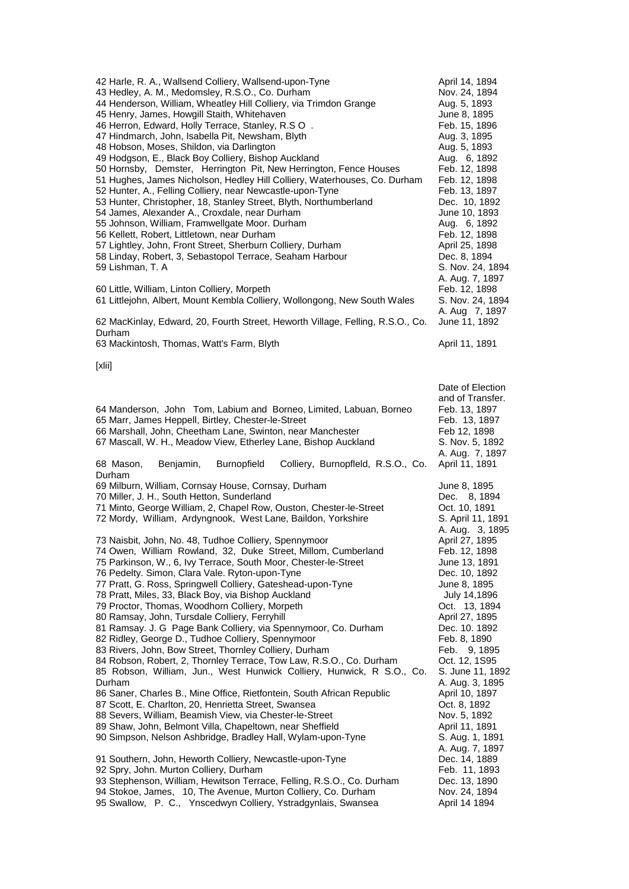| 42 Harle, R. A., Wallsend Colliery, Wallsend-upon-Tyne<br>43 Hedley, A. M., Medomsley, R.S.O., Co. Durham<br>44 Henderson, William, Wheatley Hill Colliery, via Trimdon Grange<br>45 Henry, James, Howgill Staith, Whitehaven<br>46 Herron, Edward, Holly Terrace, Stanley, R.S O.<br>47 Hindmarch, John, Isabella Pit, Newsham, Blyth<br>48 Hobson, Moses, Shildon, via Darlington<br>49 Hodgson, E., Black Boy Colliery, Bishop Auckland<br>50 Hornsby, Demster, Herrington Pit, New Herrington, Fence Houses<br>51 Hughes, James Nicholson, Hedley Hill Colliery, Waterhouses, Co. Durham<br>52 Hunter, A., Felling Colliery, near Newcastle-upon-Tyne<br>53 Hunter, Christopher, 18, Stanley Street, Blyth, Northumberland<br>54 James, Alexander A., Croxdale, near Durham<br>55 Johnson, William, Framwellgate Moor. Durham<br>56 Kellett, Robert, Littletown, near Durham<br>57 Lightley, John, Front Street, Sherburn Colliery, Durham<br>58 Linday, Robert, 3, Sebastopol Terrace, Seaham Harbour<br>59 Lishman, T. A                                                                                                                                                                                                                                                                                                                                                                                                                                                                                                                 | April 14, 1894<br>Nov. 24, 1894<br>Aug. 5, 1893<br>June 8, 1895<br>Feb. 15, 1896<br>Aug. 3, 1895<br>Aug. 5, 1893<br>Aug. 6, 1892<br>Feb. 12, 1898<br>Feb. 12, 1898<br>Feb. 13, 1897<br>Dec. 10, 1892<br>June 10, 1893<br>Aug. 6, 1892<br>Feb. 12, 1898<br>April 25, 1898<br>Dec. 8, 1894<br>S. Nov. 24, 1894                                                                                                                                                                        |
|------------------------------------------------------------------------------------------------------------------------------------------------------------------------------------------------------------------------------------------------------------------------------------------------------------------------------------------------------------------------------------------------------------------------------------------------------------------------------------------------------------------------------------------------------------------------------------------------------------------------------------------------------------------------------------------------------------------------------------------------------------------------------------------------------------------------------------------------------------------------------------------------------------------------------------------------------------------------------------------------------------------------------------------------------------------------------------------------------------------------------------------------------------------------------------------------------------------------------------------------------------------------------------------------------------------------------------------------------------------------------------------------------------------------------------------------------------------------------------------------------------------------------------------------|-------------------------------------------------------------------------------------------------------------------------------------------------------------------------------------------------------------------------------------------------------------------------------------------------------------------------------------------------------------------------------------------------------------------------------------------------------------------------------------|
| 60 Little, William, Linton Colliery, Morpeth<br>61 Littlejohn, Albert, Mount Kembla Colliery, Wollongong, New South Wales                                                                                                                                                                                                                                                                                                                                                                                                                                                                                                                                                                                                                                                                                                                                                                                                                                                                                                                                                                                                                                                                                                                                                                                                                                                                                                                                                                                                                      | A. Aug. 7, 1897<br>Feb. 12, 1898<br>S. Nov. 24, 1894<br>A. Aug 7, 1897                                                                                                                                                                                                                                                                                                                                                                                                              |
| 62 MacKinlay, Edward, 20, Fourth Street, Heworth Village, Felling, R.S.O., Co.<br>Durham                                                                                                                                                                                                                                                                                                                                                                                                                                                                                                                                                                                                                                                                                                                                                                                                                                                                                                                                                                                                                                                                                                                                                                                                                                                                                                                                                                                                                                                       | June 11, 1892                                                                                                                                                                                                                                                                                                                                                                                                                                                                       |
| 63 Mackintosh, Thomas, Watt's Farm, Blyth<br>$[x$ lii]                                                                                                                                                                                                                                                                                                                                                                                                                                                                                                                                                                                                                                                                                                                                                                                                                                                                                                                                                                                                                                                                                                                                                                                                                                                                                                                                                                                                                                                                                         | April 11, 1891                                                                                                                                                                                                                                                                                                                                                                                                                                                                      |
| 64 Manderson, John Tom, Labium and Borneo, Limited, Labuan, Borneo<br>65 Marr, James Heppell, Birtley, Chester-le-Street<br>66 Marshall, John, Cheetham Lane, Swinton, near Manchester<br>67 Mascall, W. H., Meadow View, Etherley Lane, Bishop Auckland                                                                                                                                                                                                                                                                                                                                                                                                                                                                                                                                                                                                                                                                                                                                                                                                                                                                                                                                                                                                                                                                                                                                                                                                                                                                                       | Date of Election<br>and of Transfer.<br>Feb. 13, 1897<br>Feb. 13, 1897<br>Feb 12, 1898<br>S. Nov. 5, 1892<br>A. Aug. 7, 1897                                                                                                                                                                                                                                                                                                                                                        |
| 68 Mason,<br><b>Burnopfield</b><br>Colliery, Burnopfleld, R.S.O., Co.<br>Benjamin,<br>Durham<br>69 Milburn, William, Cornsay House, Cornsay, Durham<br>70 Miller, J. H., South Hetton, Sunderland<br>71 Minto, George William, 2, Chapel Row, Ouston, Chester-le-Street<br>72 Mordy, William, Ardyngnook, West Lane, Baildon, Yorkshire<br>73 Naisbit, John, No. 48, Tudhoe Colliery, Spennymoor<br>74 Owen, William Rowland, 32, Duke Street, Millom, Cumberland<br>75 Parkinson, W., 6, Ivy Terrace, South Moor, Chester-le-Street<br>76 Pedelty. Simon, Clara Vale. Ryton-upon-Tyne<br>77 Pratt, G. Ross, Springwell Colliery, Gateshead-upon-Tyne<br>78 Pratt, Miles, 33, Black Boy, via Bishop Auckland<br>79 Proctor, Thomas, Woodhorn Colliery, Morpeth<br>80 Ramsay, John, Tursdale Colliery, Ferryhill<br>81 Ramsay. J. G Page Bank Colliery, via Spennymoor, Co. Durham<br>82 Ridley, George D., Tudhoe Colliery, Spennymoor<br>83 Rivers, John, Bow Street, Thornley Colliery, Durham<br>84 Robson, Robert, 2, Thornley Terrace, Tow Law, R.S.O., Co. Durham<br>85 Robson, William, Jun., West Hunwick Colliery, Hunwick, R S.O., Co.<br>Durham<br>86 Saner, Charles B., Mine Office, Rietfontein, South African Republic<br>87 Scott, E. Charlton, 20, Henrietta Street, Swansea<br>88 Severs, William, Beamish View, via Chester-le-Street<br>89 Shaw, John, Belmont Villa, Chapeltown, near Sheffield<br>90 Simpson, Nelson Ashbridge, Bradley Hall, Wylam-upon-Tyne<br>91 Southern, John, Heworth Colliery, Newcastle-upon-Tyne | April 11, 1891<br>June 8, 1895<br>Dec. 8, 1894<br>Oct. 10, 1891<br>S. April 11, 1891<br>A. Aug. 3, 1895<br>April 27, 1895<br>Feb. 12, 1898<br>June 13, 1891<br>Dec. 10, 1892<br>June 8, 1895<br>July 14,1896<br>Oct. 13, 1894<br>April 27, 1895<br>Dec. 10. 1892<br>Feb. 8, 1890<br>Feb. 9, 1895<br>Oct. 12, 1S95<br>S. June 11, 1892<br>A. Aug. 3, 1895<br>April 10, 1897<br>Oct. 8, 1892<br>Nov. 5, 1892<br>April 11, 1891<br>S. Aug. 1, 1891<br>A. Aug. 7, 1897<br>Dec. 14, 1889 |
| 92 Spry, John. Murton Colliery, Durham<br>93 Stephenson, William, Hewitson Terrace, Felling, R.S.O., Co. Durham<br>94 Stokoe, James, 10, The Avenue, Murton Colliery, Co. Durham<br>95 Swallow, P. C., Ynscedwyn Colliery, Ystradgynlais, Swansea                                                                                                                                                                                                                                                                                                                                                                                                                                                                                                                                                                                                                                                                                                                                                                                                                                                                                                                                                                                                                                                                                                                                                                                                                                                                                              | Feb. 11, 1893<br>Dec. 13, 1890<br>Nov. 24, 1894<br>April 14 1894                                                                                                                                                                                                                                                                                                                                                                                                                    |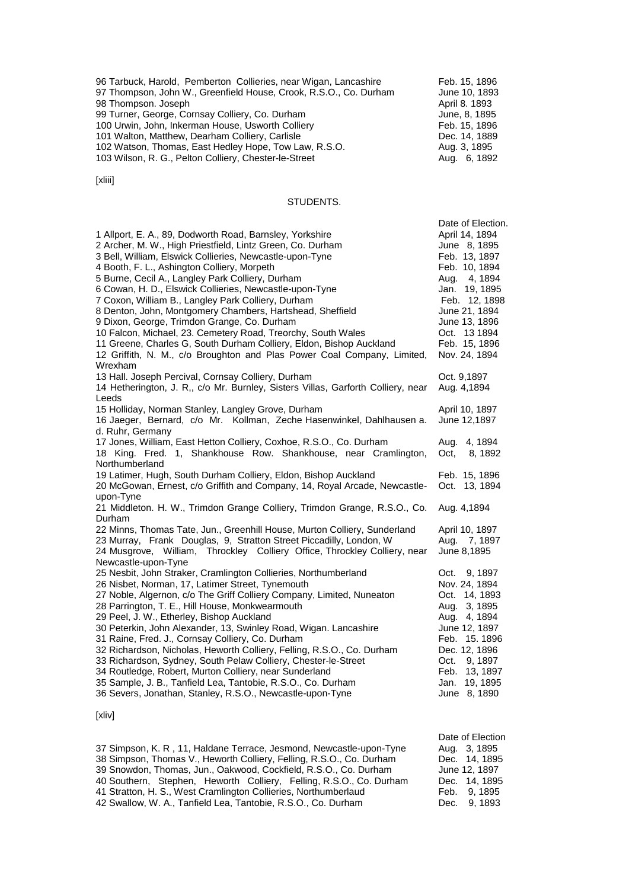| 96 Tarbuck, Harold, Pemberton Collieries, near Wigan, Lancashire  | Feb. 15, 1896 |
|-------------------------------------------------------------------|---------------|
| 97 Thompson, John W., Greenfield House, Crook, R.S.O., Co. Durham | June 10, 1893 |
| 98 Thompson. Joseph                                               | April 8. 1893 |
| 99 Turner, George, Cornsay Colliery, Co. Durham                   | June, 8, 1895 |
| 100 Urwin, John, Inkerman House, Usworth Colliery                 | Feb. 15, 1896 |
| 101 Walton, Matthew, Dearham Colliery, Carlisle                   | Dec. 14, 1889 |
| 102 Watson, Thomas, East Hedley Hope, Tow Law, R.S.O.             | Aug. 3, 1895  |
| 103 Wilson, R. G., Pelton Colliery, Chester-le-Street             | Aug. 6, 1892  |

## [xliii]

#### STUDENTS.

| 1 Allport, E. A., 89, Dodworth Road, Barnsley, Yorkshire<br>2 Archer, M. W., High Priestfield, Lintz Green, Co. Durham<br>3 Bell, William, Elswick Collieries, Newcastle-upon-Tyne<br>4 Booth, F. L., Ashington Colliery, Morpeth<br>5 Burne, Cecil A., Langley Park Colliery, Durham<br>6 Cowan, H. D., Elswick Collieries, Newcastle-upon-Tyne<br>7 Coxon, William B., Langley Park Colliery, Durham<br>8 Denton, John, Montgomery Chambers, Hartshead, Sheffield<br>9 Dixon, George, Trimdon Grange, Co. Durham<br>10 Falcon, Michael, 23. Cemetery Road, Treorchy, South Wales<br>11 Greene, Charles G, South Durham Colliery, Eldon, Bishop Auckland<br>12 Griffith, N. M., c/o Broughton and Plas Power Coal Company, Limited,<br>Wrexham         | Date of Election.<br>April 14, 1894<br>June 8, 1895<br>Feb. 13, 1897<br>Feb. 10, 1894<br>Aug. 4, 1894<br>Jan. 19, 1895<br>Feb. 12, 1898<br>June 21, 1894<br>June 13, 1896<br>Oct. 13 1894<br>Feb. 15, 1896<br>Nov. 24, 1894 |
|---------------------------------------------------------------------------------------------------------------------------------------------------------------------------------------------------------------------------------------------------------------------------------------------------------------------------------------------------------------------------------------------------------------------------------------------------------------------------------------------------------------------------------------------------------------------------------------------------------------------------------------------------------------------------------------------------------------------------------------------------------|-----------------------------------------------------------------------------------------------------------------------------------------------------------------------------------------------------------------------------|
| 13 Hall. Joseph Percival, Cornsay Colliery, Durham<br>14 Hetherington, J. R., c/o Mr. Burnley, Sisters Villas, Garforth Colliery, near                                                                                                                                                                                                                                                                                                                                                                                                                                                                                                                                                                                                                  | Oct. 9,1897<br>Aug. 4,1894                                                                                                                                                                                                  |
| Leeds<br>15 Holliday, Norman Stanley, Langley Grove, Durham<br>16 Jaeger, Bernard, c/o Mr. Kollman, Zeche Hasenwinkel, Dahlhausen a.<br>d. Ruhr, Germany                                                                                                                                                                                                                                                                                                                                                                                                                                                                                                                                                                                                | April 10, 1897<br>June 12,1897                                                                                                                                                                                              |
| 17 Jones, William, East Hetton Colliery, Coxhoe, R.S.O., Co. Durham<br>18 King. Fred. 1, Shankhouse Row. Shankhouse, near Cramlington,<br>Northumberland                                                                                                                                                                                                                                                                                                                                                                                                                                                                                                                                                                                                | 4, 1894<br>Aug.<br>Oct,<br>8, 1892                                                                                                                                                                                          |
| 19 Latimer, Hugh, South Durham Colliery, Eldon, Bishop Auckland<br>20 McGowan, Ernest, c/o Griffith and Company, 14, Royal Arcade, Newcastle-                                                                                                                                                                                                                                                                                                                                                                                                                                                                                                                                                                                                           | Feb. 15, 1896<br>Oct. 13, 1894                                                                                                                                                                                              |
| upon-Tyne<br>21 Middleton. H. W., Trimdon Grange Colliery, Trimdon Grange, R.S.O., Co.<br>Durham                                                                                                                                                                                                                                                                                                                                                                                                                                                                                                                                                                                                                                                        | Aug. 4,1894                                                                                                                                                                                                                 |
| 22 Minns, Thomas Tate, Jun., Greenhill House, Murton Colliery, Sunderland<br>23 Murray, Frank Douglas, 9, Stratton Street Piccadilly, London, W<br>24 Musgrove, William, Throckley Colliery Office, Throckley Colliery, near<br>Newcastle-upon-Tyne                                                                                                                                                                                                                                                                                                                                                                                                                                                                                                     | April 10, 1897<br>Aug. 7, 1897<br>June 8,1895                                                                                                                                                                               |
| 25 Nesbit, John Straker, Cramlington Collieries, Northumberland<br>26 Nisbet, Norman, 17, Latimer Street, Tynemouth<br>27 Noble, Algernon, c/o The Griff Colliery Company, Limited, Nuneaton<br>28 Parrington, T. E., Hill House, Monkwearmouth<br>29 Peel, J. W., Etherley, Bishop Auckland<br>30 Peterkin, John Alexander, 13, Swinley Road, Wigan. Lancashire<br>31 Raine, Fred. J., Cornsay Colliery, Co. Durham<br>32 Richardson, Nicholas, Heworth Colliery, Felling, R.S.O., Co. Durham<br>33 Richardson, Sydney, South Pelaw Colliery, Chester-le-Street<br>34 Routledge, Robert, Murton Colliery, near Sunderland<br>35 Sample, J. B., Tanfield Lea, Tantobie, R.S.O., Co. Durham<br>36 Severs, Jonathan, Stanley, R.S.O., Newcastle-upon-Tyne | 9, 1897<br>Oct.<br>Nov. 24, 1894<br>Oct. 14, 1893<br>Aug. 3, 1895<br>Aug. 4, 1894<br>June 12, 1897<br>Feb. 15.1896<br>Dec. 12, 1896<br>Oct.<br>9, 1897<br>Feb. 13, 1897<br>Jan. 19, 1895<br>June 8, 1890                    |

# [xliv]

| 37 Simpson, K. R, 11, Haldane Terrace, Jesmond, Newcastle-upon-Tyne  | Aug. 3, 1895  |
|----------------------------------------------------------------------|---------------|
| 38 Simpson, Thomas V., Heworth Colliery, Felling, R.S.O., Co. Durham | Dec. 14, 1895 |
| 39 Snowdon, Thomas, Jun., Oakwood, Cockfield, R.S.O., Co. Durham     | June 12, 1897 |
| 40 Southern, Stephen, Heworth Colliery, Felling, R.S.O., Co. Durham  | Dec. 14, 1895 |
| 41 Stratton, H. S., West Cramlington Collieries, Northumberlaud      | Feb. 9, 1895  |
| 42 Swallow, W. A., Tanfield Lea, Tantobie, R.S.O., Co. Durham        | Dec. 9.1893   |

Date of Election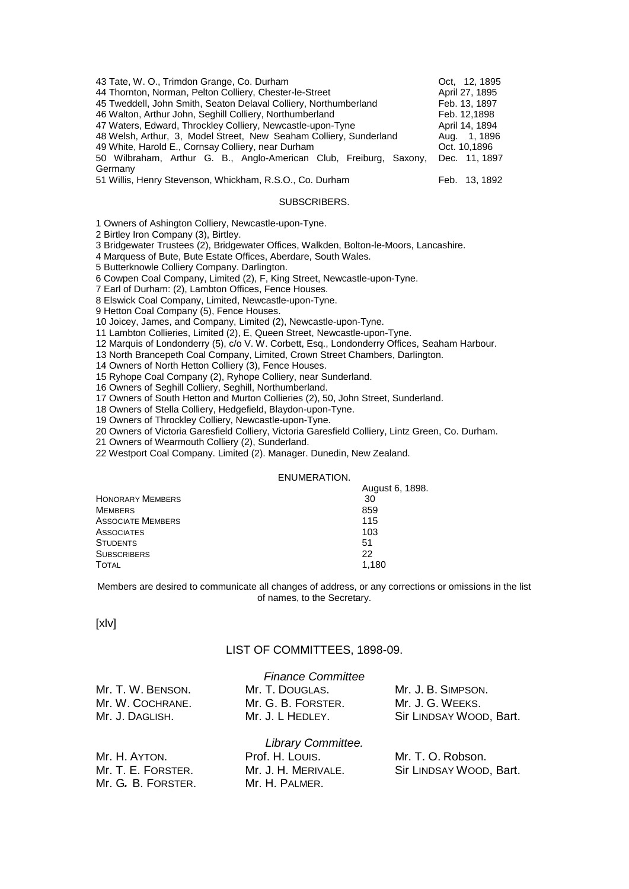| 43 Tate, W. O., Trimdon Grange, Co. Durham                         | Oct. 12, 1895  |
|--------------------------------------------------------------------|----------------|
| 44 Thornton, Norman, Pelton Colliery, Chester-le-Street            | April 27, 1895 |
| 45 Tweddell, John Smith, Seaton Delaval Colliery, Northumberland   | Feb. 13, 1897  |
| 46 Walton, Arthur John, Seghill Colliery, Northumberland           | Feb. 12,1898   |
| 47 Waters, Edward, Throckley Colliery, Newcastle-upon-Tyne         | April 14, 1894 |
| 48 Welsh, Arthur, 3, Model Street, New Seaham Colliery, Sunderland | Aug. 1, 1896   |
| 49 White, Harold E., Cornsay Colliery, near Durham                 | Oct. 10,1896   |
| 50 Wilbraham, Arthur G. B., Anglo-American Club, Freiburg, Saxony, | Dec. 11, 1897  |
| Germany                                                            |                |
| 51 Willis, Henry Stevenson, Whickham, R.S.O., Co. Durham           | Feb. 13, 1892  |

#### SUBSCRIBERS.

1 Owners of Ashington Colliery, Newcastle-upon-Tyne.

2 Birtley Iron Company (3), Birtley.

3 Bridgewater Trustees (2), Bridgewater Offices, Walkden, Bolton-le-Moors, Lancashire.

4 Marquess of Bute, Bute Estate Offices, Aberdare, South Wales.

5 Butterknowle Colliery Company. Darlington.

6 Cowpen Coal Company, Limited (2), F, King Street, Newcastle-upon-Tyne.

7 Earl of Durham: (2), Lambton Offices, Fence Houses.

8 Elswick Coal Company, Limited, Newcastle-upon-Tyne.

9 Hetton Coal Company (5), Fence Houses.

10 Joicey, James, and Company, Limited (2), Newcastle-upon-Tyne.

11 Lambton Collieries, Limited (2), E, Queen Street, Newcastle-upon-Tyne.

12 Marquis of Londonderry (5), c/o V. W. Corbett, Esq., Londonderry Offices, Seaham Harbour.

13 North Brancepeth Coal Company, Limited, Crown Street Chambers, Darlington.

14 Owners of North Hetton Colliery (3), Fence Houses.

15 Ryhope Coal Company (2), Ryhope Colliery, near Sunderland.

16 Owners of Seghill Colliery, Seghill, Northumberland.

17 Owners of South Hetton and Murton Collieries (2), 50, John Street, Sunderland.

18 Owners of Stella Colliery, Hedgefield, Blaydon-upon-Tyne.

19 Owners of Throckley Colliery, Newcastle-upon-Tyne.

20 Owners of Victoria Garesfield Colliery, Victoria Garesfield Colliery, Lintz Green, Co. Durham.

21 Owners of Wearmouth Colliery (2), Sunderland.

22 Westport Coal Company. Limited (2). Manager. Dunedin, New Zealand.

#### ENUMERATION.

|                          | August 6, 1898. |
|--------------------------|-----------------|
| <b>HONORARY MEMBERS</b>  | 30              |
| <b>MEMBERS</b>           | 859             |
| <b>ASSOCIATE MEMBERS</b> | 115             |
| ASSOCIATES               | 103             |
| <b>STUDENTS</b>          | 51              |
| <b>SUBSCRIBERS</b>       | 22              |
| <b>TOTAL</b>             | 1,180           |
|                          |                 |

Members are desired to communicate all changes of address, or any corrections or omissions in the list of names, to the Secretary.

[xlv]

#### LIST OF COMMITTEES, 1898-09.

|                    | <b>Finance Committee</b> |                         |
|--------------------|--------------------------|-------------------------|
| Mr. T. W. BENSON.  | Mr. T. DOUGLAS.          | Mr. J. B. SIMPSON.      |
| Mr. W. COCHRANE.   | Mr. G. B. FORSTER.       | Mr. J. G. WEEKS.        |
| Mr. J. DAGLISH.    | Mr. J. L HEDLEY.         | Sir LINDSAY WOOD, Bart. |
|                    | Library Committee.       |                         |
| Mr. H. AYTON.      | Prof. H. LOUIS.          | Mr. T. O. Robson.       |
| Mr. T. E. FORSTER. | Mr. J. H. MERIVALE.      | Sir LINDSAY WOOD, Bart. |
| Mr. G. B. FORSTER. | Mr. H. PALMER.           |                         |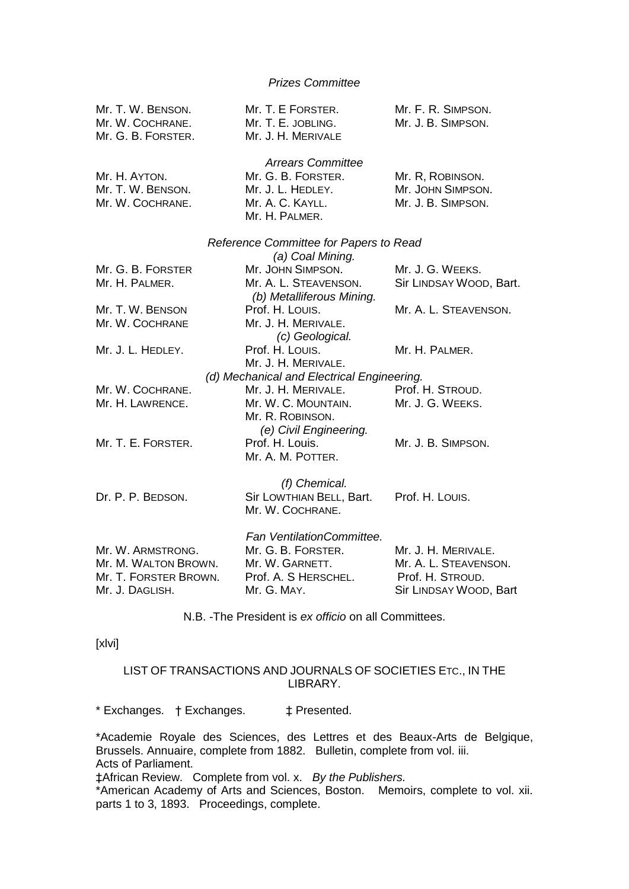## *Prizes Committee*

| Mr. T. W. BENSON.<br>Mr. W. COCHRANE.<br>Mr. G. B. FORSTER.                           | Mr. T. E FORSTER.<br>Mr. T. E. JOBLING.<br>Mr. J. H. MERIVALE                                             | Mr. F. R. SIMPSON.<br>Mr. J. B. SIMPSON.                                                   |
|---------------------------------------------------------------------------------------|-----------------------------------------------------------------------------------------------------------|--------------------------------------------------------------------------------------------|
| Mr. H. AYTON.<br>Mr. T. W. BENSON.<br>Mr. W. COCHRANE.                                | <b>Arrears Committee</b><br>Mr. G. B. FORSTER.<br>Mr. J. L. HEDLEY.<br>Mr. A. C. KAYLL.<br>Mr. H. PALMER. | Mr. R, ROBINSON.<br>Mr. JOHN SIMPSON.<br>Mr. J. B. SIMPSON.                                |
|                                                                                       | Reference Committee for Papers to Read                                                                    |                                                                                            |
| Mr. G. B. FORSTER<br>Mr. H. PALMER.                                                   | (a) Coal Mining.<br>Mr. JOHN SIMPSON.<br>Mr. A. L. STEAVENSON.<br>(b) Metalliferous Mining.               | Mr. J. G. WEEKS.<br>Sir LINDSAY WOOD, Bart.                                                |
| Mr. T. W. BENSON<br>Mr. W. COCHRANE                                                   | Prof. H. Louis.<br>Mr. J. H. MERIVALE.                                                                    | Mr. A. L. STEAVENSON.                                                                      |
| Mr. J. L. HEDLEY.                                                                     | (c) Geological.<br>Prof. H. Louis.<br>Mr. J. H. MERIVALE.                                                 | Mr. H. PALMER.                                                                             |
|                                                                                       | (d) Mechanical and Electrical Engineering.                                                                |                                                                                            |
| Mr. W. COCHRANE.                                                                      | Mr. J. H. MERIVALE.                                                                                       | Prof. H. STROUD.                                                                           |
| Mr. H. LAWRENCE.                                                                      | Mr. W. C. MOUNTAIN.<br>Mr. R. ROBINSON.                                                                   | Mr. J. G. WEEKS.                                                                           |
| Mr. T. E. FORSTER.                                                                    | (e) Civil Engineering.<br>Prof. H. Louis.<br>Mr. A. M. POTTER.                                            | Mr. J. B. SIMPSON.                                                                         |
| Dr. P. P. BEDSON.                                                                     | (f) Chemical.<br>Sir LOWTHIAN BELL, Bart.<br>Mr. W. COCHRANE.                                             | Prof. H. Louis.                                                                            |
| Mr. W. ARMSTRONG.<br>Mr. M. WALTON BROWN.<br>Mr. T. FORSTER BROWN.<br>Mr. J. DAGLISH. | Fan VentilationCommittee.<br>Mr. G. B. FORSTER.<br>Mr. W. GARNETT.<br>Prof. A. S HERSCHEL.<br>Mr. G. MAY. | Mr. J. H. MERIVALE.<br>Mr. A. L. STEAVENSON.<br>Prof. H. STROUD.<br>Sir LINDSAY WOOD, Bart |

N.B. -The President is *ex officio* on all Committees.

[xlvi]

## LIST OF TRANSACTIONS AND JOURNALS OF SOCIETIES ETC., IN THE LIBRARY.

\* Exchanges. † Exchanges. ‡ Presented.

\*Academie Royale des Sciences, des Lettres et des Beaux-Arts de Belgique, Brussels. Annuaire, complete from 1882. Bulletin, complete from vol. iii. Acts of Parliament.

‡African Review. Complete from vol. x. *By the Publishers.*

\*American Academy of Arts and Sciences, Boston. Memoirs, complete to vol. xii. parts 1 to 3, 1893. Proceedings, complete.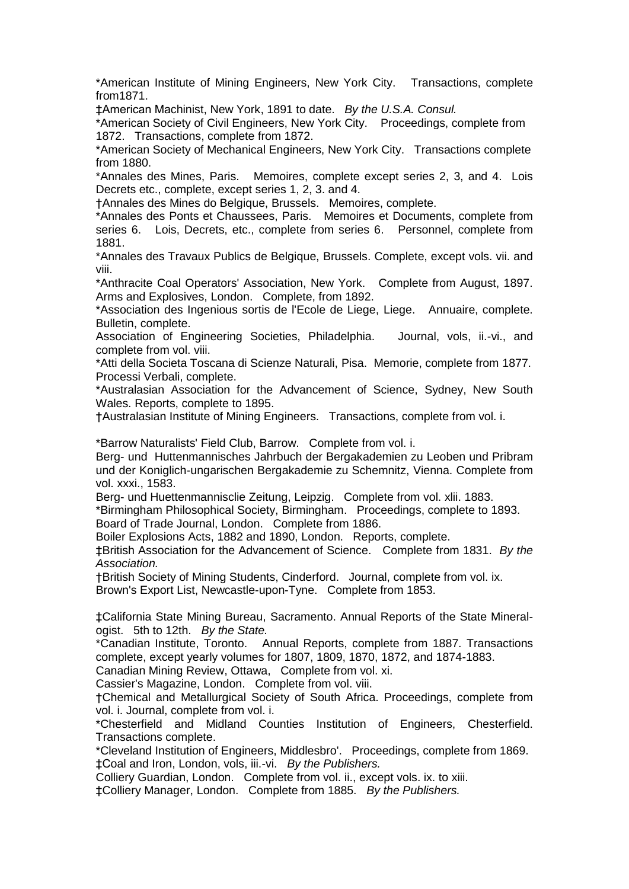\*American Institute of Mining Engineers, New York City. Transactions, complete from1871.

‡American Machinist, New York, 1891 to date. *By the U.S.A. Consul.*

\*American Society of Civil Engineers, New York City. Proceedings, complete from 1872. Transactions, complete from 1872.

\*American Society of Mechanical Engineers, New York City. Transactions complete from 1880.

\*Annales des Mines, Paris. Memoires, complete except series 2, 3, and 4. Lois Decrets etc., complete, except series 1, 2, 3. and 4.

†Annales des Mines do Belgique, Brussels. Memoires, complete.

\*Annales des Ponts et Chaussees, Paris. Memoires et Documents, complete from series 6. Lois, Decrets, etc., complete from series 6. Personnel, complete from 1881.

\*Annales des Travaux Publics de Belgique, Brussels. Complete, except vols. vii. and viii.

\*Anthracite Coal Operators' Association, New York. Complete from August, 1897. Arms and Explosives, London. Complete, from 1892.

\*Association des Ingenious sortis de l'Ecole de Liege, Liege. Annuaire, complete. Bulletin, complete.

Association of Engineering Societies, Philadelphia. Journal, vols, ii.-vi., and complete from vol. viii.

\*Atti della Societa Toscana di Scienze Naturali, Pisa. Memorie, complete from 1877. Processi Verbali, complete.

\*Australasian Association for the Advancement of Science, Sydney, New South Wales. Reports, complete to 1895.

†Australasian Institute of Mining Engineers. Transactions, complete from vol. i.

\*Barrow Naturalists' Field Club, Barrow. Complete from vol. i.

Berg- und Huttenmannisches Jahrbuch der Bergakademien zu Leoben und Pribram und der Koniglich-ungarischen Bergakademie zu Schemnitz, Vienna. Complete from vol. xxxi., 1583.

Berg- und Huettenmannisclie Zeitung, Leipzig. Complete from vol. xlii. 1883.

\*Birmingham Philosophical Society, Birmingham. Proceedings, complete to 1893. Board of Trade Journal, London. Complete from 1886.

Boiler Explosions Acts, 1882 and 1890, London. Reports, complete.

‡British Association for the Advancement of Science. Complete from 1831. *By the Association.*

†British Society of Mining Students, Cinderford. Journal, complete from vol. ix.

Brown's Export List, Newcastle-upon-Tyne. Complete from 1853.

‡California State Mining Bureau, Sacramento. Annual Reports of the State Mineralogist. 5th to 12th. *By the State.*

\*Canadian Institute, Toronto. Annual Reports, complete from 1887. Transactions complete, except yearly volumes for 1807, 1809, 1870, 1872, and 1874-1883.

Canadian Mining Review, Ottawa, Complete from vol. xi.

Cassier's Magazine, London. Complete from vol. viii.

†Chemical and Metallurgical Society of South Africa. Proceedings, complete from vol. i. Journal, complete from vol. i.

\*Chesterfield and Midland Counties Institution of Engineers, Chesterfield. Transactions complete.

\*Cleveland Institution of Engineers, Middlesbro'. Proceedings, complete from 1869. ‡Coal and Iron, London, vols, iii.-vi. *By the Publishers.* 

Colliery Guardian, London. Complete from vol. ii., except vols. ix. to xiii.

‡Colliery Manager, London. Complete from 1885. *By the Publishers.*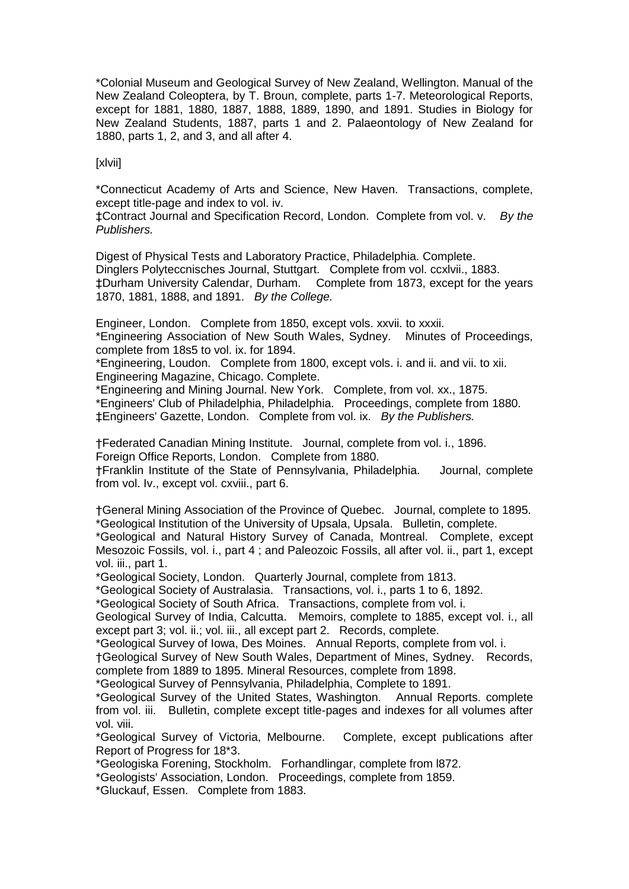\*Colonial Museum and Geological Survey of New Zealand, Wellington. Manual of the New Zealand Coleoptera, by T. Broun, complete, parts 1-7. Meteorological Reports, except for 1881, 1880, 1887, 1888, 1889, 1890, and 1891. Studies in Biology for New Zealand Students, 1887, parts 1 and 2. Palaeontology of New Zealand for 1880, parts 1, 2, and 3, and all after 4.

#### [xlvii]

\*Connecticut Academy of Arts and Science, New Haven. Transactions, complete, except title-page and index to vol. iv.

‡Contract Journal and Specification Record, London. Complete from vol. v. *By the Publishers.*

Digest of Physical Tests and Laboratory Practice, Philadelphia. Complete. Dinglers Polyteccnisches Journal, Stuttgart. Complete from vol. ccxlvii., 1883. ‡Durham University Calendar, Durham. Complete from 1873, except for the years 1870, 1881, 1888, and 1891. *By the College.*

Engineer, London. Complete from 1850, except vols. xxvii. to xxxii. \*Engineering Association of New South Wales, Sydney. Minutes of Proceedings, complete from 18s5 to vol. ix. for 1894.

\*Engineering, Loudon. Complete from 1800, except vols. i. and ii. and vii. to xii. Engineering Magazine, Chicago. Complete.

\*Engineering and Mining Journal. New York. Complete, from vol. xx., 1875. \*Engineers' Club of Philadelphia, Philadelphia. Proceedings, complete from 1880.

‡Engineers' Gazette, London. Complete from vol. ix. *By the Publishers.*

†Federated Canadian Mining Institute. Journal, complete from vol. i., 1896. Foreign Office Reports, London. Complete from 1880.

†Franklin Institute of the State of Pennsylvania, Philadelphia. Journal, complete from vol. Iv., except vol. cxviii., part 6.

†General Mining Association of the Province of Quebec. Journal, complete to 1895. \*Geological Institution of the University of Upsala, Upsala. Bulletin, complete.

\*Geological and Natural History Survey of Canada, Montreal. Complete, except Mesozoic Fossils, vol. i., part 4 ; and Paleozoic Fossils, all after vol. ii., part 1, except vol. iii., part 1.

\*Geological Society, London. Quarterly Journal, complete from 1813.

\*Geological Society of Australasia. Transactions, vol. i., parts 1 to 6, 1892.

\*Geological Society of South Africa. Transactions, complete from vol. i.

Geological Survey of India, Calcutta. Memoirs, complete to 1885, except vol. i., all except part 3; vol. ii.; vol. iii., all except part 2. Records, complete.

\*Geological Survey of Iowa, Des Moines. Annual Reports, complete from vol. i.

†Geological Survey of New South Wales, Department of Mines, Sydney. Records, complete from 1889 to 1895. Mineral Resources, complete from 1898.

\*Geological Survey of Pennsylvania, Philadelphia, Complete to 1891.

\*Geological Survey of the United States, Washington. Annual Reports. complete from vol. iii. Bulletin, complete except title-pages and indexes for all volumes after vol. viii.

\*Geological Survey of Victoria, Melbourne. Complete, except publications after Report of Progress for 18\*3.

\*Geologiska Forening, Stockholm. Forhandlingar, complete from l872.

\*Geologists' Association, London. Proceedings, complete from 1859.

\*Gluckauf, Essen. Complete from 1883.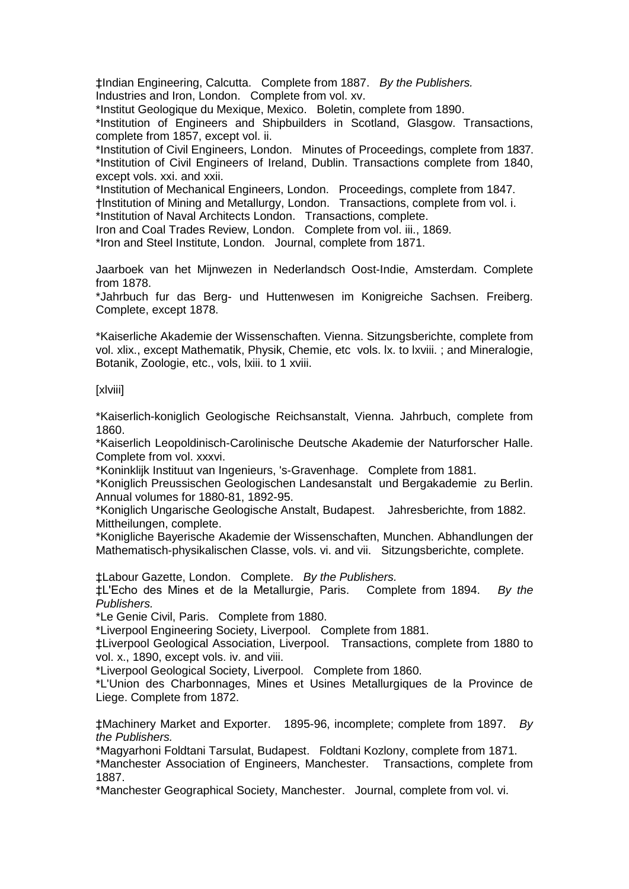‡Indian Engineering, Calcutta. Complete from 1887. *By the Publishers.* Industries and Iron, London. Complete from vol. xv.

\*Institut Geologique du Mexique, Mexico. Boletin, complete from 1890.

\*Institution of Engineers and Shipbuilders in Scotland, Glasgow. Transactions, complete from 1857, except vol. ii.

\*Institution of Civil Engineers, London. Minutes of Proceedings, complete from 1837. \*Institution of Civil Engineers of Ireland, Dublin. Transactions complete from 1840, except vols. xxi. and xxii.

\*Institution of Mechanical Engineers, London. Proceedings, complete from 1847.

†lnstitution of Mining and Metallurgy, London. Transactions, complete from vol. i. \*Institution of Naval Architects London. Transactions, complete.

Iron and Coal Trades Review, London. Complete from vol. iii., 1869.

\*Iron and Steel Institute, London. Journal, complete from 1871.

Jaarboek van het Mijnwezen in Nederlandsch Oost-Indie, Amsterdam. Complete from 1878.

\*Jahrbuch fur das Berg- und Huttenwesen im Konigreiche Sachsen. Freiberg. Complete, except 1878.

\*Kaiserliche Akademie der Wissenschaften. Vienna. Sitzungsberichte, complete from vol. xlix., except Mathematik, Physik, Chemie, etc vols. lx. to lxviii. ; and Mineralogie, Botanik, Zoologie, etc., vols, lxiii. to 1 xviii.

## [xlviii]

\*Kaiserlich-koniglich Geologische Reichsanstalt, Vienna. Jahrbuch, complete from 1860.

\*Kaiserlich Leopoldinisch-Carolinische Deutsche Akademie der Naturforscher Halle. Complete from vol. xxxvi.

\*Koninklijk Instituut van Ingenieurs, 's-Gravenhage. Complete from 1881.

\*Koniglich Preussischen Geologischen Landesanstalt und Bergakademie zu Berlin. Annual volumes for 1880-81, 1892-95.

\*Koniglich Ungarische Geologische Anstalt, Budapest. Jahresberichte, from 1882. Mittheilungen, complete.

\*Konigliche Bayerische Akademie der Wissenschaften, Munchen. Abhandlungen der Mathematisch-physikalischen Classe, vols. vi. and vii. Sitzungsberichte, complete.

‡Labour Gazette, London. Complete. *By the Publishers.*

‡L'Echo des Mines et de la Metallurgie, Paris. Complete from 1894. *By the Publishers.*

\*Le Genie Civil, Paris. Complete from 1880.

\*Liverpool Engineering Society, Liverpool. Complete from 1881.

‡Liverpool Geological Association, Liverpool. Transactions, complete from 1880 to vol. x., 1890, except vols. iv. and viii.

\*Liverpool Geological Society, Liverpool. Complete from 1860.

\*L'Union des Charbonnages, Mines et Usines Metallurgiques de la Province de Liege. Complete from 1872.

‡Machinery Market and Exporter. 1895-96, incomplete; complete from 1897. *By the Publishers.*

\*Magyarhoni Foldtani Tarsulat, Budapest. Foldtani Kozlony, complete from 1871.

\*Manchester Association of Engineers, Manchester. Transactions, complete from 1887.

\*Manchester Geographical Society, Manchester. Journal, complete from vol. vi.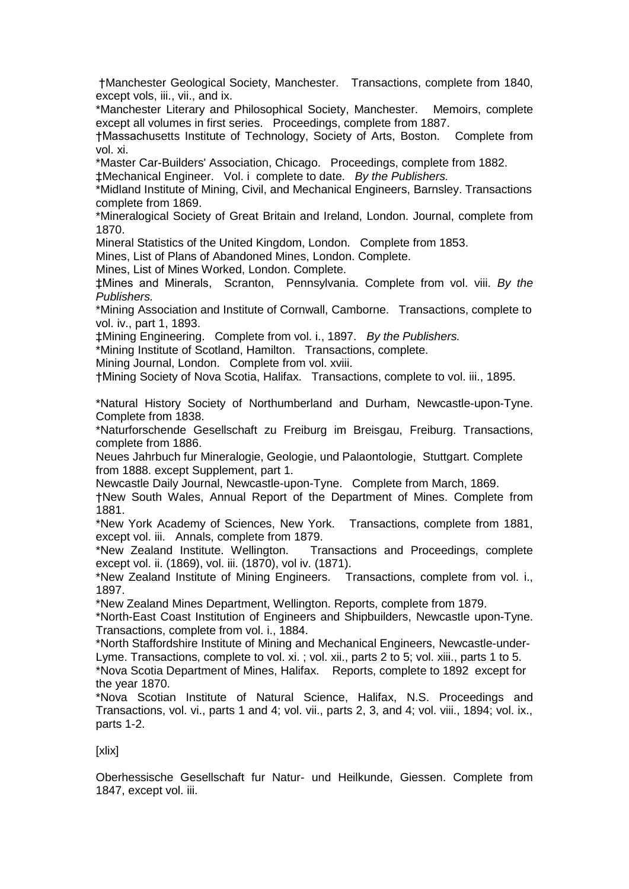†Manchester Geological Society, Manchester. Transactions, complete from 1840, except vols, iii., vii., and ix.

\*Manchester Literary and Philosophical Society, Manchester. Memoirs, complete except all volumes in first series. Proceedings, complete from 1887.

†Massachusetts Institute of Technology, Society of Arts, Boston. Complete from vol. xi.

\*Master Car-Builders' Association, Chicago. Proceedings, complete from 1882.

‡Mechanical Engineer. Vol. i complete to date. *By the Publishers.* 

\*Midland Institute of Mining, Civil, and Mechanical Engineers, Barnsley. Transactions complete from 1869.

\*Mineralogical Society of Great Britain and Ireland, London. Journal, complete from 1870.

Mineral Statistics of the United Kingdom, London. Complete from 1853.

Mines, List of Plans of Abandoned Mines, London. Complete.

Mines, List of Mines Worked, London. Complete.

‡Mines and Minerals, Scranton, Pennsylvania. Complete from vol. viii. *By the Publishers.*

\*Mining Association and Institute of Cornwall, Camborne. Transactions, complete to vol. iv., part 1, 1893.

‡Mining Engineering. Complete from vol. i., 1897. *By the Publishers.* 

\*Mining Institute of Scotland, Hamilton. Transactions, complete.

Mining Journal, London. Complete from vol. xviii.

†Mining Society of Nova Scotia, Halifax. Transactions, complete to vol. iii., 1895.

\*Natural History Society of Northumberland and Durham, Newcastle-upon-Tyne. Complete from 1838.

\*Naturforschende Gesellschaft zu Freiburg im Breisgau, Freiburg. Transactions, complete from 1886.

Neues Jahrbuch fur Mineralogie, Geologie, und Palaontologie, Stuttgart. Complete from 1888. except Supplement, part 1.

Newcastle Daily Journal, Newcastle-upon-Tyne. Complete from March, 1869.

†New South Wales, Annual Report of the Department of Mines. Complete from 1881.

\*New York Academy of Sciences, New York. Transactions, complete from 1881, except vol. iii. Annals, complete from 1879.

\*New Zealand Institute. Wellington. Transactions and Proceedings, complete except vol. ii. (1869), vol. iii. (1870), vol iv. (1871).

\*New Zealand Institute of Mining Engineers. Transactions, complete from vol. i., 1897.

\*New Zealand Mines Department, Wellington. Reports, complete from 1879.

\*North-East Coast Institution of Engineers and Shipbuilders, Newcastle upon-Tyne. Transactions, complete from vol. i., 1884.

\*North Staffordshire Institute of Mining and Mechanical Engineers, Newcastle-under-Lyme. Transactions, complete to vol. xi. ; vol. xii., parts 2 to 5; vol. xiii., parts 1 to 5.

\*Nova Scotia Department of Mines, Halifax. Reports, complete to 1892 except for the year 1870.

\*Nova Scotian Institute of Natural Science, Halifax, N.S. Proceedings and Transactions, vol. vi., parts 1 and 4; vol. vii., parts 2, 3, and 4; vol. viii., 1894; vol. ix., parts 1-2.

[xlix]

Oberhessische Gesellschaft fur Natur- und Heilkunde, Giessen. Complete from 1847, except vol. iii.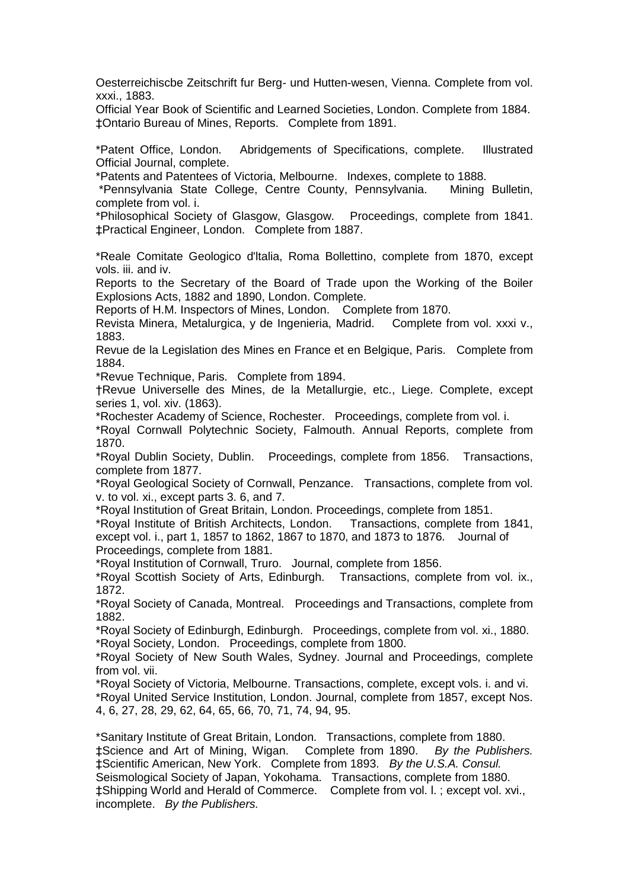Oesterreichiscbe Zeitschrift fur Berg- und Hutten-wesen, Vienna. Complete from vol. xxxi., 1883.

Official Year Book of Scientific and Learned Societies, London. Complete from 1884. ‡Ontario Bureau of Mines, Reports. Complete from 1891.

\*Patent Office, London. Abridgements of Specifications, complete. Illustrated Official Journal, complete.

\*Patents and Patentees of Victoria, Melbourne. Indexes, complete to 1888.

\*Pennsylvania State College, Centre County, Pennsylvania. Mining Bulletin, complete from vol. i.

\*Philosophical Society of Glasgow, Glasgow. Proceedings, complete from 1841. ‡Practical Engineer, London. Complete from 1887.

\*Reale Comitate Geologico d'ltalia, Roma Bollettino, complete from 1870, except vols. iii. and iv.

Reports to the Secretary of the Board of Trade upon the Working of the Boiler Explosions Acts, 1882 and 1890, London. Complete.

Reports of H.M. Inspectors of Mines, London. Complete from 1870.

Revista Minera, Metalurgica, y de Ingenieria, Madrid. Complete from vol. xxxi v., 1883.

Revue de la Legislation des Mines en France et en Belgique, Paris. Complete from 1884.

\*Revue Technique, Paris. Complete from 1894.

†Revue Universelle des Mines, de la Metallurgie, etc., Liege. Complete, except series 1, vol. xiv. (1863).

\*Rochester Academy of Science, Rochester. Proceedings, complete from vol. i.

\*Royal Cornwall Polytechnic Society, Falmouth. Annual Reports, complete from 1870.

\*Royal Dublin Society, Dublin. Proceedings, complete from 1856. Transactions, complete from 1877.

\*Royal Geological Society of Cornwall, Penzance. Transactions, complete from vol. v. to vol. xi., except parts 3. 6, and 7.

\*Royal Institution of Great Britain, London. Proceedings, complete from 1851.

\*Royal Institute of British Architects, London. Transactions, complete from 1841, except vol. i., part 1, 1857 to 1862, 1867 to 1870, and 1873 to 1876. Journal of Proceedings, complete from 1881.

\*Royal Institution of Cornwall, Truro. Journal, complete from 1856.

\*Royal Scottish Society of Arts, Edinburgh. Transactions, complete from vol. ix., 1872.

\*Royal Society of Canada, Montreal. Proceedings and Transactions, complete from 1882.

\*Royal Society of Edinburgh, Edinburgh. Proceedings, complete from vol. xi., 1880. \*Royal Society, London. Proceedings, complete from 1800.

\*Royal Society of New South Wales, Sydney. Journal and Proceedings, complete from vol. vii.

\*Royal Society of Victoria, Melbourne. Transactions, complete, except vols. i. and vi. \*Royal United Service Institution, London. Journal, complete from 1857, except Nos. 4, 6, 27, 28, 29, 62, 64, 65, 66, 70, 71, 74, 94, 95.

\*Sanitary Institute of Great Britain, London. Transactions, complete from 1880. ‡Science and Art of Mining, Wigan. Complete from 1890. *By the Publishers.*  ‡Scientific American, New York. Complete from 1893. *By the U.S.A. Consul.* Seismological Society of Japan, Yokohama. Transactions, complete from 1880. ‡Shipping World and Herald of Commerce. Complete from vol. l. ; except vol. xvi., incomplete. *By the Publishers.*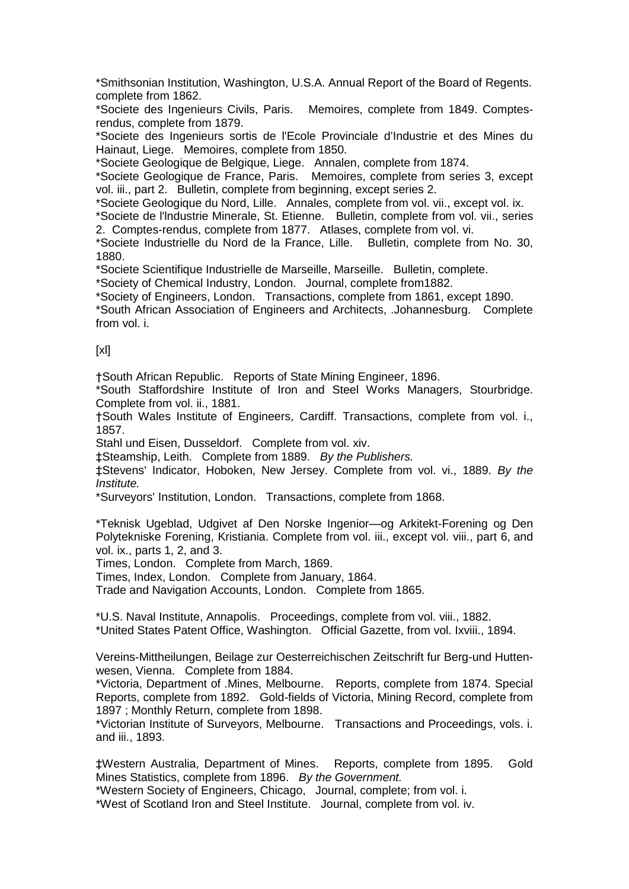\*Smithsonian Institution, Washington, U.S.A. Annual Report of the Board of Regents. complete from 1862.

\*Societe des Ingenieurs Civils, Paris. Memoires, complete from 1849. Comptesrendus, complete from 1879.

\*Societe des Ingenieurs sortis de l'Ecole Provinciale d'Industrie et des Mines du Hainaut, Liege. Memoires, complete from 1850.

\*Societe Geologique de Belgique, Liege. Annalen, complete from 1874.

\*Societe Geologique de France, Paris. Memoires, complete from series 3, except vol. iii., part 2. Bulletin, complete from beginning, except series 2.

\*Societe Geologique du Nord, Lille. Annales, complete from vol. vii., except vol. ix.

\*Societe de l'lndustrie Minerale, St. Etienne. Bulletin, complete from vol. vii., series 2. Comptes-rendus, complete from 1877. Atlases, complete from vol. vi.

\*Societe Industrielle du Nord de la France, Lille. Bulletin, complete from No. 30, 1880.

\*Societe Scientifique Industrielle de Marseille, Marseille. Bulletin, complete.

\*Society of Chemical Industry, London. Journal, complete from1882.

\*Society of Engineers, London. Transactions, complete from 1861, except 1890.

\*South African Association of Engineers and Architects, .Johannesburg. Complete from vol. i.

[xl]

†South African Republic. Reports of State Mining Engineer, 1896.

\*South Staffordshire Institute of Iron and Steel Works Managers, Stourbridge. Complete from vol. ii., 1881.

†South Wales Institute of Engineers, Cardiff. Transactions, complete from vol. i., 1857.

Stahl und Eisen, Dusseldorf. Complete from vol. xiv.

‡Steamship, Leith. Complete from 1889. *By the Publishers.*

‡Stevens' Indicator, Hoboken, New Jersey. Complete from vol. vi., 1889. *By the Institute.*

\*Surveyors' Institution, London. Transactions, complete from 1868.

\*Teknisk Ugeblad, Udgivet af Den Norske Ingenior—og Arkitekt-Forening og Den Polytekniske Forening, Kristiania. Complete from vol. iii., except vol. viii., part 6, and vol. ix., parts 1, 2, and 3.

Times, London. Complete from March, 1869.

Times, Index, London. Complete from January, 1864.

Trade and Navigation Accounts, London. Complete from 1865.

\*U.S. Naval Institute, Annapolis. Proceedings, complete from vol. viii., 1882. \*United States Patent Office, Washington. Official Gazette, from vol. Ixviii., 1894.

Vereins-Mittheilungen, Beilage zur Oesterreichischen Zeitschrift fur Berg-und Huttenwesen, Vienna. Complete from 1884.

\*Victoria, Department of .Mines, Melbourne. Reports, complete from 1874. Special Reports, complete from 1892. Gold-fields of Victoria, Mining Record, complete from 1897 ; Monthly Return, complete from 1898.

\*Victorian Institute of Surveyors, Melbourne. Transactions and Proceedings, vols. i. and iii., 1893.

‡Western Australia, Department of Mines. Reports, complete from 1895. Gold Mines Statistics, complete from 1896. *By the Government.* 

\*Western Society of Engineers, Chicago, Journal, complete; from vol. i.

\*West of Scotland Iron and Steel Institute. Journal, complete from vol. iv.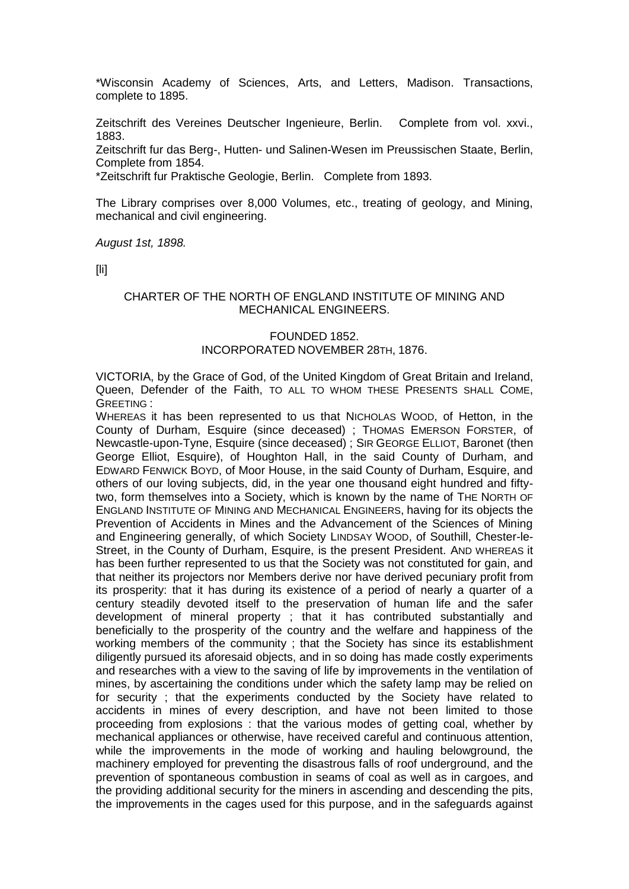\*Wisconsin Academy of Sciences, Arts, and Letters, Madison. Transactions, complete to 1895.

Zeitschrift des Vereines Deutscher Ingenieure, Berlin. Complete from vol. xxvi., 1883.

Zeitschrift fur das Berg-, Hutten- und Salinen-Wesen im Preussischen Staate, Berlin, Complete from 1854.

\*Zeitschrift fur Praktische Geologie, Berlin. Complete from 1893.

The Library comprises over 8,000 Volumes, etc., treating of geology, and Mining, mechanical and civil engineering.

*August 1st, 1898.*

[li]

#### CHARTER OF THE NORTH OF ENGLAND INSTITUTE OF MINING AND MECHANICAL ENGINEERS.

## FOUNDED 1852. INCORPORATED NOVEMBER 28TH, 1876.

VICTORIA, by the Grace of God, of the United Kingdom of Great Britain and Ireland, Queen, Defender of the Faith, TO ALL TO WHOM THESE PRESENTS SHALL COME, GREETING :

WHEREAS it has been represented to us that NICHOLAS WOOD, of Hetton, in the County of Durham, Esquire (since deceased) ; THOMAS EMERSON FORSTER, of Newcastle-upon-Tyne, Esquire (since deceased) ; SIR GEORGE ELLIOT, Baronet (then George Elliot, Esquire), of Houghton Hall, in the said County of Durham, and EDWARD FENWICK BOYD, of Moor House, in the said County of Durham, Esquire, and others of our loving subjects, did, in the year one thousand eight hundred and fiftytwo, form themselves into a Society, which is known by the name of THE NORTH OF ENGLAND INSTITUTE OF MINING AND MECHANICAL ENGINEERS, having for its objects the Prevention of Accidents in Mines and the Advancement of the Sciences of Mining and Engineering generally, of which Society LINDSAY WOOD, of Southill, Chester-le-Street, in the County of Durham, Esquire, is the present President. AND WHEREAS it has been further represented to us that the Society was not constituted for gain, and that neither its projectors nor Members derive nor have derived pecuniary profit from its prosperity: that it has during its existence of a period of nearly a quarter of a century steadily devoted itself to the preservation of human life and the safer development of mineral property ; that it has contributed substantially and beneficially to the prosperity of the country and the welfare and happiness of the working members of the community ; that the Society has since its establishment diligently pursued its aforesaid objects, and in so doing has made costly experiments and researches with a view to the saving of life by improvements in the ventilation of mines, by ascertaining the conditions under which the safety lamp may be relied on for security ; that the experiments conducted by the Society have related to accidents in mines of every description, and have not been limited to those proceeding from explosions : that the various modes of getting coal, whether by mechanical appliances or otherwise, have received careful and continuous attention, while the improvements in the mode of working and hauling belowground, the machinery employed for preventing the disastrous falls of roof underground, and the prevention of spontaneous combustion in seams of coal as well as in cargoes, and the providing additional security for the miners in ascending and descending the pits, the improvements in the cages used for this purpose, and in the safeguards against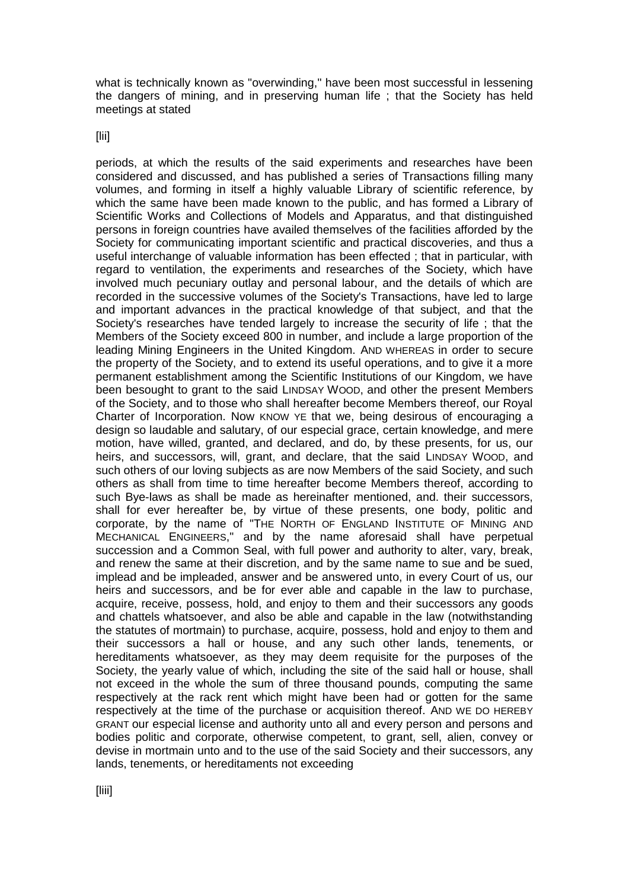what is technically known as "overwinding," have been most successful in lessening the dangers of mining, and in preserving human life ; that the Society has held meetings at stated

[lii]

periods, at which the results of the said experiments and researches have been considered and discussed, and has published a series of Transactions filling many volumes, and forming in itself a highly valuable Library of scientific reference, by which the same have been made known to the public, and has formed a Library of Scientific Works and Collections of Models and Apparatus, and that distinguished persons in foreign countries have availed themselves of the facilities afforded by the Society for communicating important scientific and practical discoveries, and thus a useful interchange of valuable information has been effected ; that in particular, with regard to ventilation, the experiments and researches of the Society, which have involved much pecuniary outlay and personal labour, and the details of which are recorded in the successive volumes of the Society's Transactions, have led to large and important advances in the practical knowledge of that subject, and that the Society's researches have tended largely to increase the security of life ; that the Members of the Society exceed 800 in number, and include a large proportion of the leading Mining Engineers in the United Kingdom. AND WHEREAS in order to secure the property of the Society, and to extend its useful operations, and to give it a more permanent establishment among the Scientific Institutions of our Kingdom, we have been besought to grant to the said LINDSAY WOOD, and other the present Members of the Society, and to those who shall hereafter become Members thereof, our Royal Charter of Incorporation. Now KNOW YE that we, being desirous of encouraging a design so laudable and salutary, of our especial grace, certain knowledge, and mere motion, have willed, granted, and declared, and do, by these presents, for us, our heirs, and successors, will, grant, and declare, that the said LINDSAY WOOD, and such others of our loving subjects as are now Members of the said Society, and such others as shall from time to time hereafter become Members thereof, according to such Bye-laws as shall be made as hereinafter mentioned, and. their successors, shall for ever hereafter be, by virtue of these presents, one body, politic and corporate, by the name of "THE NORTH OF ENGLAND INSTITUTE OF MINING AND MECHANICAL ENGINEERS," and by the name aforesaid shall have perpetual succession and a Common Seal, with full power and authority to alter, vary, break, and renew the same at their discretion, and by the same name to sue and be sued, implead and be impleaded, answer and be answered unto, in every Court of us, our heirs and successors, and be for ever able and capable in the law to purchase, acquire, receive, possess, hold, and enjoy to them and their successors any goods and chattels whatsoever, and also be able and capable in the law (notwithstanding the statutes of mortmain) to purchase, acquire, possess, hold and enjoy to them and their successors a hall or house, and any such other lands, tenements, or hereditaments whatsoever, as they may deem requisite for the purposes of the Society, the yearly value of which, including the site of the said hall or house, shall not exceed in the whole the sum of three thousand pounds, computing the same respectively at the rack rent which might have been had or gotten for the same respectively at the time of the purchase or acquisition thereof. AND WE DO HEREBY GRANT our especial license and authority unto all and every person and persons and bodies politic and corporate, otherwise competent, to grant, sell, alien, convey or devise in mortmain unto and to the use of the said Society and their successors, any lands, tenements, or hereditaments not exceeding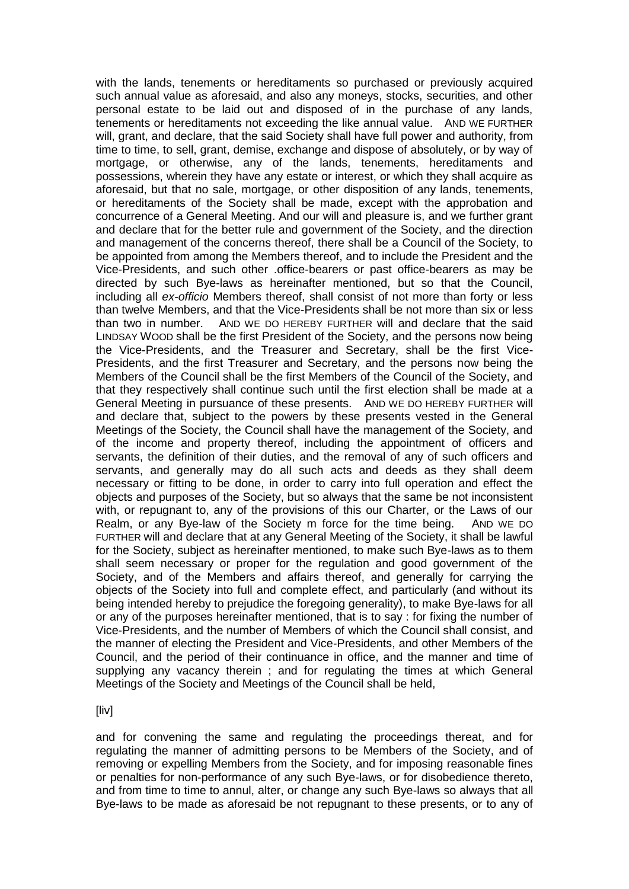with the lands, tenements or hereditaments so purchased or previously acquired such annual value as aforesaid, and also any moneys, stocks, securities, and other personal estate to be laid out and disposed of in the purchase of any lands, tenements or hereditaments not exceeding the like annual value. AND WE FURTHER will, grant, and declare, that the said Society shall have full power and authority, from time to time, to sell, grant, demise, exchange and dispose of absolutely, or by way of mortgage, or otherwise, any of the lands, tenements, hereditaments and possessions, wherein they have any estate or interest, or which they shall acquire as aforesaid, but that no sale, mortgage, or other disposition of any lands, tenements, or hereditaments of the Society shall be made, except with the approbation and concurrence of a General Meeting. And our will and pleasure is, and we further grant and declare that for the better rule and government of the Society, and the direction and management of the concerns thereof, there shall be a Council of the Society, to be appointed from among the Members thereof, and to include the President and the Vice-Presidents, and such other .office-bearers or past office-bearers as may be directed by such Bye-laws as hereinafter mentioned, but so that the Council, including all *ex-officio* Members thereof, shall consist of not more than forty or less than twelve Members, and that the Vice-Presidents shall be not more than six or less than two in number. AND WE DO HEREBY FURTHER will and declare that the said LINDSAY WOOD shall be the first President of the Society, and the persons now being the Vice-Presidents, and the Treasurer and Secretary, shall be the first Vice-Presidents, and the first Treasurer and Secretary, and the persons now being the Members of the Council shall be the first Members of the Council of the Society, and that they respectively shall continue such until the first election shall be made at a General Meeting in pursuance of these presents. AND WE DO HEREBY FURTHER will and declare that, subject to the powers by these presents vested in the General Meetings of the Society, the Council shall have the management of the Society, and of the income and property thereof, including the appointment of officers and servants, the definition of their duties, and the removal of any of such officers and servants, and generally may do all such acts and deeds as they shall deem necessary or fitting to be done, in order to carry into full operation and effect the objects and purposes of the Society, but so always that the same be not inconsistent with, or repugnant to, any of the provisions of this our Charter, or the Laws of our Realm, or any Bye-law of the Society m force for the time being. AND WE DO FURTHER will and declare that at any General Meeting of the Society, it shall be lawful for the Society, subject as hereinafter mentioned, to make such Bye-laws as to them shall seem necessary or proper for the regulation and good government of the Society, and of the Members and affairs thereof, and generally for carrying the objects of the Society into full and complete effect, and particularly (and without its being intended hereby to prejudice the foregoing generality), to make Bye-laws for all or any of the purposes hereinafter mentioned, that is to say : for fixing the number of Vice-Presidents, and the number of Members of which the Council shall consist, and the manner of electing the President and Vice-Presidents, and other Members of the Council, and the period of their continuance in office, and the manner and time of supplying any vacancy therein ; and for regulating the times at which General Meetings of the Society and Meetings of the Council shall be held,

[liv]

and for convening the same and regulating the proceedings thereat, and for regulating the manner of admitting persons to be Members of the Society, and of removing or expelling Members from the Society, and for imposing reasonable fines or penalties for non-performance of any such Bye-laws, or for disobedience thereto, and from time to time to annul, alter, or change any such Bye-laws so always that all Bye-laws to be made as aforesaid be not repugnant to these presents, or to any of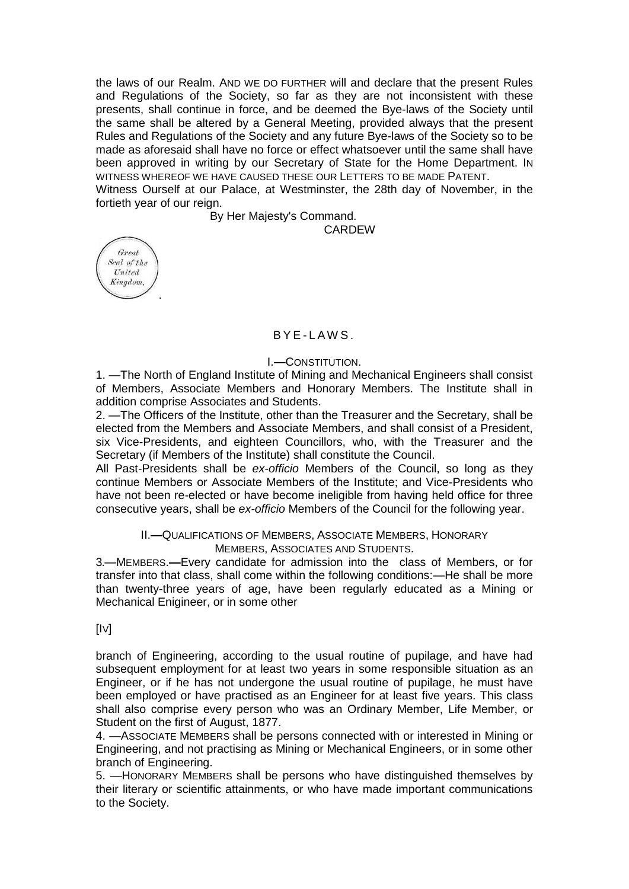the laws of our Realm. AND WE DO FURTHER will and declare that the present Rules and Regulations of the Society, so far as they are not inconsistent with these presents, shall continue in force, and be deemed the Bye-laws of the Society until the same shall be altered by a General Meeting, provided always that the present Rules and Regulations of the Society and any future Bye-laws of the Society so to be made as aforesaid shall have no force or effect whatsoever until the same shall have been approved in writing by our Secretary of State for the Home Department. IN WITNESS WHEREOF WE HAVE CAUSED THESE OUR LETTERS TO BE MADE PATENT.

Witness Ourself at our Palace, at Westminster, the 28th day of November, in the fortieth year of our reign.

By Her Majesty's Command.

CARDEW



## $BYF-IAWS$ .

#### I.**—**CONSTITUTION.

1. —The North of England Institute of Mining and Mechanical Engineers shall consist of Members, Associate Members and Honorary Members. The Institute shall in addition comprise Associates and Students.

2. —The Officers of the Institute, other than the Treasurer and the Secretary, shall be elected from the Members and Associate Members, and shall consist of a President, six Vice-Presidents, and eighteen Councillors, who, with the Treasurer and the Secretary (if Members of the Institute) shall constitute the Council.

All Past-Presidents shall be *ex-officio* Members of the Council, so long as they continue Members or Associate Members of the Institute; and Vice-Presidents who have not been re-elected or have become ineligible from having held office for three consecutive years, shall be *ex-officio* Members of the Council for the following year.

## II.**—**QUALIFICATIONS OF MEMBERS, ASSOCIATE MEMBERS, HONORARY MEMBERS, ASSOCIATES AND STUDENTS.

3.—MEMBERS.**—**Every candidate for admission into the class of Members, or for transfer into that class, shall come within the following conditions:—He shall be more than twenty-three years of age, have been regularly educated as a Mining or Mechanical Enigineer, or in some other

 $[IV]$ 

branch of Engineering, according to the usual routine of pupilage, and have had subsequent employment for at least two years in some responsible situation as an Engineer, or if he has not undergone the usual routine of pupilage, he must have been employed or have practised as an Engineer for at least five years. This class shall also comprise every person who was an Ordinary Member, Life Member, or Student on the first of August, 1877.

4. —ASSOCIATE MEMBERS shall be persons connected with or interested in Mining or Engineering, and not practising as Mining or Mechanical Engineers, or in some other branch of Engineering.

5. —HONORARY MEMBERS shall be persons who have distinguished themselves by their literary or scientific attainments, or who have made important communications to the Society.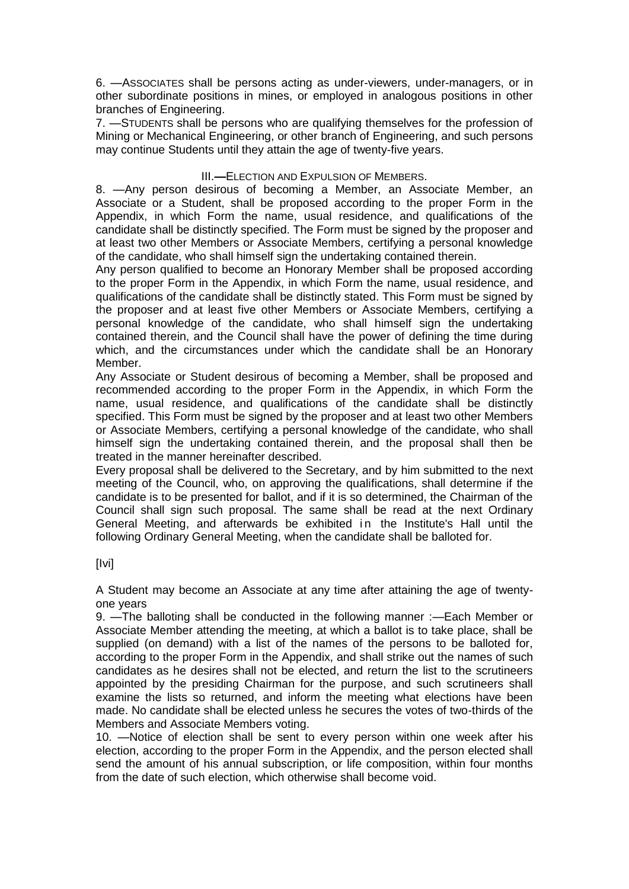6. —ASSOCIATES shall be persons acting as under-viewers, under-managers, or in other subordinate positions in mines, or employed in analogous positions in other branches of Engineering.

7. —STUDENTS shall be persons who are qualifying themselves for the profession of Mining or Mechanical Engineering, or other branch of Engineering, and such persons may continue Students until they attain the age of twenty-five years.

## III.**—**ELECTION AND EXPULSION OF MEMBERS.

8. —Any person desirous of becoming a Member, an Associate Member, an Associate or a Student, shall be proposed according to the proper Form in the Appendix, in which Form the name, usual residence, and qualifications of the candidate shall be distinctly specified. The Form must be signed by the proposer and at least two other Members or Associate Members, certifying a personal knowledge of the candidate, who shall himself sign the undertaking contained therein.

Any person qualified to become an Honorary Member shall be proposed according to the proper Form in the Appendix, in which Form the name, usual residence, and qualifications of the candidate shall be distinctly stated. This Form must be signed by the proposer and at least five other Members or Associate Members, certifying a personal knowledge of the candidate, who shall himself sign the undertaking contained therein, and the Council shall have the power of defining the time during which, and the circumstances under which the candidate shall be an Honorary Member.

Any Associate or Student desirous of becoming a Member, shall be proposed and recommended according to the proper Form in the Appendix, in which Form the name, usual residence, and qualifications of the candidate shall be distinctly specified. This Form must be signed by the proposer and at least two other Members or Associate Members, certifying a personal knowledge of the candidate, who shall himself sign the undertaking contained therein, and the proposal shall then be treated in the manner hereinafter described.

Every proposal shall be delivered to the Secretary, and by him submitted to the next meeting of the Council, who, on approving the qualifications, shall determine if the candidate is to be presented for ballot, and if it is so determined, the Chairman of the Council shall sign such proposal. The same shall be read at the next Ordinary General Meeting, and afterwards be exhibited in the Institute's Hall until the following Ordinary General Meeting, when the candidate shall be balloted for.

[Ivi]

A Student may become an Associate at any time after attaining the age of twentyone years

9. —The balloting shall be conducted in the following manner :—Each Member or Associate Member attending the meeting, at which a ballot is to take place, shall be supplied (on demand) with a list of the names of the persons to be balloted for, according to the proper Form in the Appendix, and shall strike out the names of such candidates as he desires shall not be elected, and return the list to the scrutineers appointed by the presiding Chairman for the purpose, and such scrutineers shall examine the lists so returned, and inform the meeting what elections have been made. No candidate shall be elected unless he secures the votes of two-thirds of the Members and Associate Members voting.

10. —Notice of election shall be sent to every person within one week after his election, according to the proper Form in the Appendix, and the person elected shall send the amount of his annual subscription, or life composition, within four months from the date of such election, which otherwise shall become void.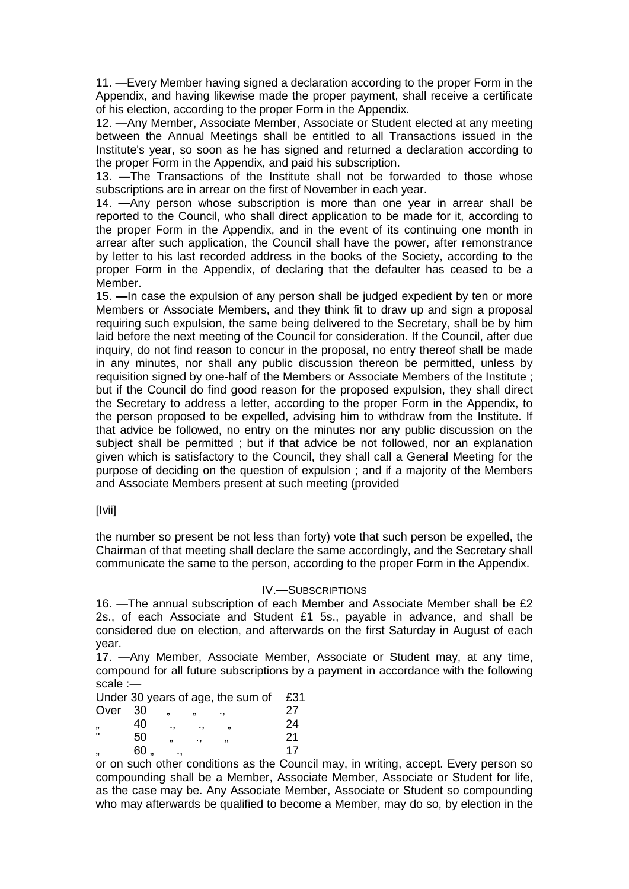11. —Every Member having signed a declaration according to the proper Form in the Appendix, and having likewise made the proper payment, shall receive a certificate of his election, according to the proper Form in the Appendix.

12. —Any Member, Associate Member, Associate or Student elected at any meeting between the Annual Meetings shall be entitled to all Transactions issued in the Institute's year, so soon as he has signed and returned a declaration according to the proper Form in the Appendix, and paid his subscription.

13. **—**The Transactions of the Institute shall not be forwarded to those whose subscriptions are in arrear on the first of November in each year.

14. **—**Any person whose subscription is more than one year in arrear shall be reported to the Council, who shall direct application to be made for it, according to the proper Form in the Appendix, and in the event of its continuing one month in arrear after such application, the Council shall have the power, after remonstrance by letter to his last recorded address in the books of the Society, according to the proper Form in the Appendix, of declaring that the defaulter has ceased to be a Member.

15. **—**In case the expulsion of any person shall be judged expedient by ten or more Members or Associate Members, and they think fit to draw up and sign a proposal requiring such expulsion, the same being delivered to the Secretary, shall be by him laid before the next meeting of the Council for consideration. If the Council, after due inquiry, do not find reason to concur in the proposal, no entry thereof shall be made in any minutes, nor shall any public discussion thereon be permitted, unless by requisition signed by one-half of the Members or Associate Members of the Institute ; but if the Council do find good reason for the proposed expulsion, they shall direct the Secretary to address a letter, according to the proper Form in the Appendix, to the person proposed to be expelled, advising him to withdraw from the Institute. If that advice be followed, no entry on the minutes nor any public discussion on the subject shall be permitted ; but if that advice be not followed, nor an explanation given which is satisfactory to the Council, they shall call a General Meeting for the purpose of deciding on the question of expulsion ; and if a majority of the Members and Associate Members present at such meeting (provided

[Ivii]

the number so present be not less than forty) vote that such person be expelled, the Chairman of that meeting shall declare the same accordingly, and the Secretary shall communicate the same to the person, according to the proper Form in the Appendix.

#### IV.**—**SUBSCRIPTIONS

16. —The annual subscription of each Member and Associate Member shall be £2 2s., of each Associate and Student £1 5s., payable in advance, and shall be considered due on election, and afterwards on the first Saturday in August of each year.

17. —Any Member, Associate Member, Associate or Student may, at any time, compound for all future subscriptions by a payment in accordance with the following scale :—

|                         |     |    |    | Under 30 years of age, the sum of | £31 |
|-------------------------|-----|----|----|-----------------------------------|-----|
| Over                    | -30 |    | 11 |                                   | 27  |
| ,                       | 40  |    |    |                                   | 24  |
| $\mathbf{u}$            | 50  | 99 | ., |                                   | 21  |
| $\overline{\mathbf{1}}$ | 60  |    |    |                                   | 17  |

or on such other conditions as the Council may, in writing, accept. Every person so compounding shall be a Member, Associate Member, Associate or Student for life, as the case may be. Any Associate Member, Associate or Student so compounding who may afterwards be qualified to become a Member, may do so, by election in the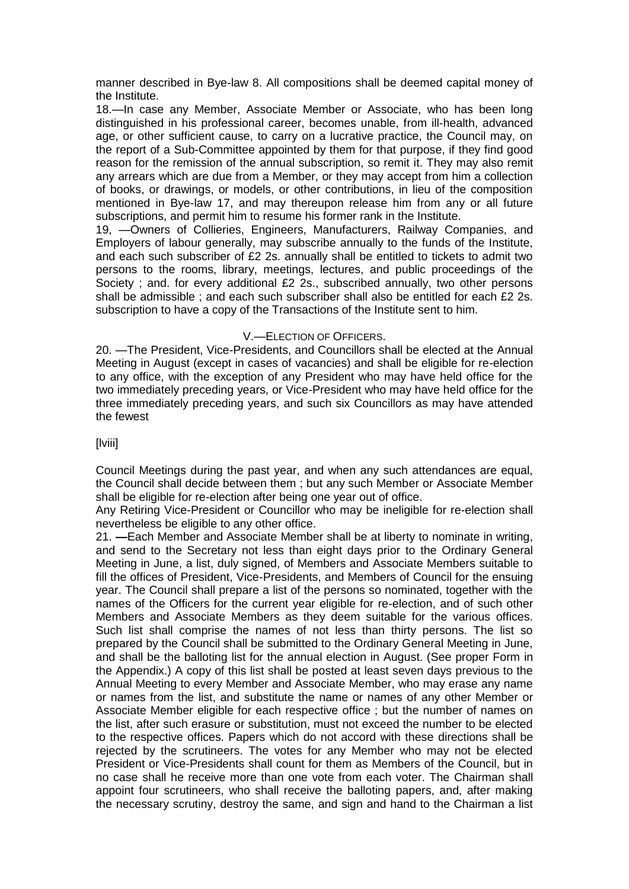manner described in Bye-law 8. All compositions shall be deemed capital money of the Institute.

18.—In case any Member, Associate Member or Associate, who has been long distinguished in his professional career, becomes unable, from ill-health, advanced age, or other sufficient cause, to carry on a lucrative practice, the Council may, on the report of a Sub-Committee appointed by them for that purpose, if they find good reason for the remission of the annual subscription, so remit it. They may also remit any arrears which are due from a Member, or they may accept from him a collection of books, or drawings, or models, or other contributions, in lieu of the composition mentioned in Bye-law 17, and may thereupon release him from any or all future subscriptions, and permit him to resume his former rank in the Institute.

19, —Owners of Collieries, Engineers, Manufacturers, Railway Companies, and Employers of labour generally, may subscribe annually to the funds of the Institute, and each such subscriber of £2 2s. annually shall be entitled to tickets to admit two persons to the rooms, library, meetings, lectures, and public proceedings of the Society ; and. for every additional £2 2s., subscribed annually, two other persons shall be admissible ; and each such subscriber shall also be entitled for each £2 2s. subscription to have a copy of the Transactions of the Institute sent to him.

## V.—ELECTION OF OFFICERS.

20. —The President, Vice-Presidents, and Councillors shall be elected at the Annual Meeting in August (except in cases of vacancies) and shall be eligible for re-election to any office, with the exception of any President who may have held office for the two immediately preceding years, or Vice-President who may have held office for the three immediately preceding years, and such six Councillors as may have attended the fewest

## [lviii]

Council Meetings during the past year, and when any such attendances are equal, the Council shall decide between them ; but any such Member or Associate Member shall be eligible for re-election after being one year out of office.

Any Retiring Vice-President or Councillor who may be ineligible for re-election shall nevertheless be eligible to any other office.

21. **—**Each Member and Associate Member shall be at liberty to nominate in writing, and send to the Secretary not less than eight days prior to the Ordinary General Meeting in June, a list, duly signed, of Members and Associate Members suitable to fill the offices of President, Vice-Presidents, and Members of Council for the ensuing year. The Council shall prepare a list of the persons so nominated, together with the names of the Officers for the current year eligible for re-election, and of such other Members and Associate Members as they deem suitable for the various offices. Such list shall comprise the names of not less than thirty persons. The list so prepared by the Council shall be submitted to the Ordinary General Meeting in June, and shall be the balloting list for the annual election in August. (See proper Form in the Appendix.) A copy of this list shall be posted at least seven days previous to the Annual Meeting to every Member and Associate Member, who may erase any name or names from the list, and substitute the name or names of any other Member or Associate Member eligible for each respective office ; but the number of names on the list, after such erasure or substitution, must not exceed the number to be elected to the respective offices. Papers which do not accord with these directions shall be rejected by the scrutineers. The votes for any Member who may not be elected President or Vice-Presidents shall count for them as Members of the Council, but in no case shall he receive more than one vote from each voter. The Chairman shall appoint four scrutineers, who shall receive the balloting papers, and, after making the necessary scrutiny, destroy the same, and sign and hand to the Chairman a list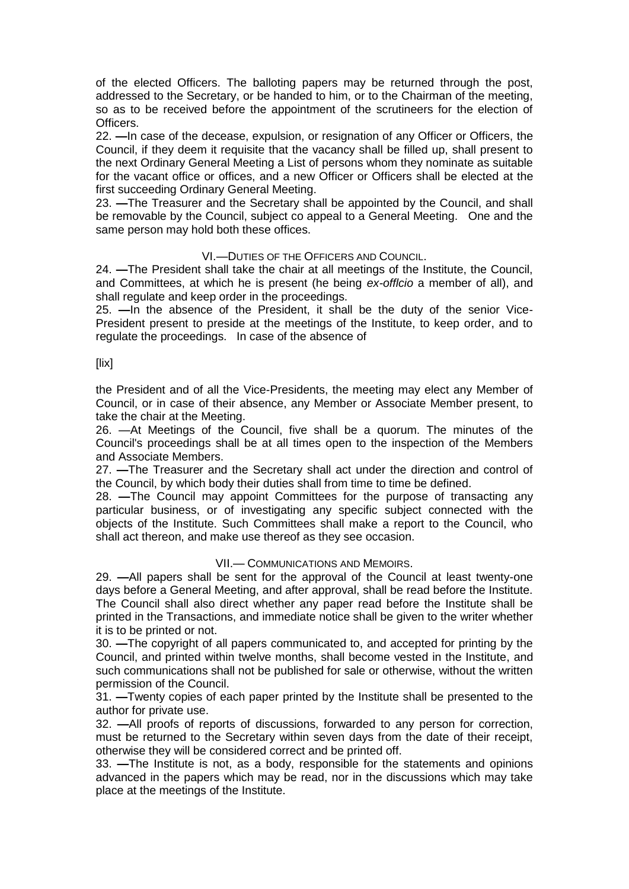of the elected Officers. The balloting papers may be returned through the post, addressed to the Secretary, or be handed to him, or to the Chairman of the meeting, so as to be received before the appointment of the scrutineers for the election of Officers.

22. **—**In case of the decease, expulsion, or resignation of any Officer or Officers, the Council, if they deem it requisite that the vacancy shall be filled up, shall present to the next Ordinary General Meeting a List of persons whom they nominate as suitable for the vacant office or offices, and a new Officer or Officers shall be elected at the first succeeding Ordinary General Meeting.

23. **—**The Treasurer and the Secretary shall be appointed by the Council, and shall be removable by the Council, subject co appeal to a General Meeting. One and the same person may hold both these offices.

## VI.—DUTIES OF THE OFFICERS AND COUNCIL.

24. **—**The President shall take the chair at all meetings of the Institute, the Council, and Committees, at which he is present (he being *ex-offlcio* a member of all), and shall regulate and keep order in the proceedings.

25. **—**In the absence of the President, it shall be the duty of the senior Vice-President present to preside at the meetings of the Institute, to keep order, and to regulate the proceedings. In case of the absence of

#### [lix]

the President and of all the Vice-Presidents, the meeting may elect any Member of Council, or in case of their absence, any Member or Associate Member present, to take the chair at the Meeting.

26. —At Meetings of the Council, five shall be a quorum. The minutes of the Council's proceedings shall be at all times open to the inspection of the Members and Associate Members.

27. **—**The Treasurer and the Secretary shall act under the direction and control of the Council, by which body their duties shall from time to time be defined.

28. **—**The Council may appoint Committees for the purpose of transacting any particular business, or of investigating any specific subject connected with the objects of the Institute. Such Committees shall make a report to the Council, who shall act thereon, and make use thereof as they see occasion.

#### VII.— COMMUNICATIONS AND MEMOIRS.

29. **—**All papers shall be sent for the approval of the Council at least twenty-one days before a General Meeting, and after approval, shall be read before the Institute. The Council shall also direct whether any paper read before the Institute shall be printed in the Transactions, and immediate notice shall be given to the writer whether it is to be printed or not.

30. **—**The copyright of all papers communicated to, and accepted for printing by the Council, and printed within twelve months, shall become vested in the Institute, and such communications shall not be published for sale or otherwise, without the written permission of the Council.

31. **—**Twenty copies of each paper printed by the Institute shall be presented to the author for private use.

32. **—**All proofs of reports of discussions, forwarded to any person for correction, must be returned to the Secretary within seven days from the date of their receipt, otherwise they will be considered correct and be printed off.

33. **—**The Institute is not, as a body, responsible for the statements and opinions advanced in the papers which may be read, nor in the discussions which may take place at the meetings of the Institute.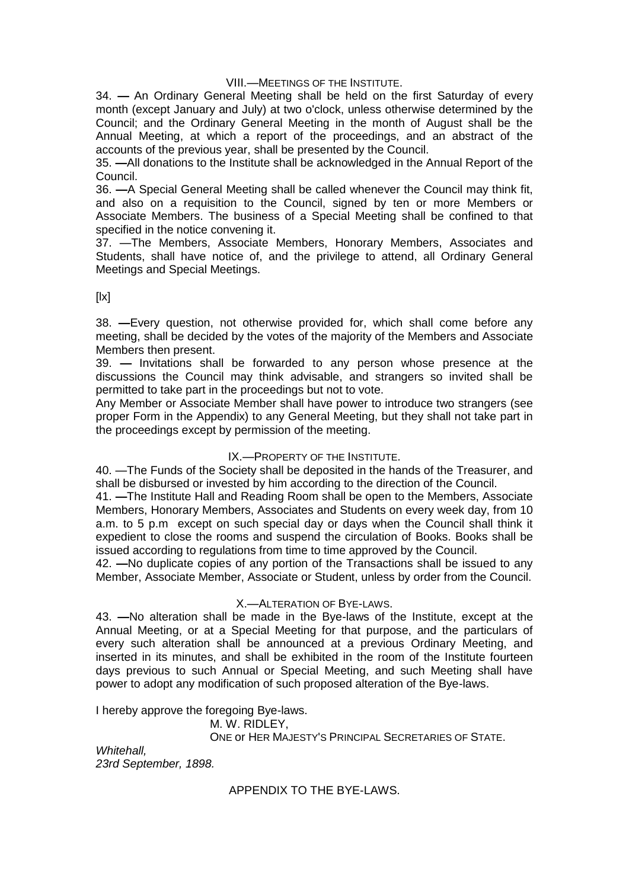## VIII.—MEETINGS OF THE INSTITUTE.

34. **—** An Ordinary General Meeting shall be held on the first Saturday of every month (except January and July) at two o'clock, unless otherwise determined by the Council; and the Ordinary General Meeting in the month of August shall be the Annual Meeting, at which a report of the proceedings, and an abstract of the accounts of the previous year, shall be presented by the Council.

35. **—**All donations to the Institute shall be acknowledged in the Annual Report of the Council.

36. **—**A Special General Meeting shall be called whenever the Council may think fit, and also on a requisition to the Council, signed by ten or more Members or Associate Members. The business of a Special Meeting shall be confined to that specified in the notice convening it.

37. —The Members, Associate Members, Honorary Members, Associates and Students, shall have notice of, and the privilege to attend, all Ordinary General Meetings and Special Meetings.

 $[|x]$ 

38. **—**Every question, not otherwise provided for, which shall come before any meeting, shall be decided by the votes of the majority of the Members and Associate Members then present.

39. **—** Invitations shall be forwarded to any person whose presence at the discussions the Council may think advisable, and strangers so invited shall be permitted to take part in the proceedings but not to vote.

Any Member or Associate Member shall have power to introduce two strangers (see proper Form in the Appendix) to any General Meeting, but they shall not take part in the proceedings except by permission of the meeting.

## IX.—PROPERTY OF THE INSTITUTE.

40. —The Funds of the Society shall be deposited in the hands of the Treasurer, and shall be disbursed or invested by him according to the direction of the Council.

41. **—**The Institute Hall and Reading Room shall be open to the Members, Associate Members, Honorary Members, Associates and Students on every week day, from 10 a.m. to 5 p.m except on such special day or days when the Council shall think it expedient to close the rooms and suspend the circulation of Books. Books shall be issued according to regulations from time to time approved by the Council.

42. **—**No duplicate copies of any portion of the Transactions shall be issued to any Member, Associate Member, Associate or Student, unless by order from the Council.

#### X.—ALTERATION OF BYE-LAWS.

43. **—**No alteration shall be made in the Bye-laws of the Institute, except at the Annual Meeting, or at a Special Meeting for that purpose, and the particulars of every such alteration shall be announced at a previous Ordinary Meeting, and inserted in its minutes, and shall be exhibited in the room of the Institute fourteen days previous to such Annual or Special Meeting, and such Meeting shall have power to adopt any modification of such proposed alteration of the Bye-laws.

I hereby approve the foregoing Bye-laws.

M. W. RIDLEY,

ONE or HER MAJESTY'S PRINCIPAL SECRETARIES OF STATE.

*Whitehall, 23rd September, 1898.*

APPENDIX TO THE BYE-LAWS.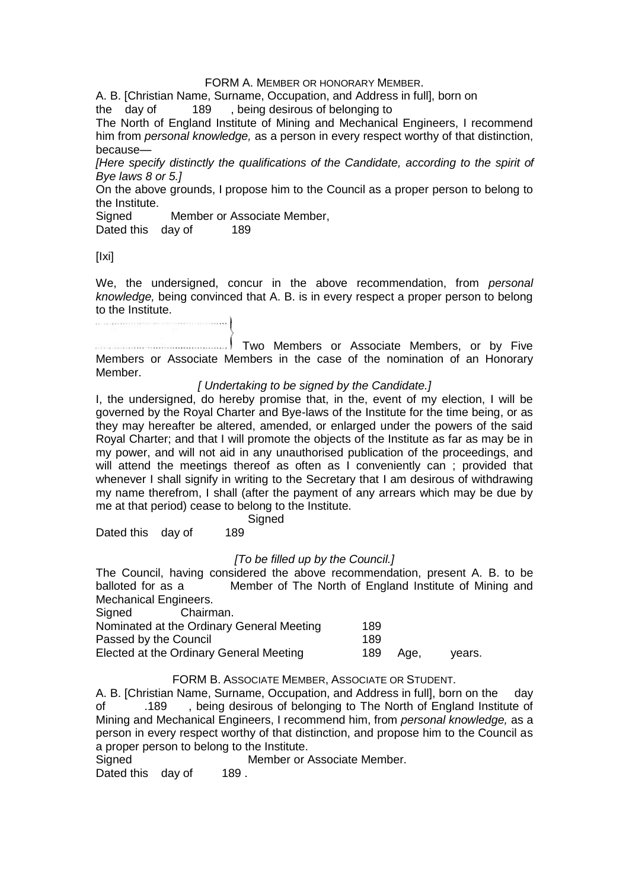#### FORM A. MEMBER OR HONORARY MEMBER.

A. B. [Christian Name, Surname, Occupation, and Address in full], born on the day of 189 . being desirous of belonging to

189 , being desirous of belonging to

The North of England Institute of Mining and Mechanical Engineers, I recommend him from *personal knowledge,* as a person in every respect worthy of that distinction, because—

*[Here specify distinctly the qualifications of the Candidate, according to the spirit of Bye laws 8 or 5.]*

On the above grounds, I propose him to the Council as a proper person to belong to the Institute.

Signed Member or Associate Member,

Dated this day of 189

[Ixi]

We, the undersigned, concur in the above recommendation, from *personal knowledge,* being convinced that A. B. is in every respect a proper person to belong to the Institute. .<br>Participa e que se destinar e a participa en el recebe en el este contrar el contro

Two Members or Associate Members, or by Five Members or Associate Members in the case of the nomination of an Honorary Member.

## *[ Undertaking to be signed by the Candidate.]*

I, the undersigned, do hereby promise that, in the, event of my election, I will be governed by the Royal Charter and Bye-laws of the Institute for the time being, or as they may hereafter be altered, amended, or enlarged under the powers of the said Royal Charter; and that I will promote the objects of the Institute as far as may be in my power, and will not aid in any unauthorised publication of the proceedings, and will attend the meetings thereof as often as I conveniently can ; provided that whenever I shall signify in writing to the Secretary that I am desirous of withdrawing my name therefrom, I shall (after the payment of any arrears which may be due by me at that period) cease to belong to the Institute.

**Signed** 

Dated this day of 189

#### *[To be filled up by the Council.]*

The Council, having considered the above recommendation, present A. B. to be balloted for as a Member of The North of England Institute of Mining and Mechanical Engineers.<br>Signed Chairm

Signed Chairman.

| vears. |
|--------|
|        |

## FORM B. ASSOCIATE MEMBER, ASSOCIATE OR STUDENT.

A. B. [Christian Name, Surname, Occupation, and Address in full], born on the day of .189 , being desirous of belonging to The North of England Institute of Mining and Mechanical Engineers, I recommend him, from *personal knowledge,* as a person in every respect worthy of that distinction, and propose him to the Council as a proper person to belong to the Institute.

Signed Member or Associate Member. Dated this day of 189.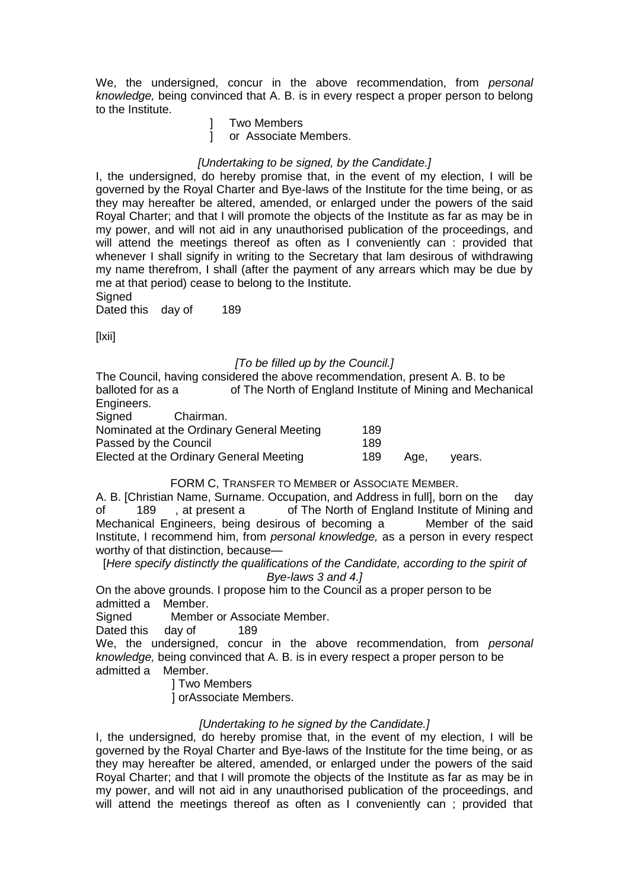We, the undersigned, concur in the above recommendation, from *personal knowledge,* being convinced that A. B. is in every respect a proper person to belong to the Institute.

] Two Members

] or Associate Members.

## *[Undertaking to be signed, by the Candidate.]*

I, the undersigned, do hereby promise that, in the event of my election, I will be governed by the Royal Charter and Bye-laws of the Institute for the time being, or as they may hereafter be altered, amended, or enlarged under the powers of the said Royal Charter; and that I will promote the objects of the Institute as far as may be in my power, and will not aid in any unauthorised publication of the proceedings, and will attend the meetings thereof as often as I conveniently can : provided that whenever I shall signify in writing to the Secretary that lam desirous of withdrawing my name therefrom, I shall (after the payment of any arrears which may be due by me at that period) cease to belong to the Institute. **Signed** 

Dated this day of 189

[lxii]

## *[To be filled up by the Council.]*

The Council, having considered the above recommendation, present A. B. to be balloted for as a of The North of England Institute of Mining and Mechanical Engineers.<br>Signed

Chairman.

| Nominated at the Ordinary General Meeting | 189 |      |        |
|-------------------------------------------|-----|------|--------|
| Passed by the Council                     | 189 |      |        |
| Elected at the Ordinary General Meeting   | 189 | Aae. | vears. |

### FORM C, TRANSFER TO MEMBER or ASSOCIATE MEMBER.

A. B. [Christian Name, Surname. Occupation, and Address in full], born on the day of 189 , at present a of The North of England Institute of Mining and Mechanical Engineers, being desirous of becoming a Member of the said Institute, I recommend him, from *personal knowledge,* as a person in every respect worthy of that distinction, because—

[*Here specify distinctly the qualifications of the Candidate, according to the spirit of Bye-laws 3 and 4.]*

On the above grounds. I propose him to the Council as a proper person to be admitted a Member.

Signed Member or Associate Member.

Dated this day of 189

We, the undersigned, concur in the above recommendation, from *personal knowledge,* being convinced that A. B. is in every respect a proper person to be admitted a Member.

] Two Members

] orAssociate Members.

#### *[Undertaking to he signed by the Candidate.]*

I, the undersigned, do hereby promise that, in the event of my election, I will be governed by the Royal Charter and Bye-laws of the Institute for the time being, or as they may hereafter be altered, amended, or enlarged under the powers of the said Royal Charter; and that I will promote the objects of the Institute as far as may be in my power, and will not aid in any unauthorised publication of the proceedings, and will attend the meetings thereof as often as I conveniently can; provided that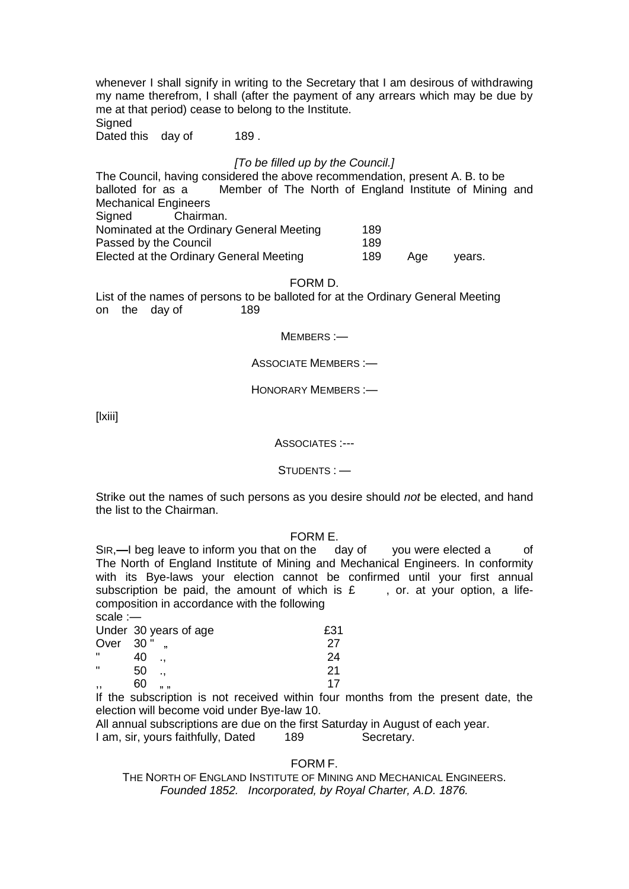whenever I shall signify in writing to the Secretary that I am desirous of withdrawing my name therefrom, I shall (after the payment of any arrears which may be due by me at that period) cease to belong to the Institute. **Signed** 

Dated this day of 189.

## *[To be filled up by the Council.]*

The Council, having considered the above recommendation, present A. B. to be balloted for as a Member of The North of England Institute of Mining and Mechanical Engineers Signed Chairman. Nominated at the Ordinary General Meeting 189 Passed by the Council **189** Elected at the Ordinary General Meeting 189 Age years.

FORM D.

List of the names of persons to be balloted for at the Ordinary General Meeting<br>on the day of 189 on the day of

MEMBERS :-

ASSOCIATE MEMBERS :—

HONORARY MEMBERS :—

[lxiii]

ASSOCIATES :---

STUDENTS : —

Strike out the names of such persons as you desire should *not* be elected, and hand the list to the Chairman.

#### FORM E.

SIR,**—**I beg leave to inform you that on the day of you were elected a of The North of England Institute of Mining and Mechanical Engineers. In conformity with its Bye-laws your election cannot be confirmed until your first annual subscription be paid, the amount of which is  $E$ , or. at your option, a lifecomposition in accordance with the following scale :—

| suai <del>c</del> .— |                                                                                                                                                                                                                                   |     |
|----------------------|-----------------------------------------------------------------------------------------------------------------------------------------------------------------------------------------------------------------------------------|-----|
|                      | Under 30 years of age                                                                                                                                                                                                             | £31 |
| Over                 | 30"                                                                                                                                                                                                                               | 27  |
| π                    | 40                                                                                                                                                                                                                                | 24  |
| $\mathbf{H}$         | 50                                                                                                                                                                                                                                | 21  |
| ,,                   | 60<br>,, ,,                                                                                                                                                                                                                       | 17  |
|                      | $\mathbf{r}$ , and the contract of the contract of the contract of the contract of the contract of the contract of the contract of the contract of the contract of the contract of the contract of the contract of the contract o |     |

If the subscription is not received within four months from the present date, the election will become void under Bye-law 10.

All annual subscriptions are due on the first Saturday in August of each year. I am, sir, yours faithfully, Dated 189 Secretary.

## FORM F.

THE NORTH OF ENGLAND INSTITUTE OF MINING AND MECHANICAL ENGINEERS. *Founded 1852. Incorporated, by Royal Charter, A.D. 1876.*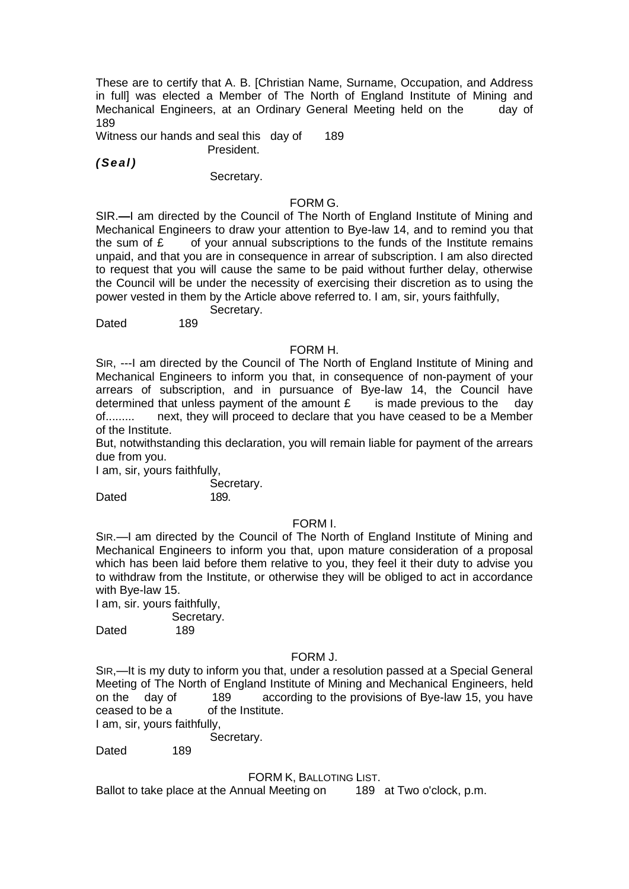These are to certify that A. B. [Christian Name, Surname, Occupation, and Address in full] was elected a Member of The North of England Institute of Mining and Mechanical Engineers, at an Ordinary General Meeting held on the day of 189

Witness our hands and seal this day of 189 President.

*( Se al )*

## Secretary.

## FORM G.

SIR.**—**I am directed by the Council of The North of England Institute of Mining and Mechanical Engineers to draw your attention to Bye-law 14, and to remind you that the sum of  $\epsilon$  of your annual subscriptions to the funds of the Institute remains unpaid, and that you are in consequence in arrear of subscription. I am also directed to request that you will cause the same to be paid without further delay, otherwise the Council will be under the necessity of exercising their discretion as to using the power vested in them by the Article above referred to. I am, sir, yours faithfully,

Secretary.<br>189 Dated

## FORM H.

SIR, ---I am directed by the Council of The North of England Institute of Mining and Mechanical Engineers to inform you that, in consequence of non-payment of your arrears of subscription, and in pursuance of Bye-law 14, the Council have determined that unless payment of the amount  $\mathbf{f}$  is made previous to the day of......... next, they will proceed to declare that you have ceased to be a Member of the Institute.

But, notwithstanding this declaration, you will remain liable for payment of the arrears due from you.

I am, sir, yours faithfully,

 Secretary. Dated 189.

#### FORM I.

SIR.—I am directed by the Council of The North of England Institute of Mining and Mechanical Engineers to inform you that, upon mature consideration of a proposal which has been laid before them relative to you, they feel it their duty to advise you to withdraw from the Institute, or otherwise they will be obliged to act in accordance with Bye-law 15.

I am, sir. yours faithfully,

Secretary.

Dated 189

#### FORM J.

SIR,—It is my duty to inform you that, under a resolution passed at a Special General Meeting of The North of England Institute of Mining and Mechanical Engineers, held on the day of 189 according to the provisions of Bye-law 15, you have ceased to be a of the Institute.

I am, sir, yours faithfully,

Secretary.

Dated 189

## FORM K, BALLOTING LIST.

Ballot to take place at the Annual Meeting on 189 at Two o'clock, p.m.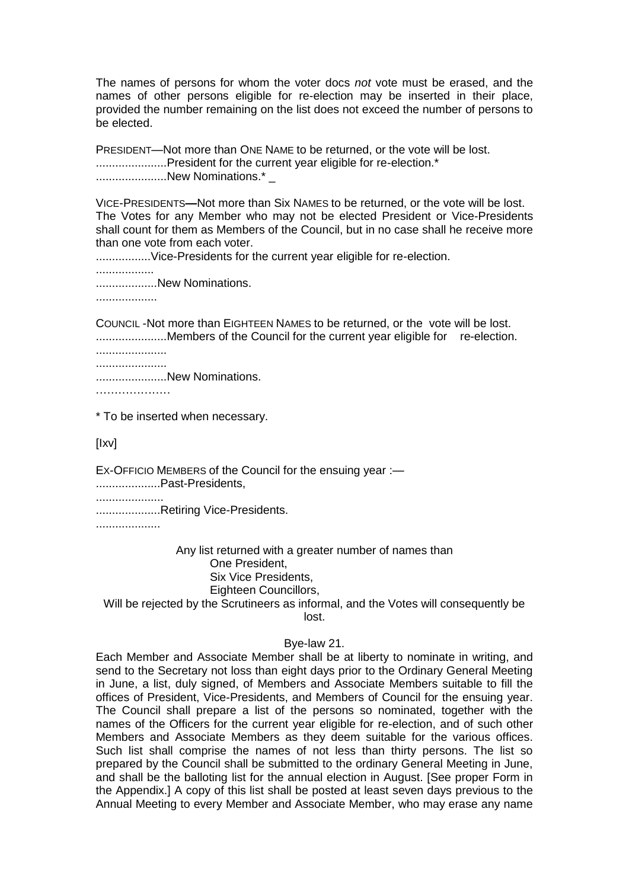The names of persons for whom the voter docs *not* vote must be erased, and the names of other persons eligible for re-election may be inserted in their place, provided the number remaining on the list does not exceed the number of persons to be elected.

PRESIDENT—Not more than ONE NAME to be returned, or the vote will be lost. ..........................President for the current year eligible for re-election.\* ..........................New Nominations.\*

VICE-PRESIDENTS**—**Not more than Six NAMES to be returned, or the vote will be lost. The Votes for any Member who may not be elected President or Vice-Presidents shall count for them as Members of the Council, but in no case shall he receive more than one vote from each voter.

..................Vice-Presidents for the current year eligible for re-election.

..................

...................New Nominations.

...................

COUNCIL -Not more than EIGHTEEN NAMES to be returned, or the vote will be lost. .....................Members of the Council for the current year eligible for re-election.

...................... ......................

......................New Nominations.

....................

\* To be inserted when necessary.

[Ixv]

EX-OFFICIO MEMBERS of the Council for the ensuing year :-....................Past-Presidents,

.....................

....................Retiring Vice-Presidents.

....................

Any list returned with a greater number of names than One President, Six Vice Presidents, Eighteen Councillors,

Will be rejected by the Scrutineers as informal, and the Votes will consequently be lost.

## Bye-law 21.

Each Member and Associate Member shall be at liberty to nominate in writing, and send to the Secretary not loss than eight days prior to the Ordinary General Meeting in June, a list, duly signed, of Members and Associate Members suitable to fill the offices of President, Vice-Presidents, and Members of Council for the ensuing year. The Council shall prepare a list of the persons so nominated, together with the names of the Officers for the current year eligible for re-election, and of such other Members and Associate Members as they deem suitable for the various offices. Such list shall comprise the names of not less than thirty persons. The list so prepared by the Council shall be submitted to the ordinary General Meeting in June, and shall be the balloting list for the annual election in August. [See proper Form in the Appendix.] A copy of this list shall be posted at least seven days previous to the Annual Meeting to every Member and Associate Member, who may erase any name